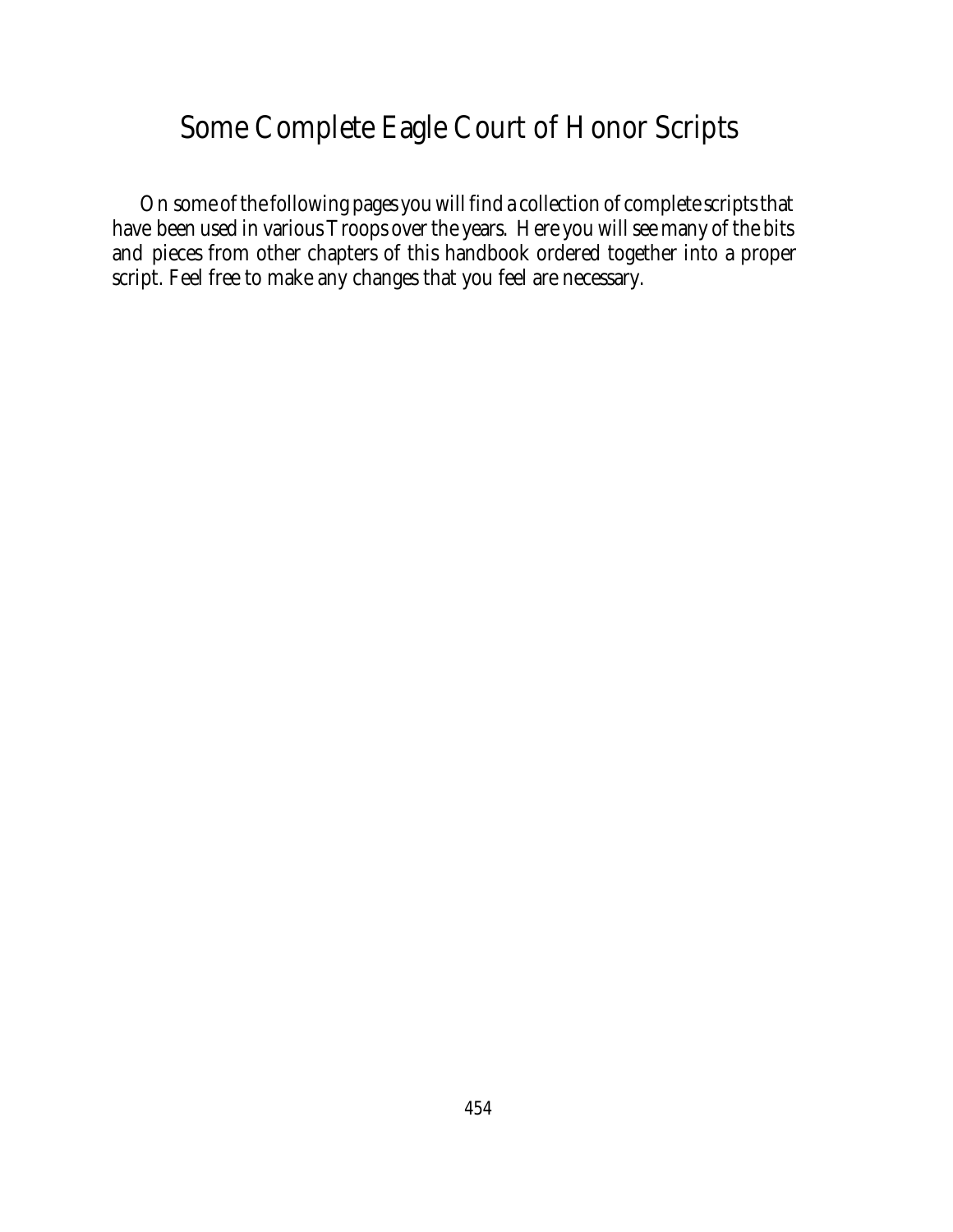# Some Complete Eagle Court of Honor Scripts

On some of the following pages you will find a collection of complete scripts that have been used in various Troops over the years. Here you will see many of the bits and pieces from other chapters of this handbook ordered together into a proper script. Feel free to make any changes that you feel are necessary.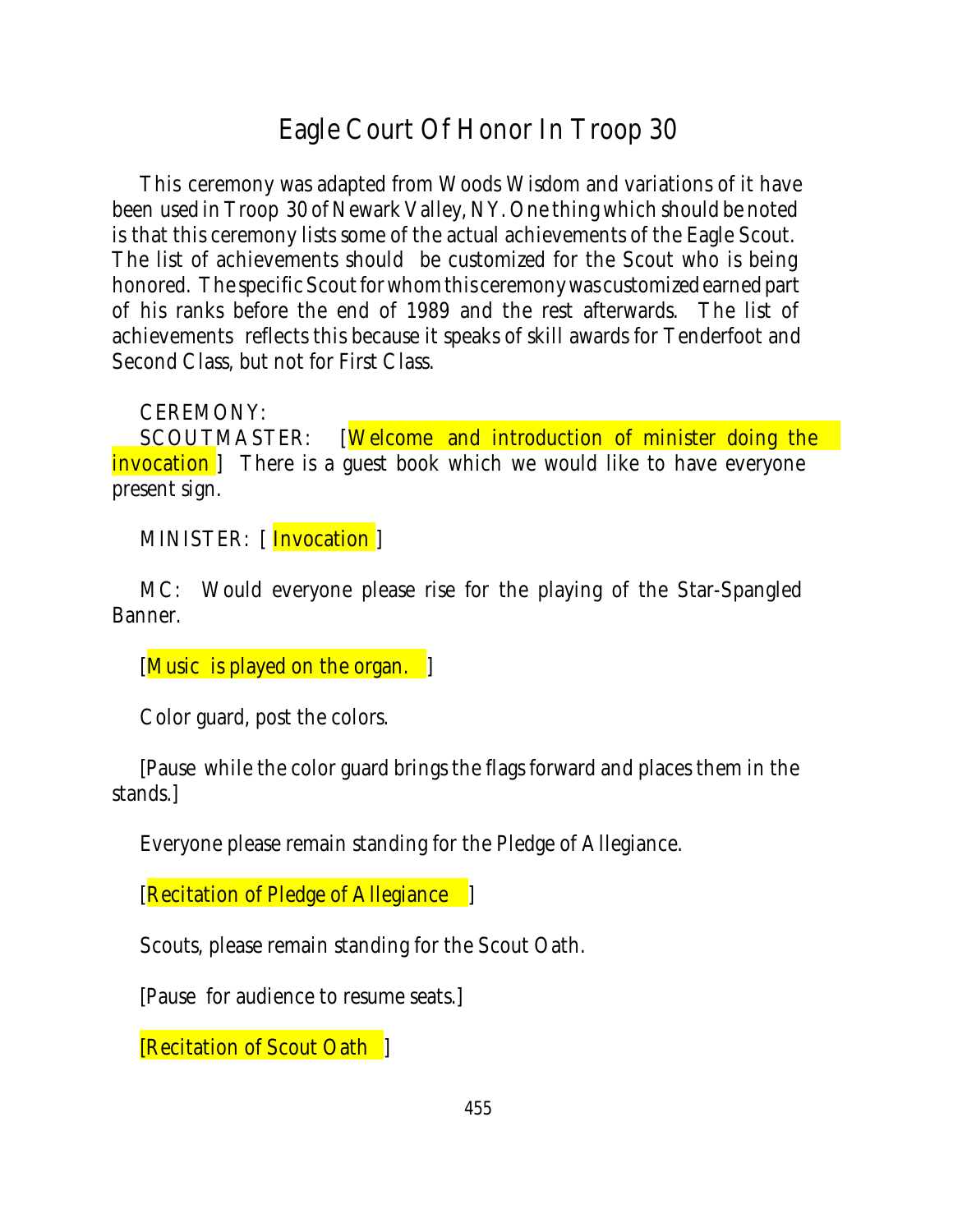## Eagle Court Of Honor In Troop 30

This ceremony was adapted from Woods Wisdom and variations of it have been used in Troop 30 of Newark Valley, NY. One thing which should be noted is that this ceremony lists some of the actual achievements of the Eagle Scout. The list of achievements should be customized for the Scout who is being honored. The specific Scout for whom this ceremony was customized earned part of his ranks before the end of 1989 and the rest afterwards. The list of achievements reflects this because it speaks of skill awards for Tenderfoot and Second Class, but not for First Class.

CEREMONY:

SCOUTMASTER: [Welcome and introduction of minister doing the **invocation** There is a guest book which we would like to have everyone present sign.

MINISTER: [ Invocation ]

MC: Would everyone please rise for the playing of the Star-Spangled Banner.

[Music is played on the organ. ]

Color guard, post the colors.

[Pause while the color guard brings the flags forward and places them in the stands.]

Everyone please remain standing for the Pledge of Allegiance.

[Recitation of Pledge of Allegiance |

Scouts, please remain standing for the Scout Oath.

[Pause for audience to resume seats.]

[Recitation of Scout Oath ]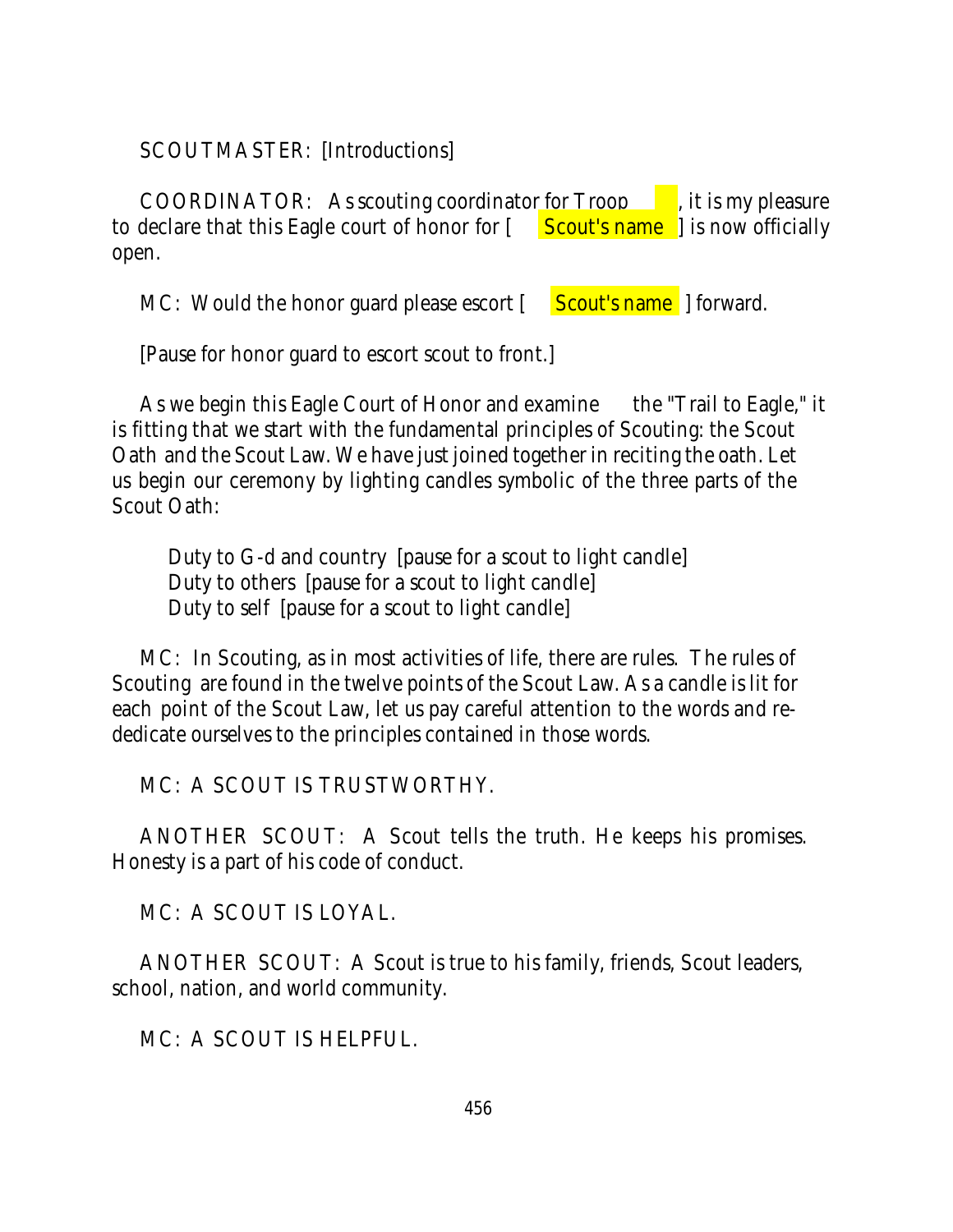SCOUTMASTER: [Introductions]

COORDINATOR: As scouting coordinator for Troop \_\_, it is my pleasure to declare that this Eagle court of honor for  $\lceil \frac{\text{S}\text{cout's name}}{\text{S}\text{cout's name}} \rceil$  is now officially open.

MC: Would the honor guard please escort [ Scout's name ] forward.

[Pause for honor guard to escort scout to front.]

As we begin this Eagle Court of Honor and examine the "Trail to Eagle," it is fitting that we start with the fundamental principles of Scouting: the Scout Oath and the Scout Law. We have just joined together in reciting the oath. Let us begin our ceremony by lighting candles symbolic of the three parts of the Scout Oath:

Duty to G-d and country [pause for a scout to light candle] Duty to others [pause for a scout to light candle] Duty to self [pause for a scout to light candle]

MC: In Scouting, as in most activities of life, there are rules. The rules of Scouting are found in the twelve points of the Scout Law. As a candle is lit for each point of the Scout Law, let us pay careful attention to the words and rededicate ourselves to the principles contained in those words.

MC: A SCOUT IS TRUSTWORTHY.

ANOTHER SCOUT: A Scout tells the truth. He keeps his promises. Honesty is a part of his code of conduct.

MC: A SCOUT IS LOYAL.

ANOTHER SCOUT: A Scout is true to his family, friends, Scout leaders, school, nation, and world community.

MC: A SCOUT IS HELPFUL.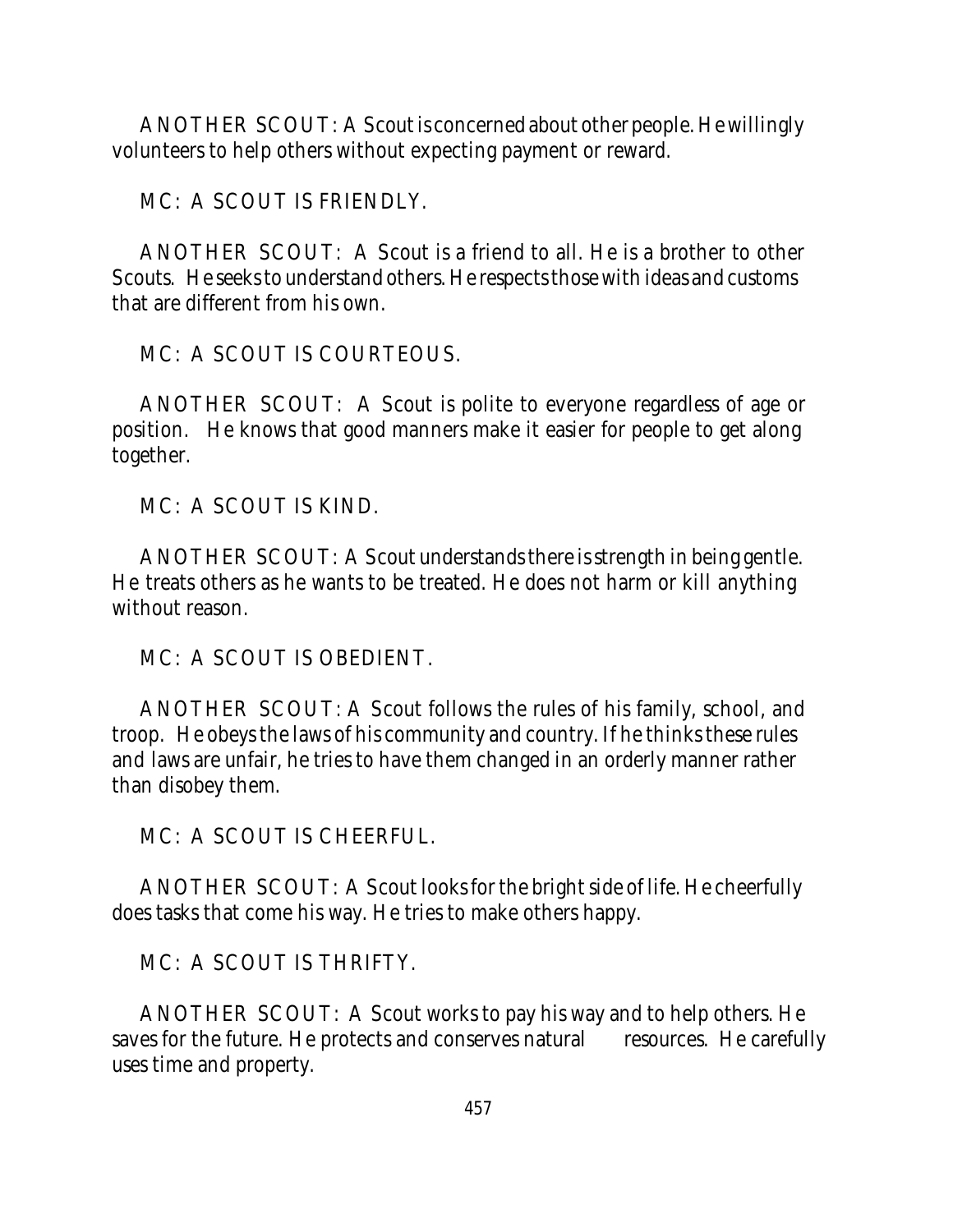ANOTHER SCOUT: A Scout is concerned about other people. He willingly volunteers to help others without expecting payment or reward.

MC: A SCOUT IS FRIENDLY.

ANOTHER SCOUT: A Scout is a friend to all. He is a brother to other Scouts. He seeks to understand others. He respects those with ideas and customs that are different from his own.

MC: A SCOUT IS COURTEOUS.

ANOTHER SCOUT: A Scout is polite to everyone regardless of age or position. He knows that good manners make it easier for people to get along together.

MC: A SCOUT IS KIND.

ANOTHER SCOUT: A Scout understands there is strength in being gentle. He treats others as he wants to be treated. He does not harm or kill anything without reason.

MC: A SCOUT IS OBEDIENT.

ANOTHER SCOUT: A Scout follows the rules of his family, school, and troop. He obeys the laws of his community and country. If he thinks these rules and laws are unfair, he tries to have them changed in an orderly manner rather than disobey them.

MC: A SCOUT IS CHEERFUL.

ANOTHER SCOUT: A Scout looks for the bright side of life. He cheerfully does tasks that come his way. He tries to make others happy.

MC: A SCOUT IS THRIFTY.

ANOTHER SCOUT: A Scout works to pay his way and to help others. He saves for the future. He protects and conserves natural resources. He carefully uses time and property.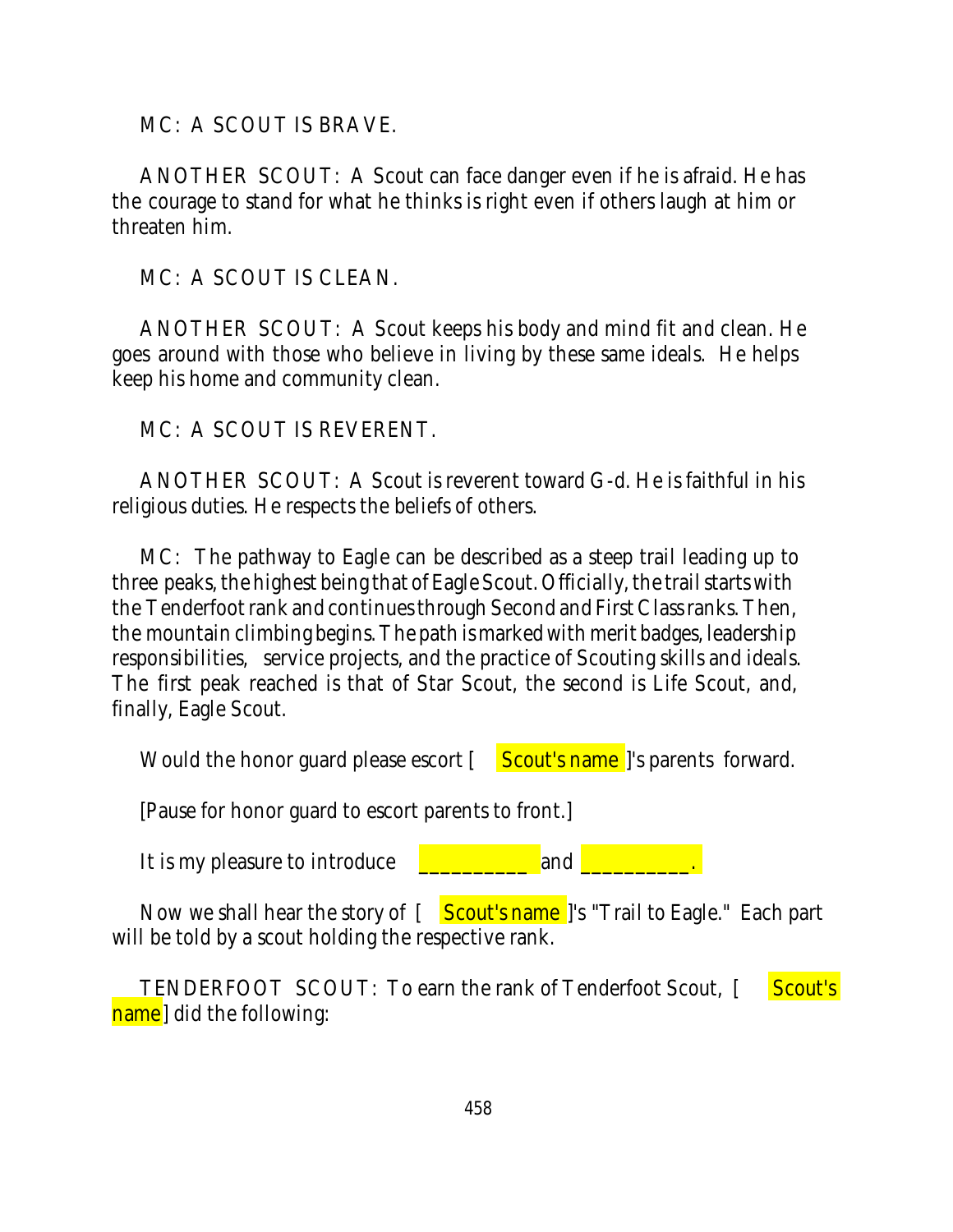MC: A SCOUT IS BRAVE.

ANOTHER SCOUT: A Scout can face danger even if he is afraid. He has the courage to stand for what he thinks is right even if others laugh at him or threaten him.

MC: A SCOUT IS CLEAN.

ANOTHER SCOUT: A Scout keeps his body and mind fit and clean. He goes around with those who believe in living by these same ideals. He helps keep his home and community clean.

MC: A SCOUT IS REVERENT.

ANOTHER SCOUT: A Scout is reverent toward G-d. He is faithful in his religious duties. He respects the beliefs of others.

MC: The pathway to Eagle can be described as a steep trail leading up to three peaks, the highest being that of Eagle Scout. Officially, the trail starts with the Tenderfoot rank and continues through Second and First Class ranks. Then, the mountain climbing begins. The path is marked with merit badges, leadership responsibilities, service projects, and the practice of Scouting skills and ideals. The first peak reached is that of Star Scout, the second is Life Scout, and, finally, Eagle Scout.

Would the honor guard please escort  $\left[ \right]$  Scout's name is parents forward.

[Pause for honor guard to escort parents to front.]

It is my pleasure to introduce <u>Later and Later Later Later Later Later</u>

Now we shall hear the story of [ Scout's name ]'s "Trail to Eagle." Each part will be told by a scout holding the respective rank.

TENDERFOOT SCOUT: To earn the rank of Tenderfoot Scout, [ Scout's name] did the following: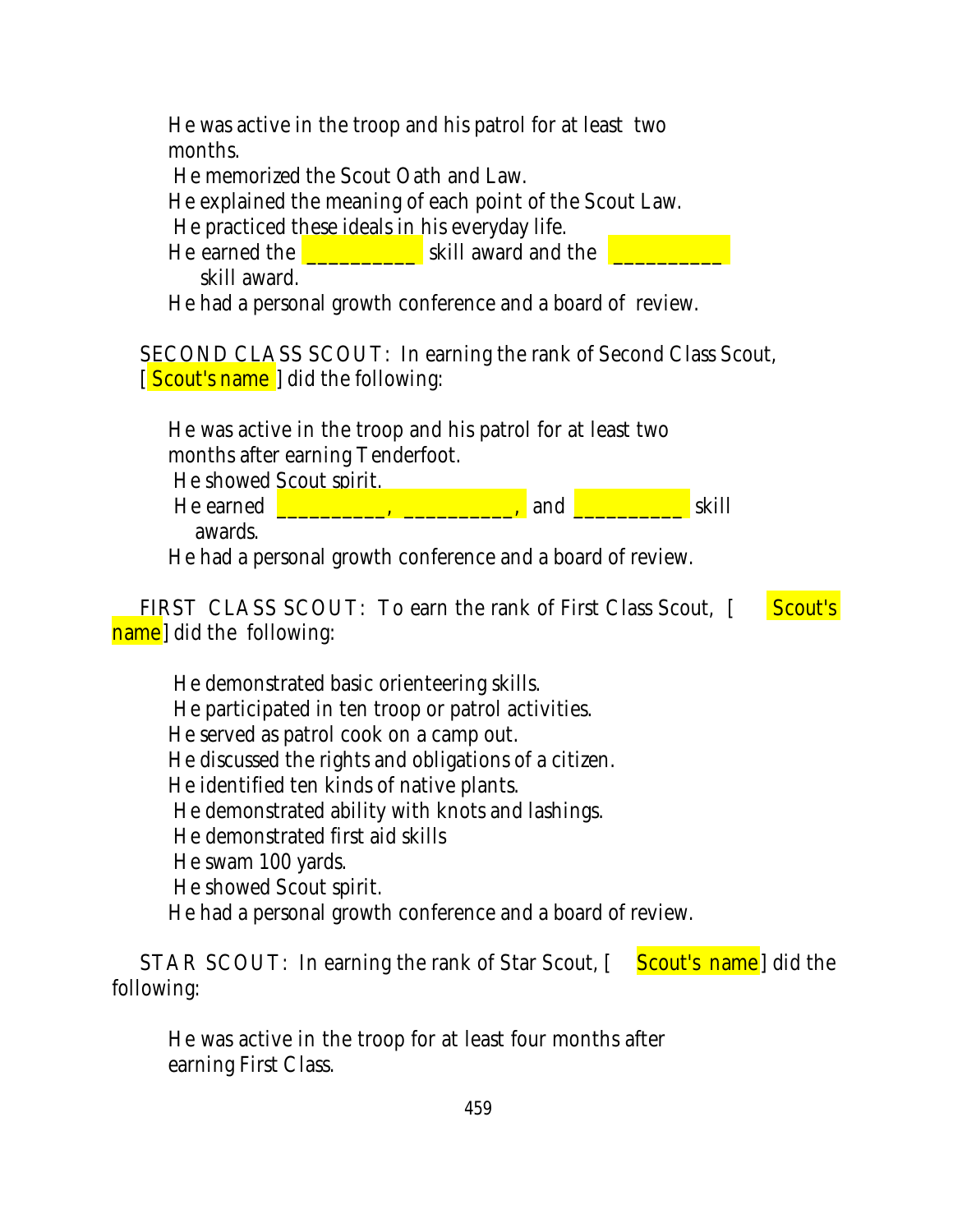He was active in the troop and his patrol for at least two months. He memorized the Scout Oath and Law. He explained the meaning of each point of the Scout Law. He practiced these ideals in his everyday life. He earned the **Latter Latter School** skill award and the **Latter Latter School**  skill award. He had a personal growth conference and a board of review. SECOND CLASS SCOUT: In earning the rank of Second Class Scout, [Scout's name] did the following: He was active in the troop and his patrol for at least two months after earning Tenderfoot. He showed Scout spirit. He earned **Latter Latter Latter and Latter and Latter and Latter School** skill awards. He had a personal growth conference and a board of review. FIRST CLASS SCOUT: To earn the rank of First Class Scout, [ Scout's name did the following: He demonstrated basic orienteering skills. He participated in ten troop or patrol activities. He served as patrol cook on a camp out. He discussed the rights and obligations of a citizen. He identified ten kinds of native plants. He demonstrated ability with knots and lashings. He demonstrated first aid skills He swam 100 yards. He showed Scout spirit. He had a personal growth conference and a board of review. STAR SCOUT: In earning the rank of Star Scout, [ Scout's name] did the following:

He was active in the troop for at least four months after earning First Class.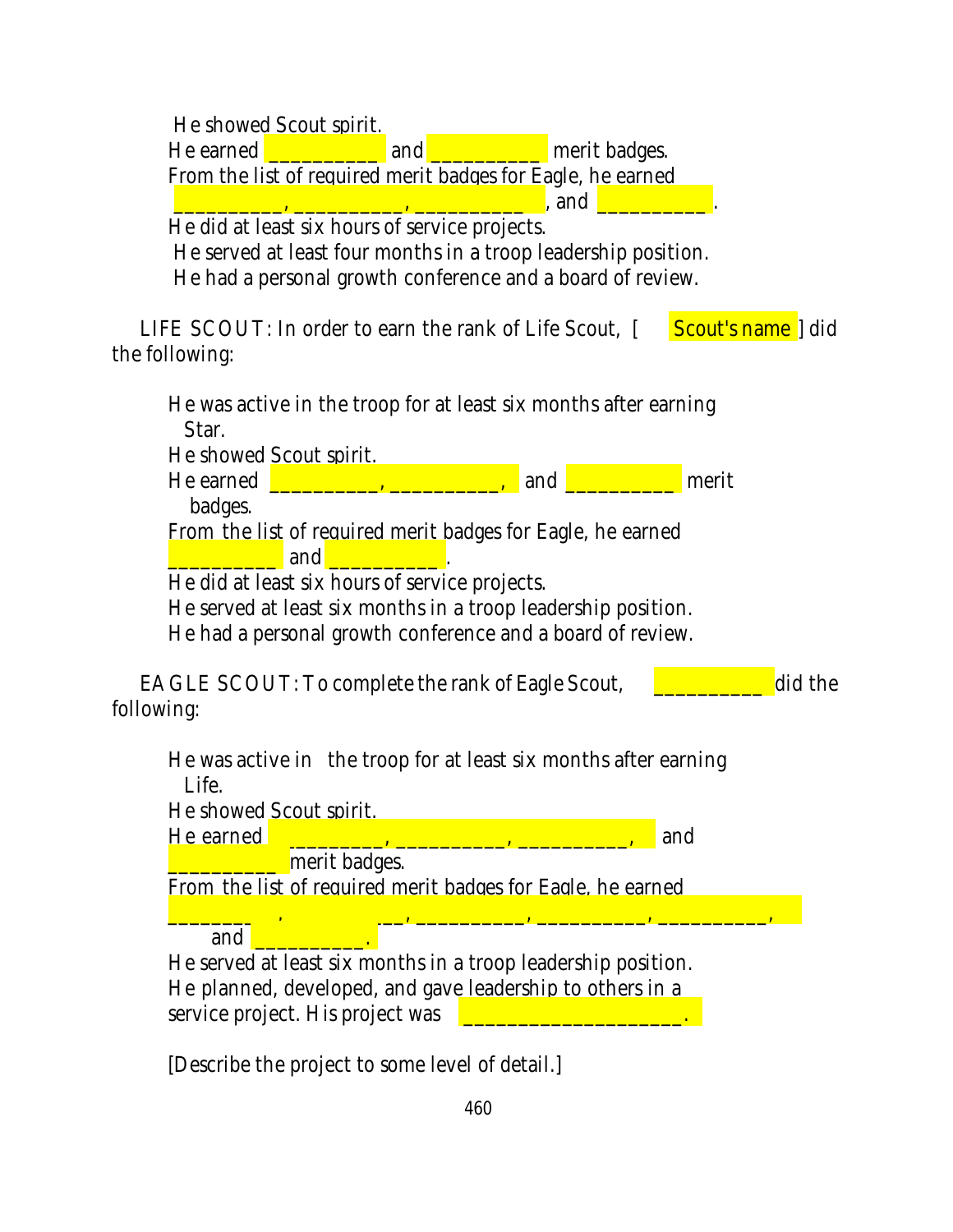| He showed Scout spirit.<br>He earned <b>Later and Allen and Allen Contract Section</b> merit badges.                                                                           |
|--------------------------------------------------------------------------------------------------------------------------------------------------------------------------------|
| From the list of required merit badges for Eagle, he earned                                                                                                                    |
| He did at least six hours of service projects.<br>He served at least four months in a troop leadership position.<br>He had a personal growth conference and a board of review. |
| LIFE SCOUT: In order to earn the rank of Life Scout, [ Scout's name ] did<br>the following:                                                                                    |
| He was active in the troop for at least six months after earning<br>Star.                                                                                                      |
| He showed Scout spirit.                                                                                                                                                        |
| He earned<br>merit<br>badges.                                                                                                                                                  |
| From the list of required merit badges for Eagle, he earned<br>and<br><u>a sa salawan sa sana</u>                                                                              |
| He did at least six hours of service projects.                                                                                                                                 |
| He served at least six months in a troop leadership position.                                                                                                                  |
| He had a personal growth conference and a board of review.                                                                                                                     |
| did the<br>EAGLE SCOUT: To complete the rank of Eagle Scout,<br>following:                                                                                                     |
| He was active in the troop for at least six months after earning<br>Life.                                                                                                      |
| He showed Scout spirit.                                                                                                                                                        |
| He earned<br>and                                                                                                                                                               |
| merit badges.                                                                                                                                                                  |
| From the list of required merit badges for Eagle, he earned                                                                                                                    |
| and                                                                                                                                                                            |
| He served at least six months in a troop leadership position.                                                                                                                  |
| He planned, developed, and gave leadership to others in a                                                                                                                      |
| service project. His project was<br><u> 1990 - Jan Barnett, fransk politik (</u>                                                                                               |
|                                                                                                                                                                                |

[Describe the project to some level of detail.]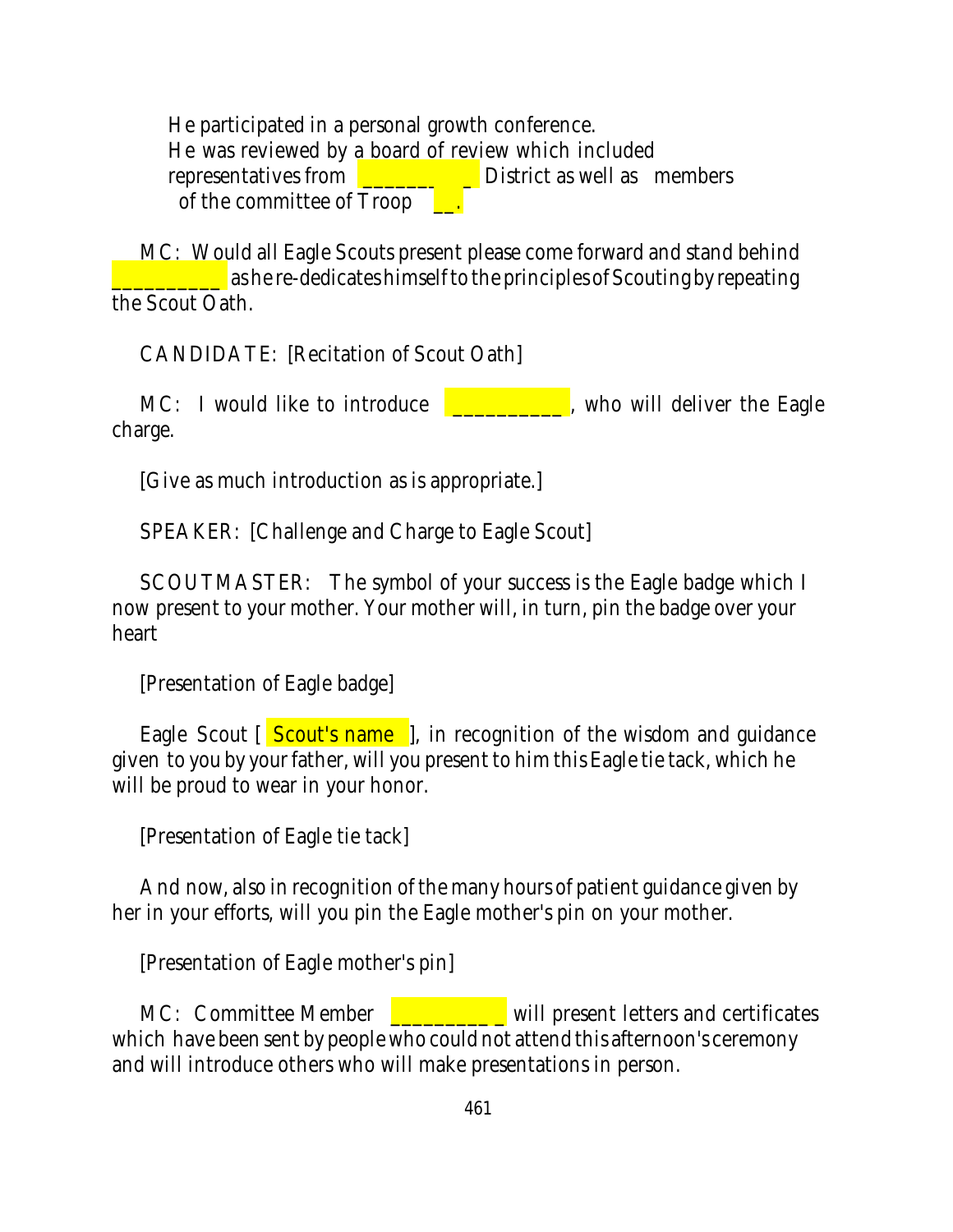He participated in a personal growth conference. He was reviewed by a board of review which included representatives from **Languary 2.1** District as well as members of the committee of Troop

MC: Would all Eagle Scouts present please come forward and stand behind as he re-dedicates himself to the principles of Scouting by repeating the Scout Oath.

CANDIDATE: [Recitation of Scout Oath]

MC: I would like to introduce **LECTER 10.**, who will deliver the Eagle charge.

[Give as much introduction as is appropriate.]

SPEAKER: [Challenge and Charge to Eagle Scout]

SCOUTMASTER: The symbol of your success is the Eagle badge which I now present to your mother. Your mother will, in turn, pin the badge over your heart

[Presentation of Eagle badge]

Eagle Scout [ Scout's name ], in recognition of the wisdom and guidance given to you by your father, will you present to him this Eagle tie tack, which he will be proud to wear in your honor.

[Presentation of Eagle tie tack]

And now, also in recognition of the many hours of patient guidance given by her in your efforts, will you pin the Eagle mother's pin on your mother.

[Presentation of Eagle mother's pin]

MC: Committee Member **LEVING 2008** will present letters and certificates which have been sent by people who could not attend this afternoon's ceremony and will introduce others who will make presentations in person.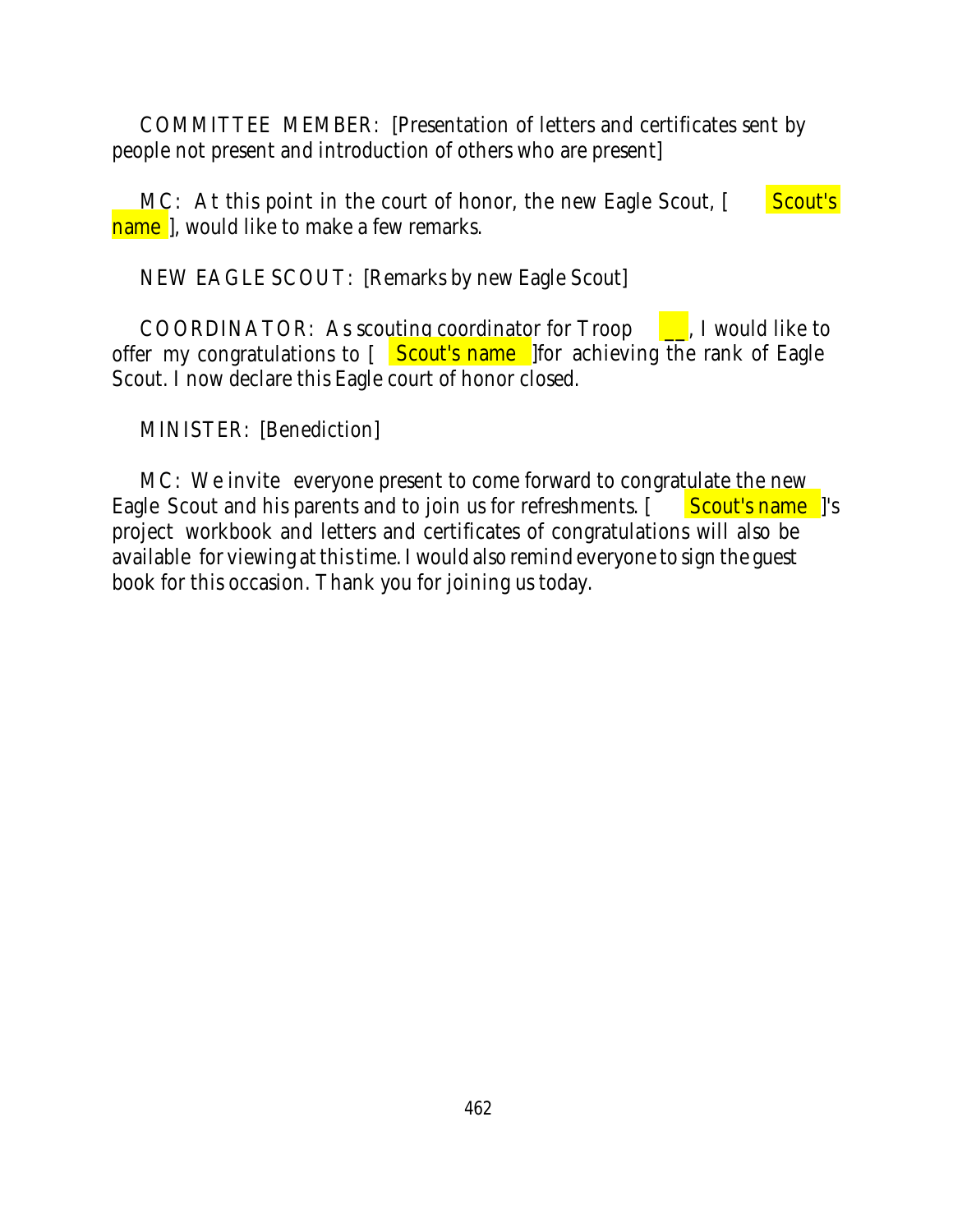COMMITTEE MEMBER: [Presentation of letters and certificates sent by people not present and introduction of others who are present]

MC: At this point in the court of honor, the new Eagle Scout,  $\left[\right]$  Scout's name , would like to make a few remarks.

NEW EAGLE SCOUT: [Remarks by new Eagle Scout]

COORDINATOR: As scouting coordinator for Troop \_\_, I would like to offer my congratulations to  $\left[\right]$  Scout's name for achieving the rank of Eagle Scout. I now declare this Eagle court of honor closed.

MINISTER: [Benediction]

MC: We invite everyone present to come forward to congratulate the new Eagle Scout and his parents and to join us for refreshments.  $[$  Scout's name  $]$ 's project workbook and letters and certificates of congratulations will also be available for viewing at this time. I would also remind everyone to sign the guest book for this occasion. Thank you for joining us today.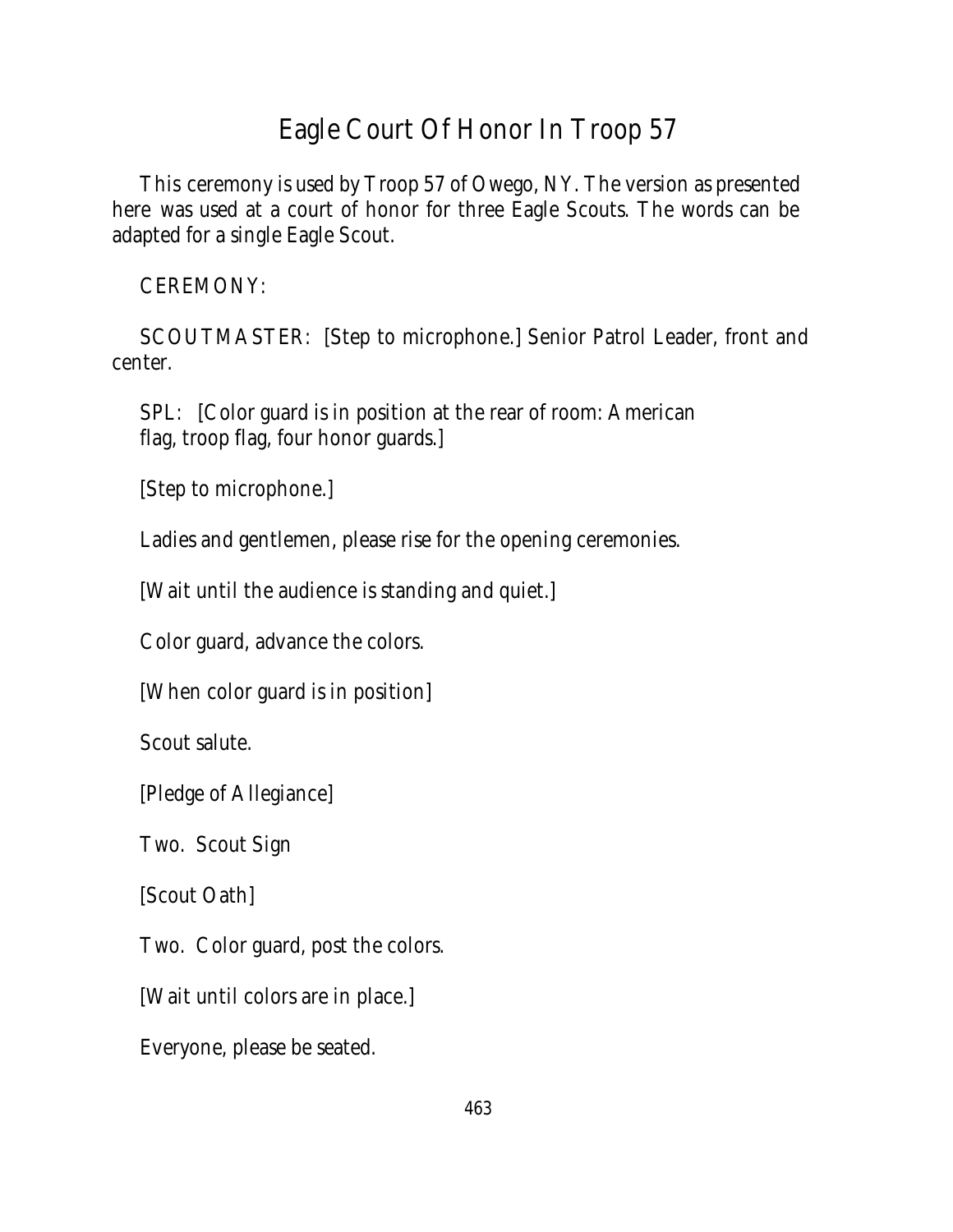## Eagle Court Of Honor In Troop 57

This ceremony is used by Troop 57 of Owego, NY. The version as presented here was used at a court of honor for three Eagle Scouts. The words can be adapted for a single Eagle Scout.

CEREMONY:

SCOUTMASTER: [Step to microphone.] Senior Patrol Leader, front and center.

SPL: [Color guard is in position at the rear of room: American flag, troop flag, four honor guards.]

[Step to microphone.]

Ladies and gentlemen, please rise for the opening ceremonies.

[Wait until the audience is standing and quiet.]

Color guard, advance the colors.

[When color guard is in position]

Scout salute.

[Pledge of Allegiance]

Two. Scout Sign

[Scout Oath]

Two. Color guard, post the colors.

[Wait until colors are in place.]

Everyone, please be seated.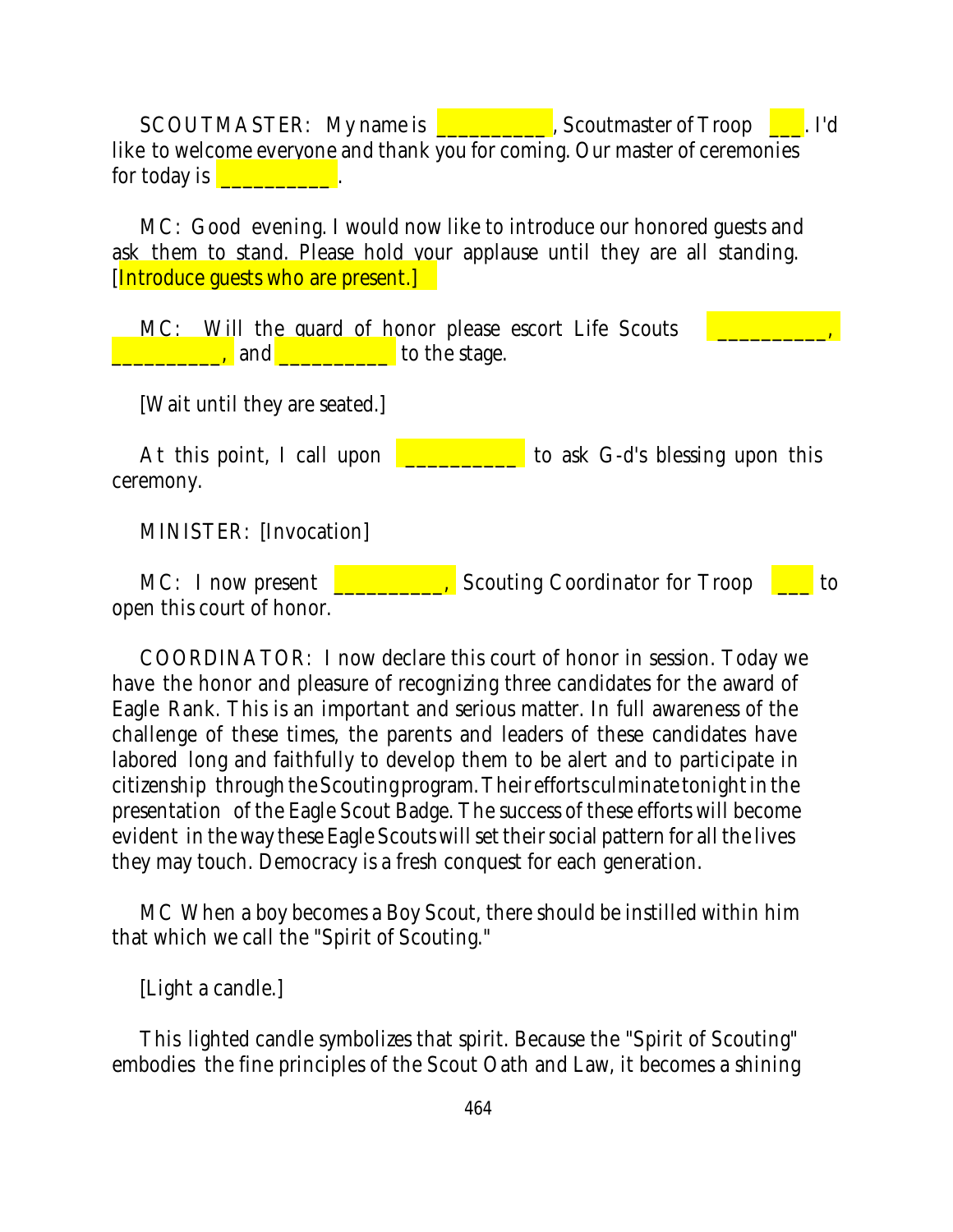SCOUTMASTER: My name is **LEACULT 4**, Scoutmaster of Troop **LE**. I'd like to welcome everyone and thank you for coming. Our master of ceremonies for today is  $\Box$ 

MC: Good evening. I would now like to introduce our honored guests and ask them to stand. Please hold your applause until they are all standing. [Introduce guests who are present.]

MC: Will the guard of honor please escort Life Scouts  $\frac{1}{2}$  and  $\frac{1}{2}$  and  $\frac{1}{2}$  to the stage.

[Wait until they are seated.]

At this point, I call upon **Latter as a controller to ask G-d's** blessing upon this ceremony.

MINISTER: [Invocation]

MC: I now present **LETTE LAN**, Scouting Coordinator for Troop **LA** to open this court of honor.

COORDINATOR: I now declare this court of honor in session. Today we have the honor and pleasure of recognizing three candidates for the award of Eagle Rank. This is an important and serious matter. In full awareness of the challenge of these times, the parents and leaders of these candidates have labored long and faithfully to develop them to be alert and to participate in citizenship through the Scouting program. Their efforts culminate tonight in the presentation of the Eagle Scout Badge. The success of these efforts will become evident in the way these Eagle Scouts will set their social pattern for all the lives they may touch. Democracy is a fresh conquest for each generation.

MC When a boy becomes a Boy Scout, there should be instilled within him that which we call the "Spirit of Scouting."

[Light a candle.]

This lighted candle symbolizes that spirit. Because the "Spirit of Scouting" embodies the fine principles of the Scout Oath and Law, it becomes a shining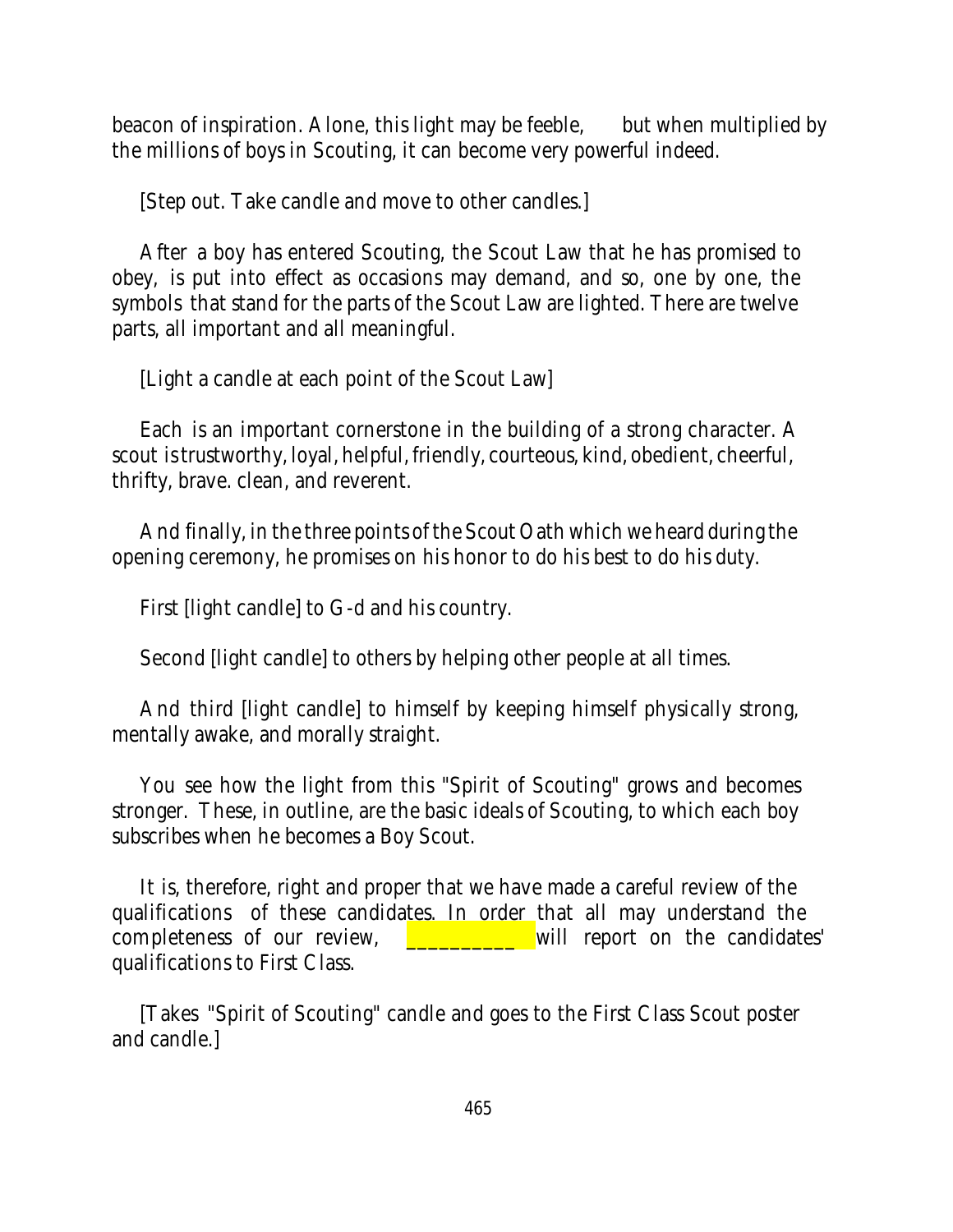beacon of inspiration. Alone, this light may be feeble, but when multiplied by the millions of boys in Scouting, it can become very powerful indeed.

[Step out. Take candle and move to other candles.]

After a boy has entered Scouting, the Scout Law that he has promised to obey, is put into effect as occasions may demand, and so, one by one, the symbols that stand for the parts of the Scout Law are lighted. There are twelve parts, all important and all meaningful.

[Light a candle at each point of the Scout Law]

Each is an important cornerstone in the building of a strong character. A scout is trustworthy, loyal, helpful, friendly, courteous, kind, obedient, cheerful, thrifty, brave. clean, and reverent.

And finally, in the three points of the Scout Oath which we heard during the opening ceremony, he promises on his honor to do his best to do his duty.

First [light candle] to G-d and his country.

Second [light candle] to others by helping other people at all times.

And third [light candle] to himself by keeping himself physically strong, mentally awake, and morally straight.

You see how the light from this "Spirit of Scouting" grows and becomes stronger. These, in outline, are the basic ideals of Scouting, to which each boy subscribes when he becomes a Boy Scout.

It is, therefore, right and proper that we have made a careful review of the qualifications of these candidates. In order that all may understand the completeness of our review, **Later Levitterian Levitterian Completeness** of our review, qualifications to First Class.

[Takes "Spirit of Scouting" candle and goes to the First Class Scout poster and candle.]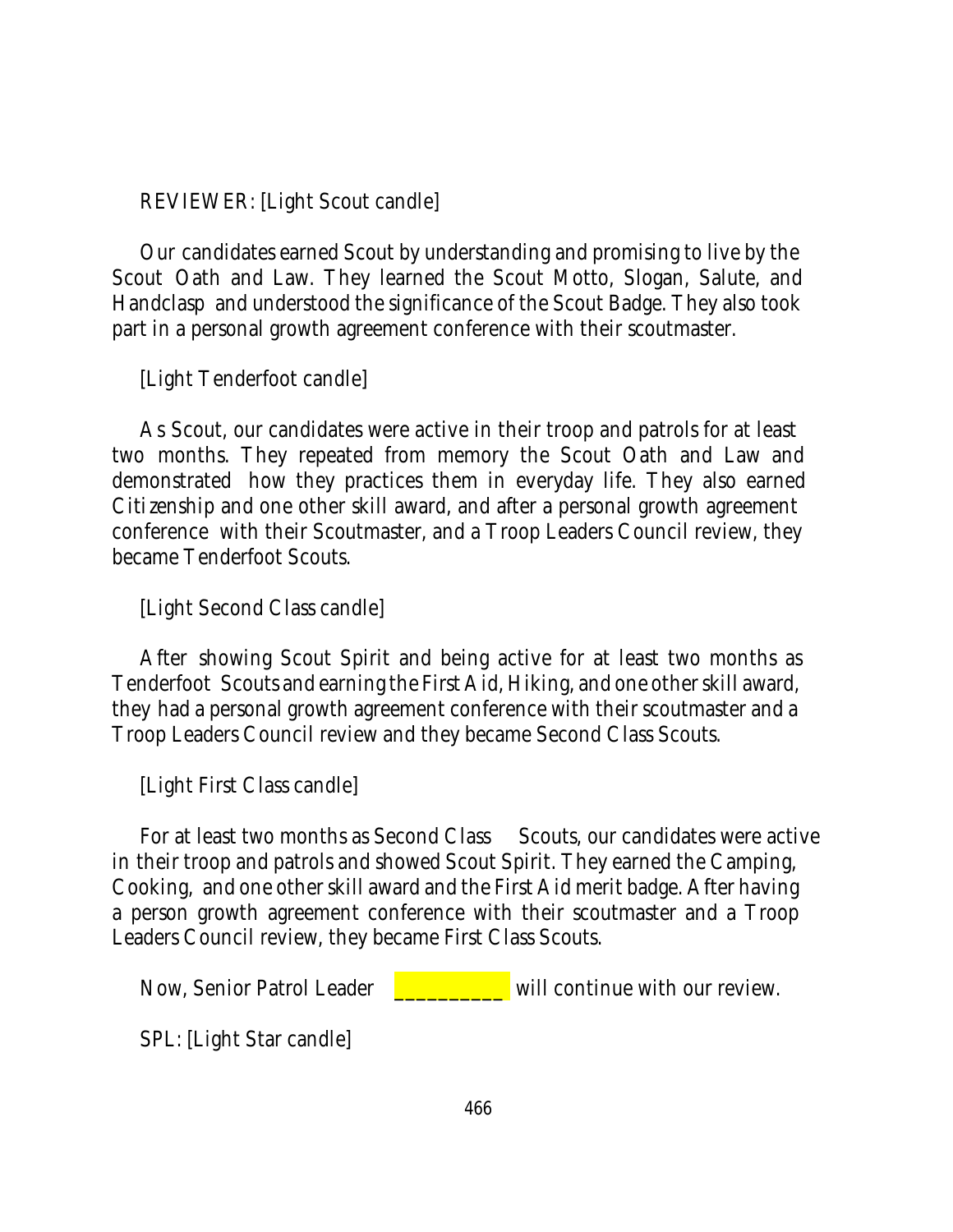#### REVIEWER: [Light Scout candle]

Our candidates earned Scout by understanding and promising to live by the Scout Oath and Law. They learned the Scout Motto, Slogan, Salute, and Handclasp and understood the significance of the Scout Badge. They also took part in a personal growth agreement conference with their scoutmaster.

[Light Tenderfoot candle]

As Scout, our candidates were active in their troop and patrols for at least two months. They repeated from memory the Scout Oath and Law and demonstrated how they practices them in everyday life. They also earned Citizenship and one other skill award, and after a personal growth agreement conference with their Scoutmaster, and a Troop Leaders Council review, they became Tenderfoot Scouts.

[Light Second Class candle]

After showing Scout Spirit and being active for at least two months as Tenderfoot Scouts and earning the First Aid, Hiking, and one other skill award, they had a personal growth agreement conference with their scoutmaster and a Troop Leaders Council review and they became Second Class Scouts.

[Light First Class candle]

For at least two months as Second Class Scouts, our candidates were active in their troop and patrols and showed Scout Spirit. They earned the Camping, Cooking, and one other skill award and the First Aid merit badge. After having a person growth agreement conference with their scoutmaster and a Troop Leaders Council review, they became First Class Scouts.

Now, Senior Patrol Leader **Exercise 20** will continue with our review.

SPL: [Light Star candle]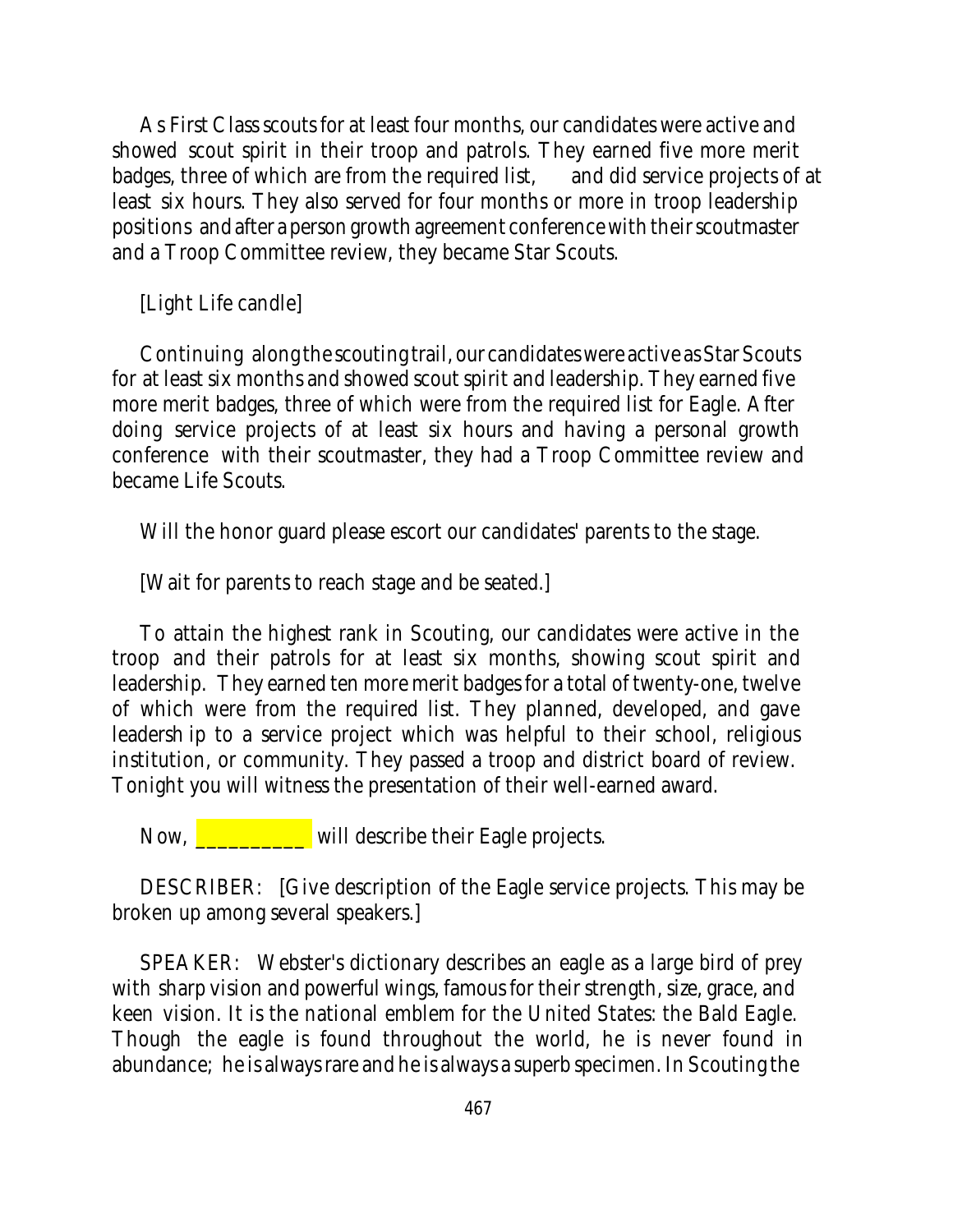As First Class scouts for at least four months, our candidates were active and showed scout spirit in their troop and patrols. They earned five more merit badges, three of which are from the required list, and did service projects of at least six hours. They also served for four months or more in troop leadership positions and after a person growth agreement conference with their scoutmaster and a Troop Committee review, they became Star Scouts.

[Light Life candle]

Continuing along the scouting trail, our candidates were active as Star Scouts for at least six months and showed scout spirit and leadership. They earned five more merit badges, three of which were from the required list for Eagle. After doing service projects of at least six hours and having a personal growth conference with their scoutmaster, they had a Troop Committee review and became Life Scouts.

Will the honor guard please escort our candidates' parents to the stage.

[Wait for parents to reach stage and be seated.]

To attain the highest rank in Scouting, our candidates were active in the troop and their patrols for at least six months, showing scout spirit and leadership. They earned ten more merit badges for a total of twenty-one, twelve of which were from the required list. They planned, developed, and gave leadersh ip to a service project which was helpful to their school, religious institution, or community. They passed a troop and district board of review. Tonight you will witness the presentation of their well-earned award.

Now, **Now, Will describe their Eagle projects.** 

DESCRIBER: [Give description of the Eagle service projects. This may be broken up among several speakers.]

SPEAKER: Webster's dictionary describes an eagle as a large bird of prey with sharp vision and powerful wings, famous for their strength, size, grace, and keen vision. It is the national emblem for the United States: the Bald Eagle. Though the eagle is found throughout the world, he is never found in abundance; he is always rare and he is always a superb specimen. In Scouting the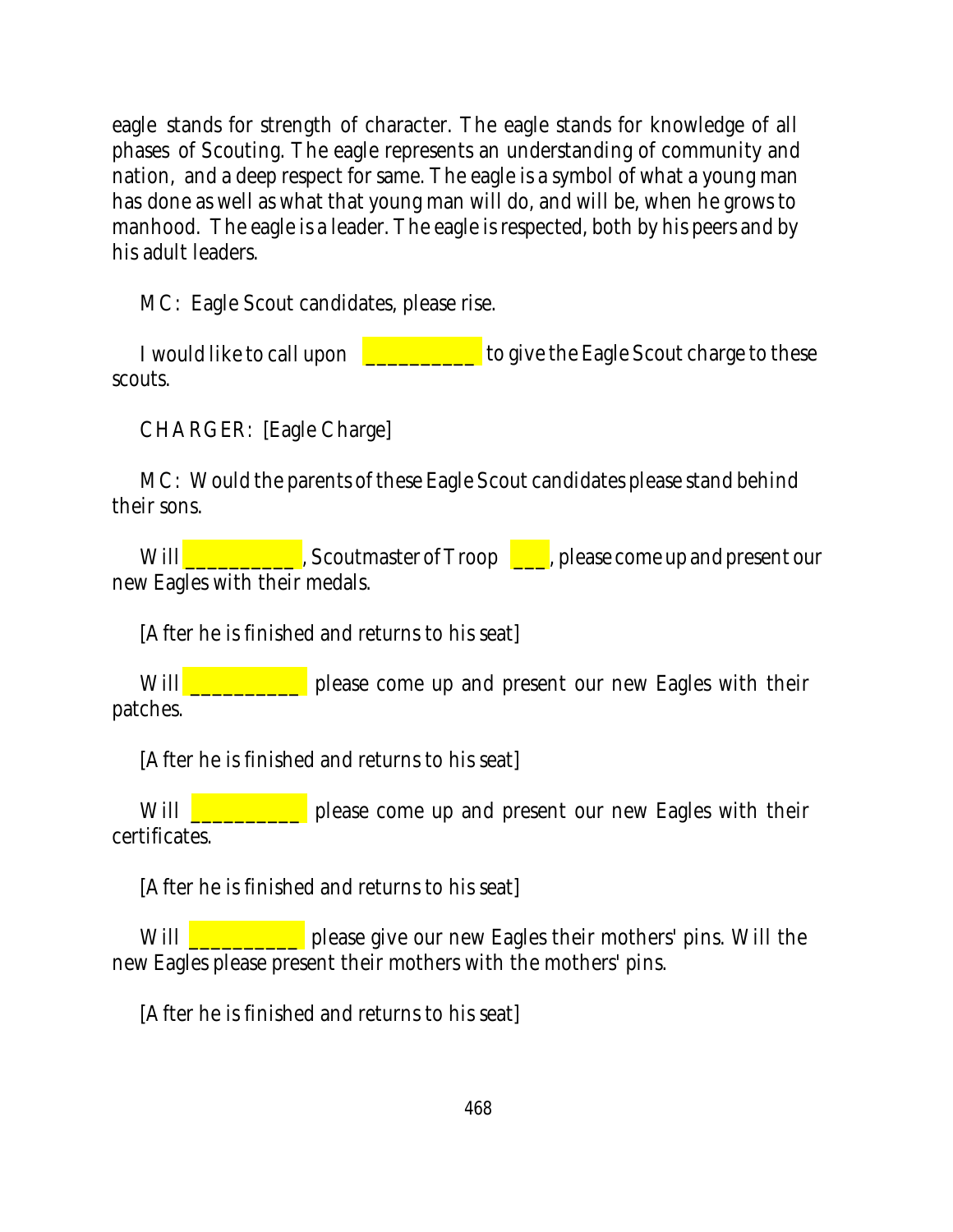eagle stands for strength of character. The eagle stands for knowledge of all phases of Scouting. The eagle represents an understanding of community and nation, and a deep respect for same. The eagle is a symbol of what a young man has done as well as what that young man will do, and will be, when he grows to manhood. The eagle is a leader. The eagle is respected, both by his peers and by his adult leaders.

MC: Eagle Scout candidates, please rise.

I would like to call upon  $\boxed{\phantom{a} \phantom{a}}$  to give the Eagle Scout charge to these scouts.

CHARGER: [Eagle Charge]

MC: Would the parents of these Eagle Scout candidates please stand behind their sons.

Will  $\frac{N}{N}$  , Scoutmaster of Troop  $\frac{N}{N}$ , please come up and present our new Eagles with their medals.

[After he is finished and returns to his seat]

Will **Will Will Will Will Will Will Will Will Will Will Will Will Will Will Will Will Will Will Will Will Will Will Will Will Will Will Will Will Will Will Will** patches.

[After he is finished and returns to his seat]

Will **Will Will EXECUTE:** please come up and present our new Eagles with their certificates.

[After he is finished and returns to his seat]

Will **Will Will Will Will Will** the new Eagles please present their mothers with the mothers' pins.

[After he is finished and returns to his seat]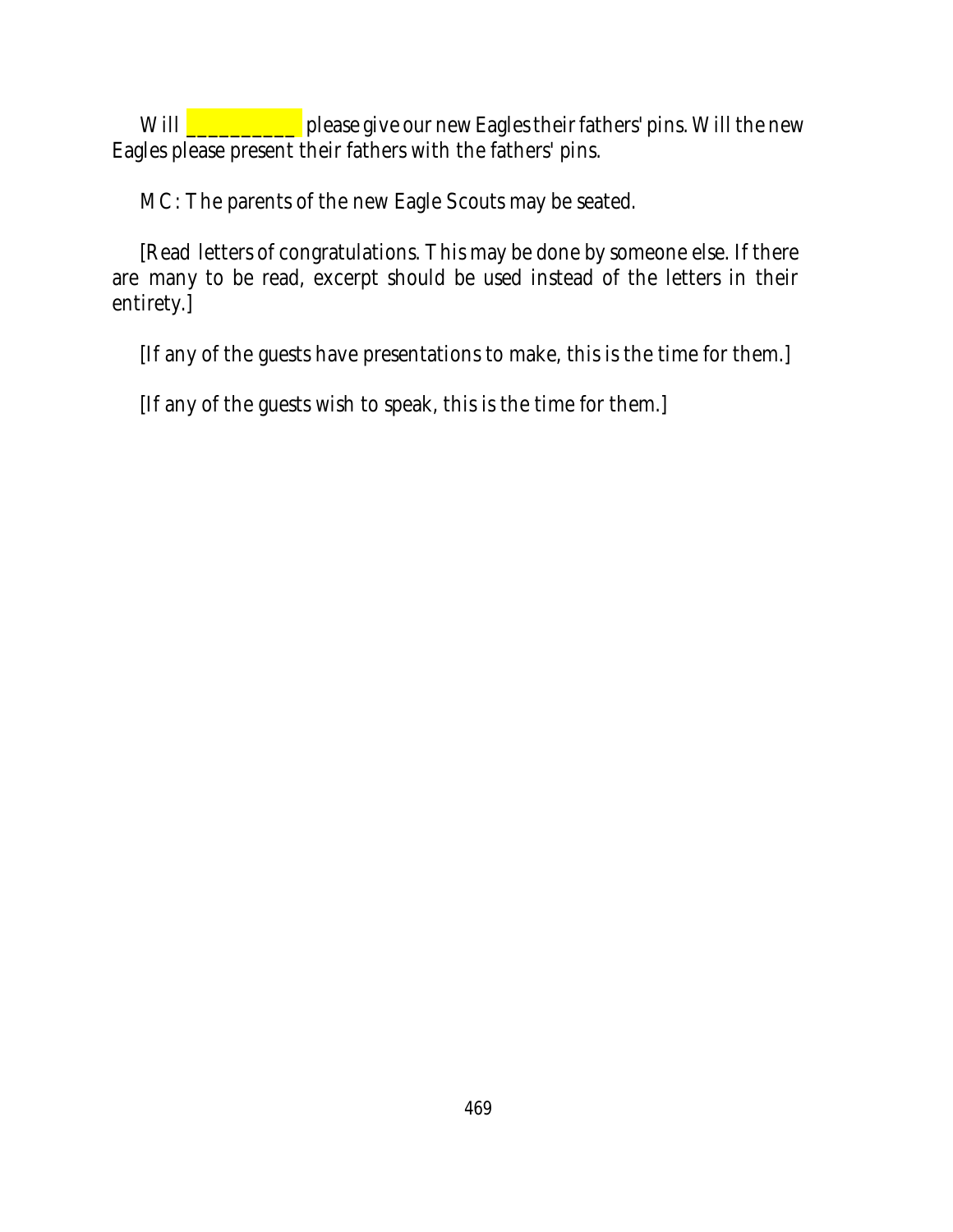Will **Will Will Will Will Will** the new please give our new Eagles their fathers' pins. Will the new Eagles please present their fathers with the fathers' pins.

MC: The parents of the new Eagle Scouts may be seated.

[Read letters of congratulations. This may be done by someone else. If there are many to be read, excerpt should be used instead of the letters in their entirety.]

[If any of the guests have presentations to make, this is the time for them.]

[If any of the guests wish to speak, this is the time for them.]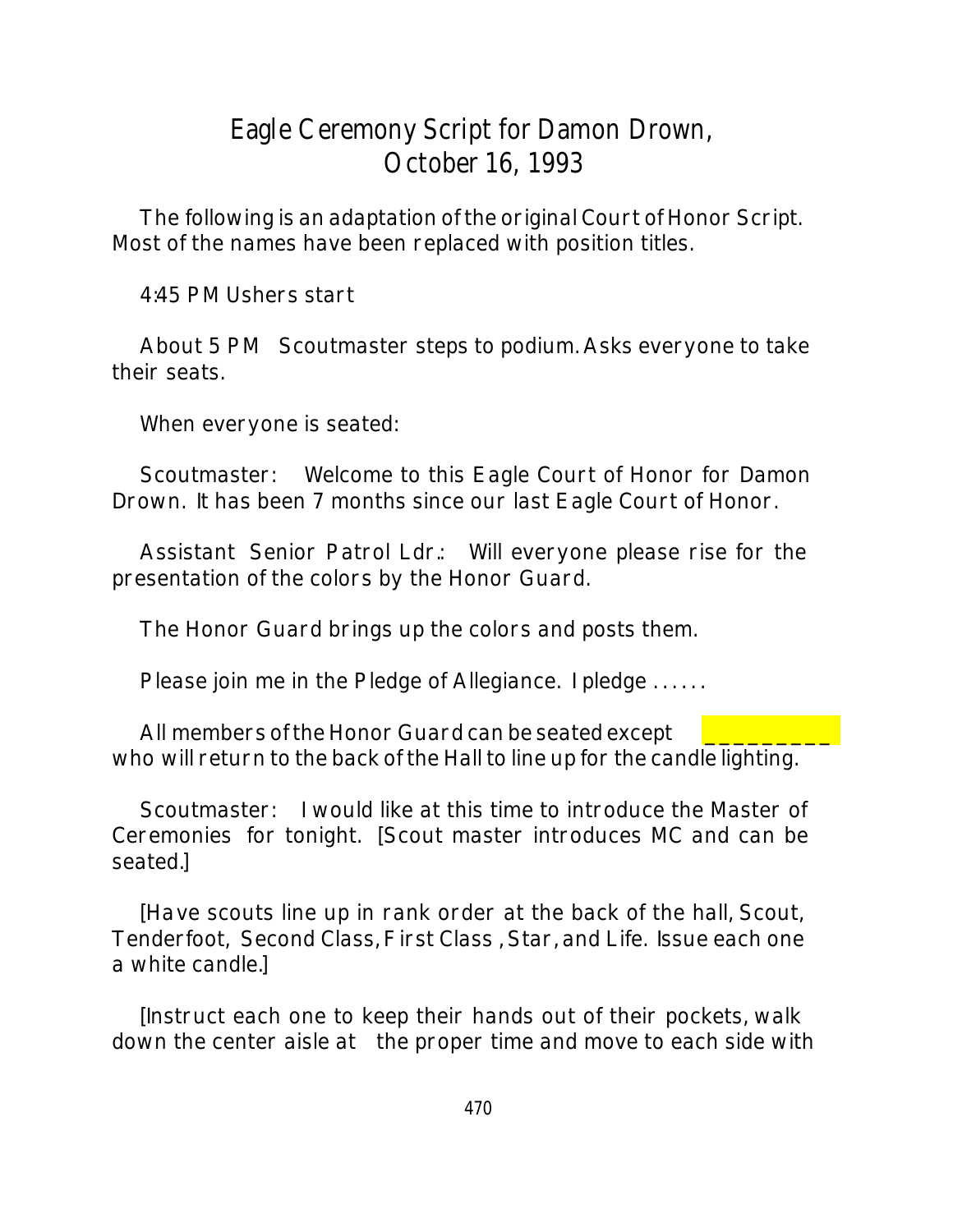### Eagle Ceremony Script for Damon Drown, October 16, 1993

The following is an adaptation of the original Court of Honor Script. Most of the names have been replaced with position titles.

4:45 PM Ushers start

About 5 PM Scoutmaster steps to podium. Asks everyone to take their seats.

When everyone is seated:

Scoutmaster: Welcome to this Eagle Court of Honor for Damon Drown. It has been 7 months since our last Eagle Court of Honor.

Assistant Senior Patrol Ldr.: Will everyone please rise for the presentation of the colors by the Honor Guard.

The Honor Guard brings up the colors and posts them.

Please join me in the Pledge of Allegiance. I pledge . . . . . .

All members of the Honor Guard can be seated except who will return to the back of the Hall to line up for the candle lighting.

Scoutmaster: I would like at this time to introduce the Master of Ceremonies for tonight. [Scout master introduces MC and can be seated.]

[Have scouts line up in rank order at the back of the hall, Scout, Tenderfoot, Second Class, First Class , Star, and Life. Issue each one a white candle.]

[Instruct each one to keep their hands out of their pockets, walk down the center aisle at the proper time and move to each side with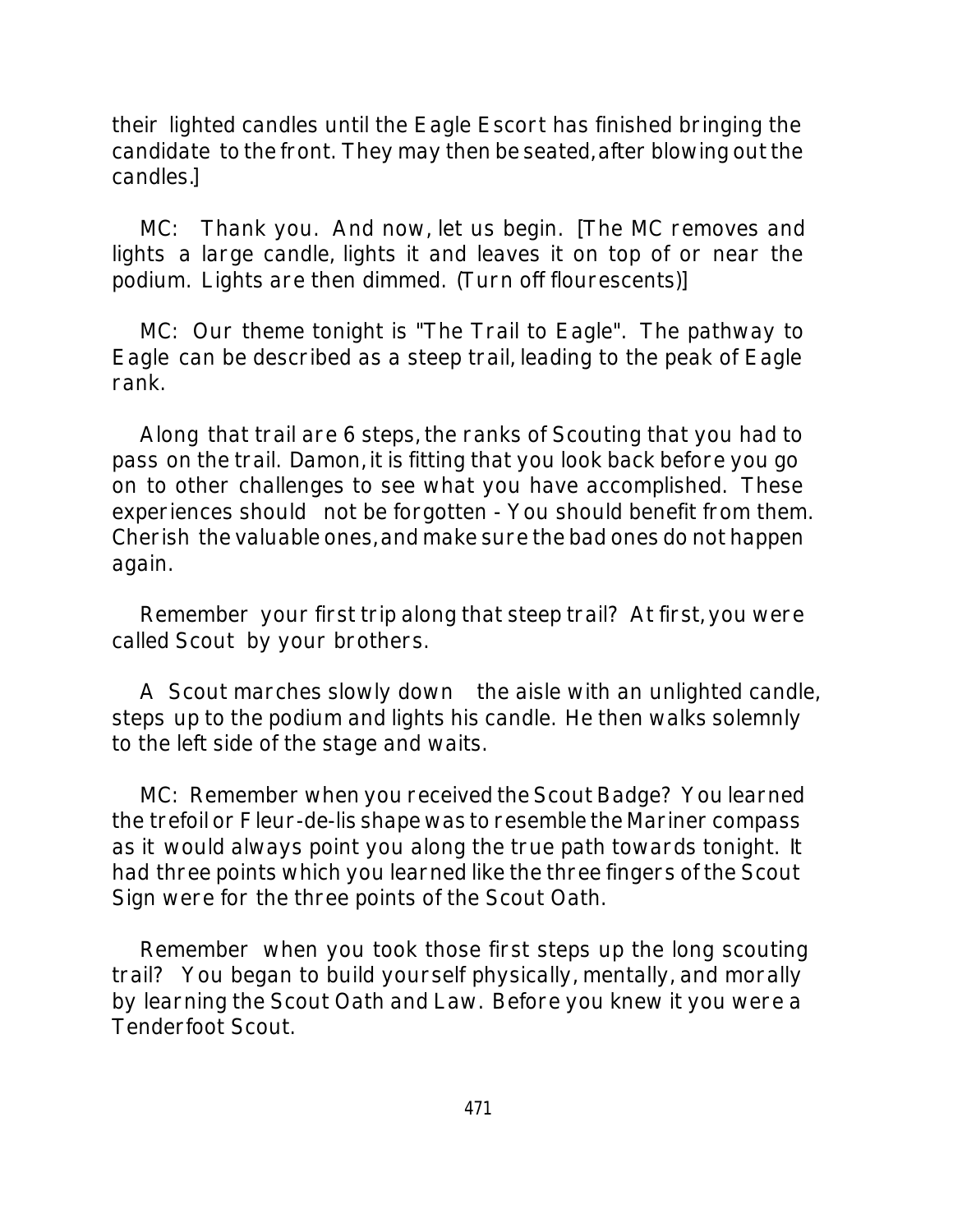their lighted candles until the Eagle Escort has finished bringing the candidate to the front. They may then be seated, after blowing out the candles.]

MC: Thank you. And now, let us begin. [The MC removes and lights a large candle, lights it and leaves it on top of or near the podium. Lights are then dimmed. (Turn off flourescents)]

MC: Our theme tonight is "The Trail to Eagle". The pathway to Eagle can be described as a steep trail, leading to the peak of Eagle rank.

Along that trail are 6 steps, the ranks of Scouting that you had to pass on the trail. Damon, it is fitting that you look back before you go on to other challenges to see what you have accomplished. These experiences should not be forgotten - You should benefit from them. Cherish the valuable ones, and make sure the bad ones do not happen again.

Remember your first trip along that steep trail? At first, you were called Scout by your brothers.

A Scout marches slowly down the aisle with an unlighted candle, steps up to the podium and lights his candle. He then walks solemnly to the left side of the stage and waits.

MC: Remember when you received the Scout Badge? You learned the trefoil or Fleur-de-lis shape was to resemble the Mariner compass as it would always point you along the true path towards tonight. It had three points which you learned like the three fingers of the Scout Sign were for the three points of the Scout Oath.

Remember when you took those first steps up the long scouting trail? You began to build yourself physically, mentally, and morally by learning the Scout Oath and Law. Before you knew it you were a Tenderfoot Scout.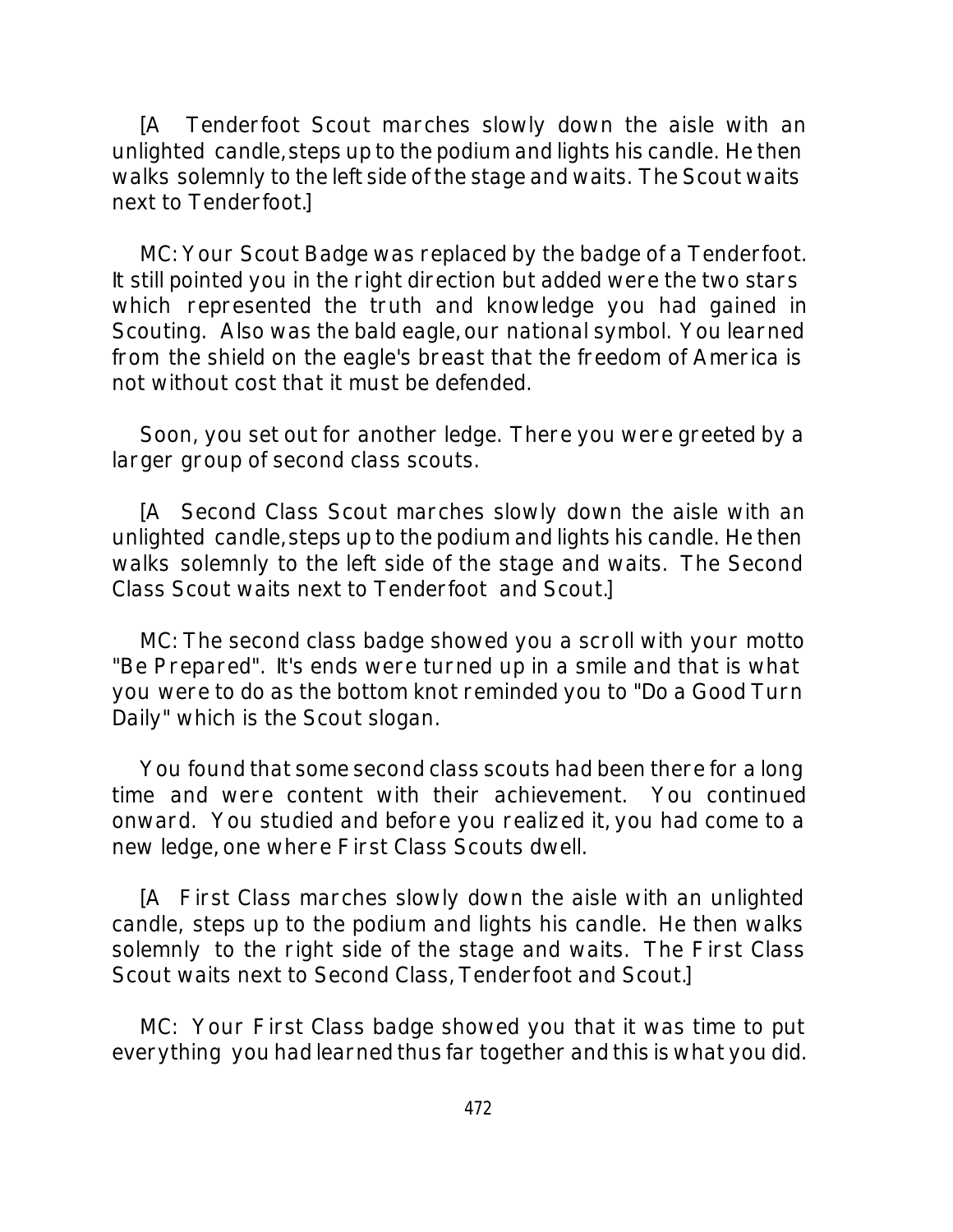[A Tenderfoot Scout marches slowly down the aisle with an unlighted candle, steps up to the podium and lights his candle. He then walks solemnly to the left side of the stage and waits. The Scout waits next to Tenderfoot.]

MC: Your Scout Badge was replaced by the badge of a Tenderfoot. It still pointed you in the right direction but added were the two stars which represented the truth and knowledge you had gained in Scouting. Also was the bald eagle, our national symbol. You learned from the shield on the eagle's breast that the freedom of America is not without cost that it must be defended.

Soon, you set out for another ledge. There you were greeted by a larger group of second class scouts.

[A Second Class Scout marches slowly down the aisle with an unlighted candle, steps up to the podium and lights his candle. He then walks solemnly to the left side of the stage and waits. The Second Class Scout waits next to Tenderfoot and Scout.]

MC: The second class badge showed you a scroll with your motto "Be Prepared". It's ends were turned up in a smile and that is what you were to do as the bottom knot reminded you to "Do a Good Turn Daily" which is the Scout slogan.

You found that some second class scouts had been there for a long time and were content with their achievement. You continued onward. You studied and before you realized it, you had come to a new ledge, one where First Class Scouts dwell.

[A First Class marches slowly down the aisle with an unlighted candle, steps up to the podium and lights his candle. He then walks solemnly to the right side of the stage and waits. The First Class Scout waits next to Second Class, Tenderfoot and Scout.]

MC: Your First Class badge showed you that it was time to put everything you had learned thus far together and this is what you did.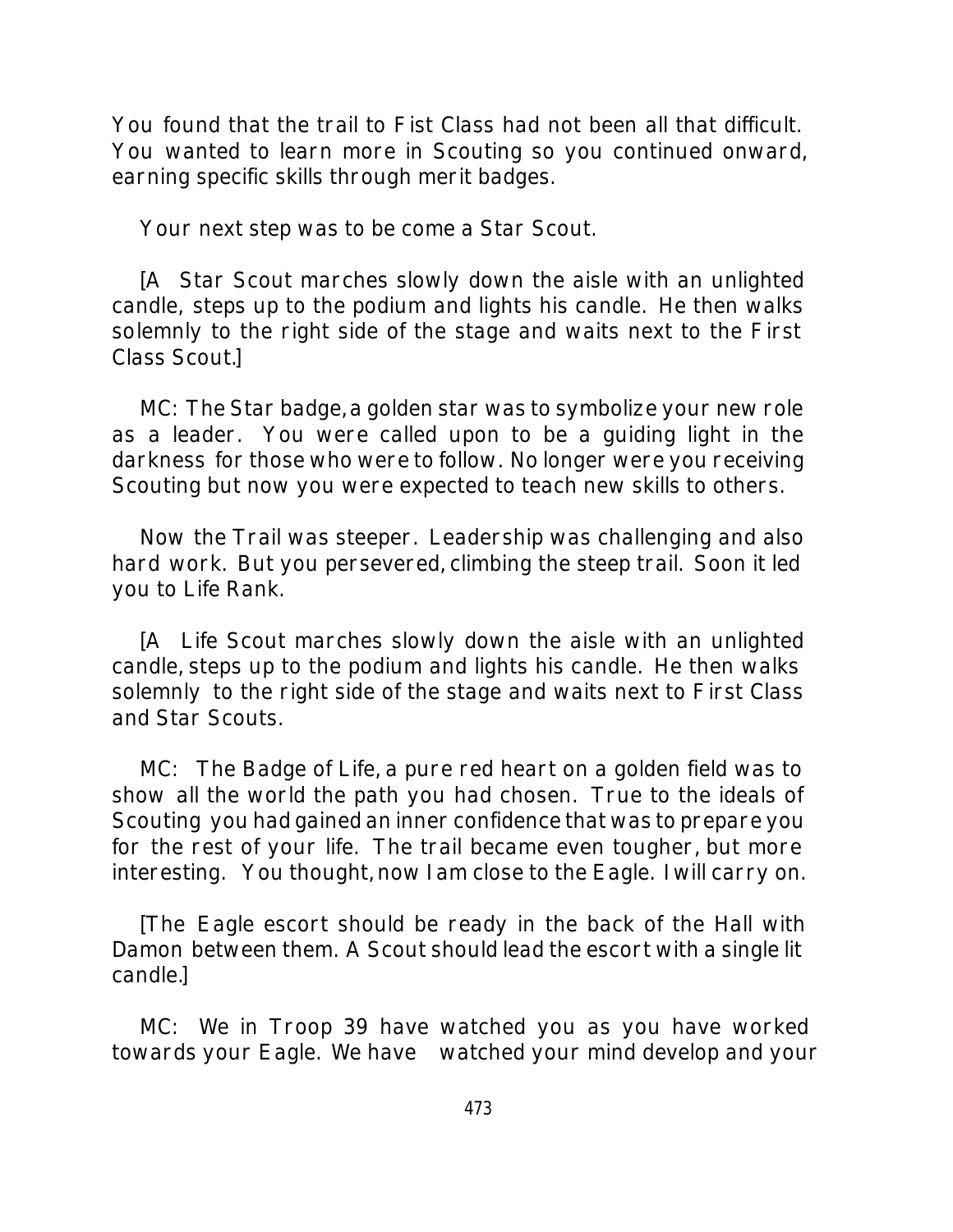You found that the trail to Fist Class had not been all that difficult. You wanted to learn more in Scouting so you continued onward, earning specific skills through merit badges.

Your next step was to be come a Star Scout.

[A Star Scout marches slowly down the aisle with an unlighted candle, steps up to the podium and lights his candle. He then walks solemnly to the right side of the stage and waits next to the First Class Scout.]

MC: The Star badge, a golden star was to symbolize your new role as a leader. You were called upon to be a guiding light in the darkness for those who were to follow. No longer were you receiving Scouting but now you were expected to teach new skills to others.

Now the Trail was steeper. Leadership was challenging and also hard work. But you persevered, climbing the steep trail. Soon it led you to Life Rank.

[A Life Scout marches slowly down the aisle with an unlighted candle, steps up to the podium and lights his candle. He then walks solemnly to the right side of the stage and waits next to First Class and Star Scouts.

MC: The Badge of Life, a pure red heart on a golden field was to show all the world the path you had chosen. True to the ideals of Scouting you had gained an inner confidence that was to prepare you for the rest of your life. The trail became even tougher, but more interesting. You thought, now I am close to the Eagle. I will carry on.

[The Eagle escort should be ready in the back of the Hall with Damon between them. A Scout should lead the escort with a single lit candle.]

MC: We in Troop 39 have watched you as you have worked towards your Eagle. We have watched your mind develop and your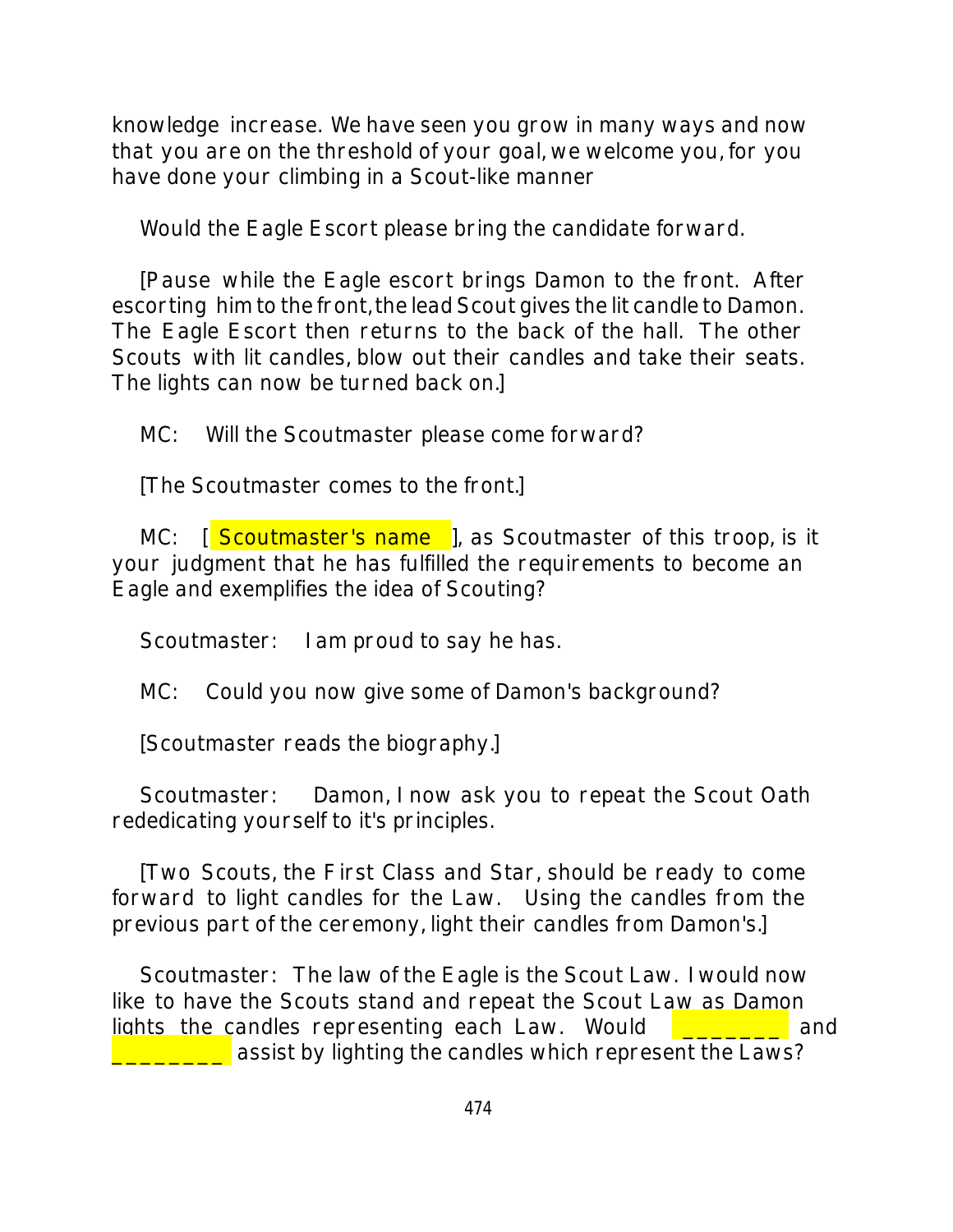knowledge increase. We have seen you grow in many ways and now that you are on the threshold of your goal, we welcome you, for you have done your climbing in a Scout-like manner

Would the Eagle Escort please bring the candidate forward.

[Pause while the Eagle escort brings Damon to the front. After escorting him to the front, the lead Scout gives the lit candle to Damon. The Eagle Escort then returns to the back of the hall. The other Scouts with lit candles, blow out their candles and take their seats. The lights can now be turned back on.]

MC: Will the Scoutmaster please come forward?

[The Scoutmaster comes to the front.]

MC: [ Scoutmaster's name ], as Scoutmaster of this troop, is it your judgment that he has fulfilled the requirements to become an Eagle and exemplifies the idea of Scouting?

Scoutmaster: I am proud to say he has.

MC: Could you now give some of Damon's background?

[Scoutmaster reads the biography.]

Scoutmaster: Damon, I now ask you to repeat the Scout Oath rededicating yourself to it's principles.

[Two Scouts, the First Class and Star, should be ready to come forward to light candles for the Law. Using the candles from the previous part of the ceremony, light their candles from Damon's.]

Scoutmaster: The law of the Eagle is the Scout Law. I would now like to have the Scouts stand and repeat the Scout Law as Damon lights the candles representing each Law. Would **Law.** and **with a set of the candles which represent the Laws?**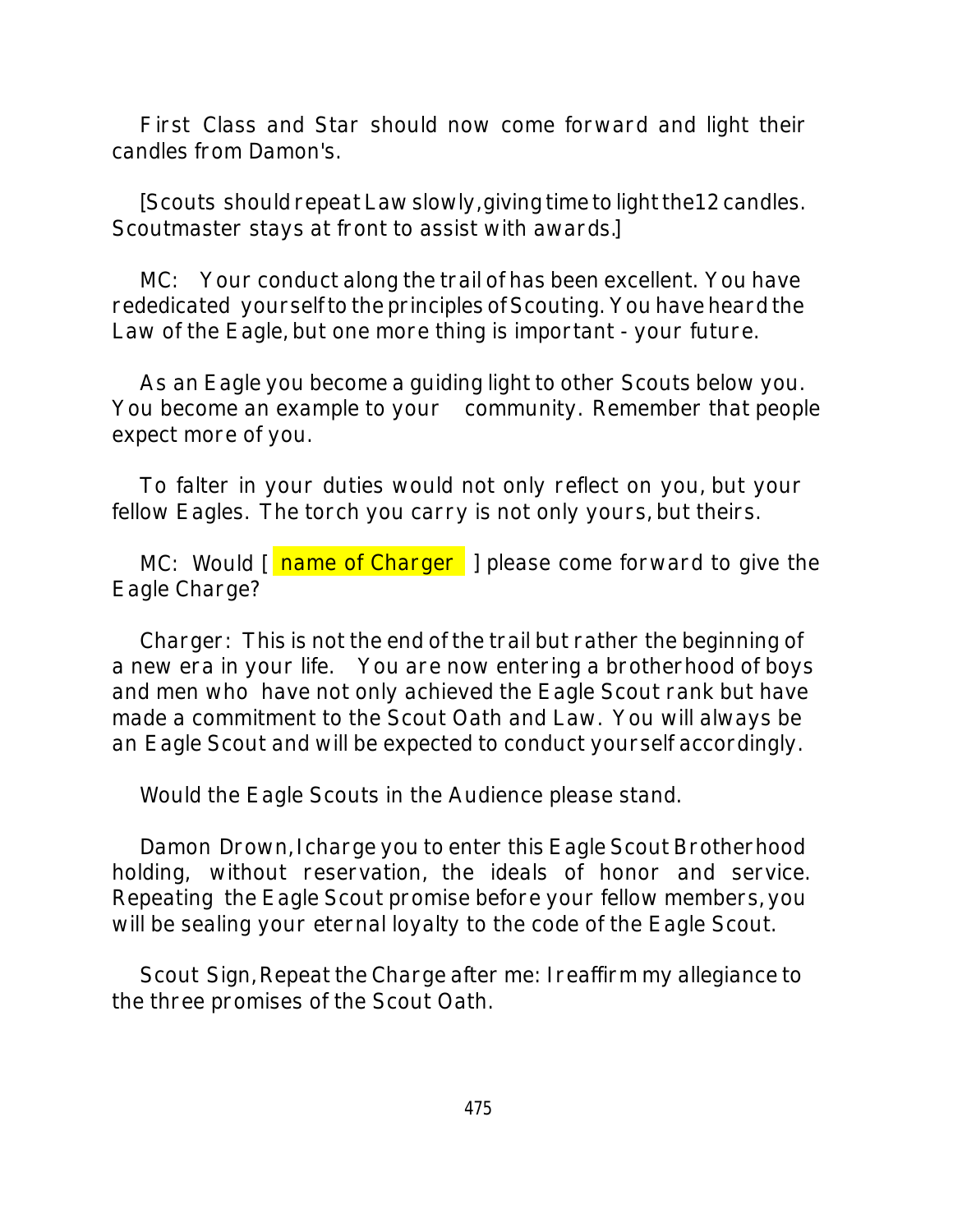First Class and Star should now come forward and light their candles from Damon's.

[Scouts should repeat Law slowly, giving time to light the12 candles. Scoutmaster stays at front to assist with awards.]

MC: Your conduct along the trail of has been excellent. You have rededicated yourself to the principles of Scouting. You have heard the Law of the Eagle, but one more thing is important - your future.

As an Eagle you become a guiding light to other Scouts below you. You become an example to your community. Remember that people expect more of you.

To falter in your duties would not only reflect on you, but your fellow Eagles. The torch you carry is not only yours, but theirs.

MC: Would [ name of Charger ] please come forward to give the Eagle Charge?

Charger: This is not the end of the trail but rather the beginning of a new era in your life. You are now entering a brotherhood of boys and men who have not only achieved the Eagle Scout rank but have made a commitment to the Scout Oath and Law. You will always be an Eagle Scout and will be expected to conduct yourself accordingly.

Would the Eagle Scouts in the Audience please stand.

Damon Drown, I charge you to enter this Eagle Scout Brotherhood holding, without reservation, the ideals of honor and service. Repeating the Eagle Scout promise before your fellow members, you will be sealing your eternal loyalty to the code of the Eagle Scout.

Scout Sign, Repeat the Charge after me: I reaffirm my allegiance to the three promises of the Scout Oath.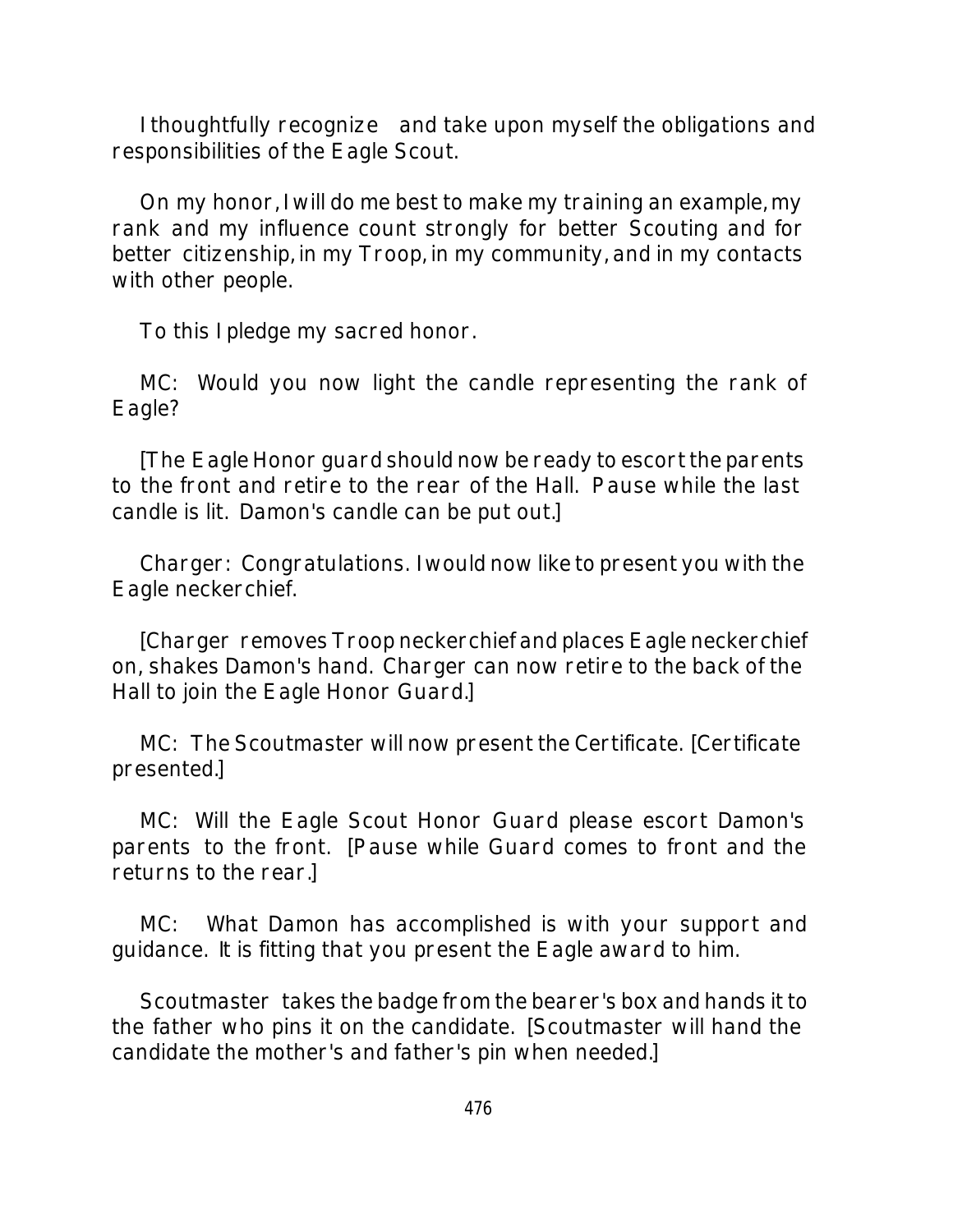I thoughtfully recognize and take upon myself the obligations and responsibilities of the Eagle Scout.

On my honor, I will do me best to make my training an example, my rank and my influence count strongly for better Scouting and for better citizenship, in my Troop, in my community, and in my contacts with other people.

To this I pledge my sacred honor.

MC: Would you now light the candle representing the rank of Eagle?

[The Eagle Honor guard should now be ready to escort the parents to the front and retire to the rear of the Hall. Pause while the last candle is lit. Damon's candle can be put out.]

Charger: Congratulations. I would now like to present you with the Eagle neckerchief.

[Charger removes Troop neckerchief and places Eagle neckerchief on, shakes Damon's hand. Charger can now retire to the back of the Hall to join the Eagle Honor Guard.]

MC: The Scoutmaster will now present the Certificate. [Certificate presented.]

MC: Will the Eagle Scout Honor Guard please escort Damon's parents to the front. [Pause while Guard comes to front and the returns to the rear.]

MC: What Damon has accomplished is with your support and guidance. It is fitting that you present the Eagle award to him.

Scoutmaster takes the badge from the bearer's box and hands it to the father who pins it on the candidate. [Scoutmaster will hand the candidate the mother's and father's pin when needed.]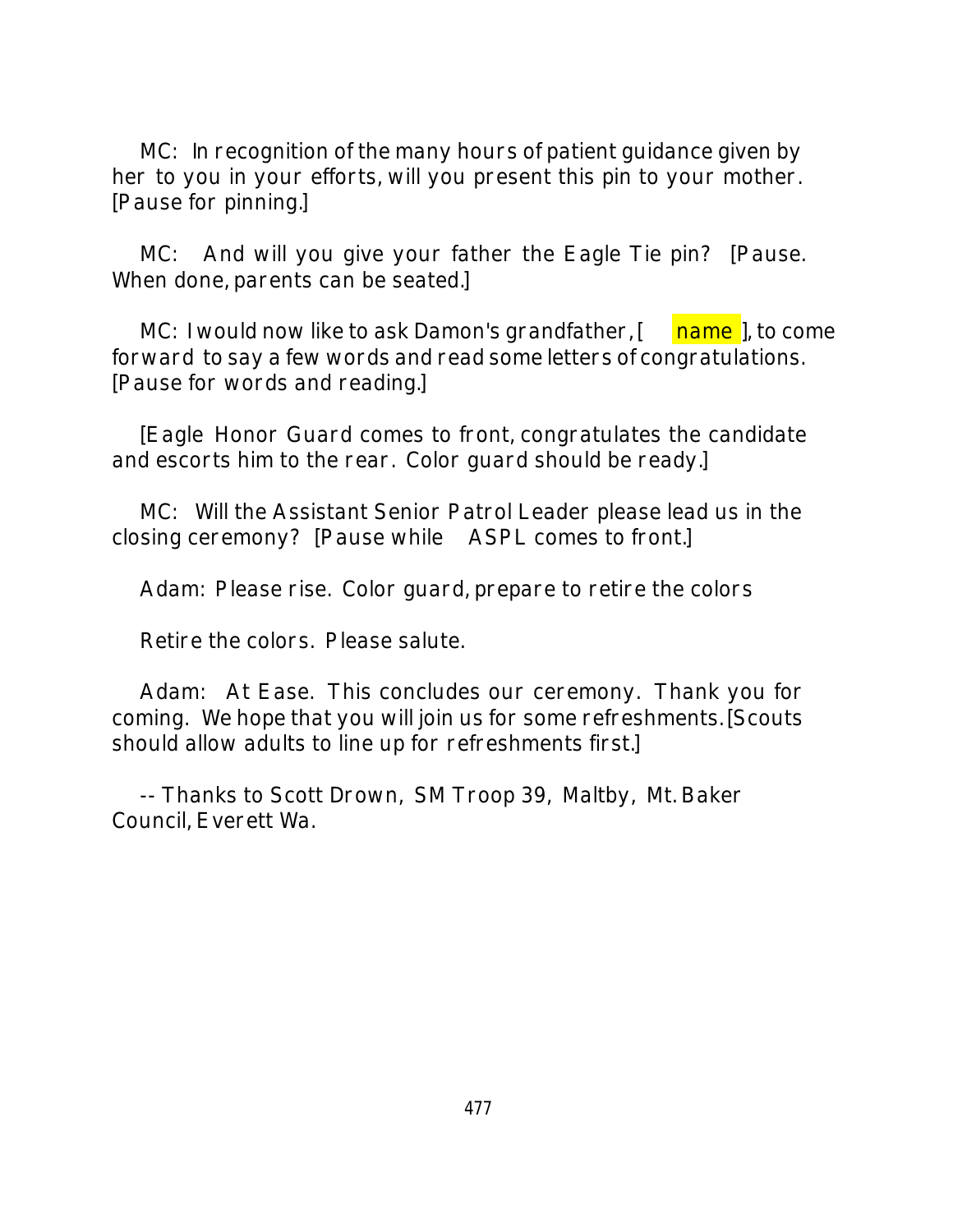MC: In recognition of the many hours of patient guidance given by her to you in your efforts, will you present this pin to your mother. [Pause for pinning.]

MC: And will you give your father the Eagle Tie pin? [Pause. When done, parents can be seated.

MC: I would now like to ask Damon's grandfather, [ name ], to come forward to say a few words and read some letters of congratulations. [Pause for words and reading.]

[Eagle Honor Guard comes to front, congratulates the candidate and escorts him to the rear. Color guard should be ready.]

MC: Will the Assistant Senior Patrol Leader please lead us in the closing ceremony? [Pause while ASPL comes to front.]

Adam: Please rise. Color guard, prepare to retire the colors

Retire the colors. Please salute.

Adam: At Ease. This concludes our ceremony. Thank you for coming. We hope that you will join us for some refreshments. [Scouts should allow adults to line up for refreshments first.]

-- Thanks to Scott Drown, SM Troop 39, Maltby, Mt. Baker Council, Everett Wa.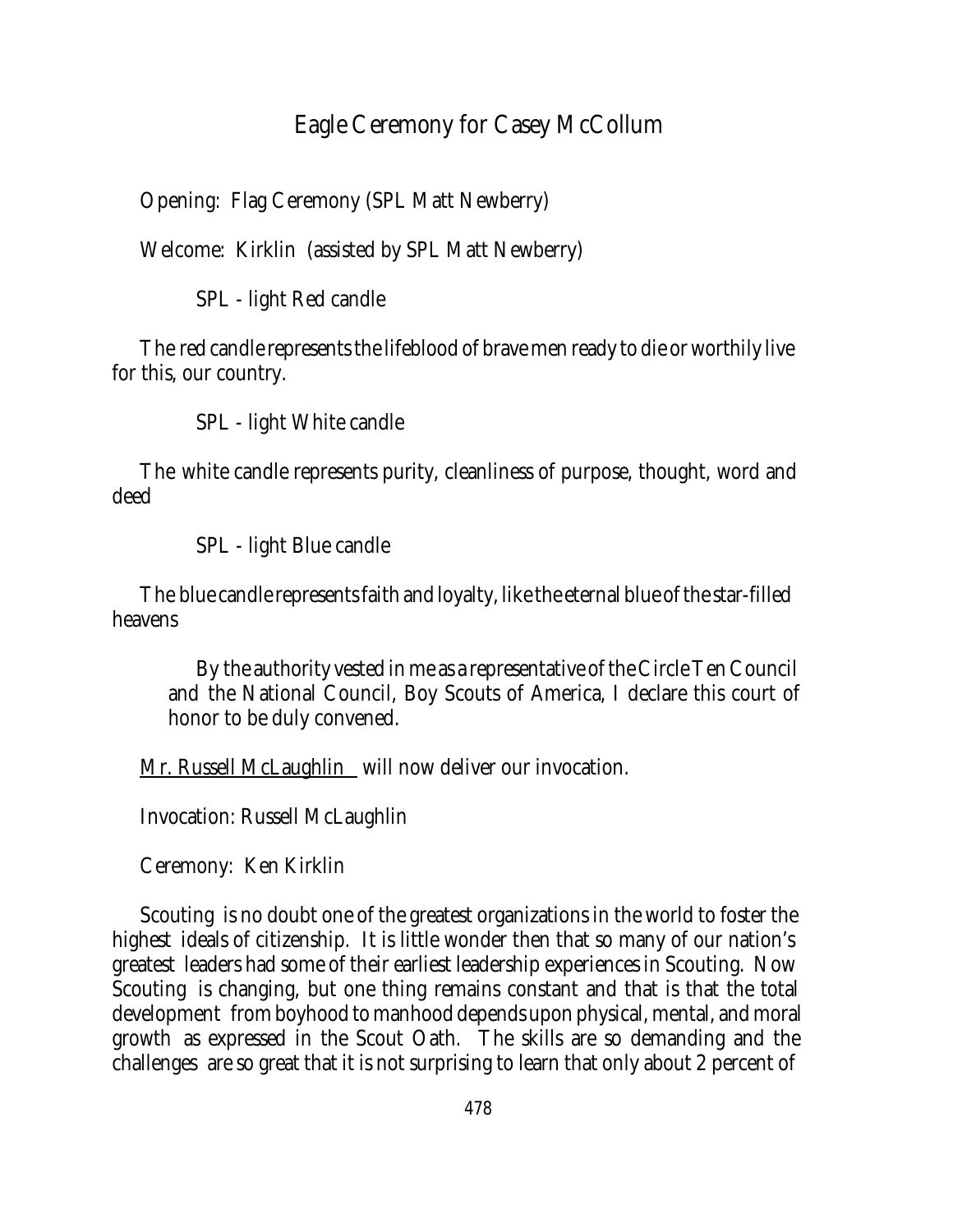#### Eagle Ceremony for Casey McCollum

Opening: Flag Ceremony (SPL Matt Newberry)

Welcome: Kirklin (assisted by SPL Matt Newberry)

SPL - light Red candle

The red candle represents the lifeblood of brave men ready to die or worthily live for this, our country.

SPL - light White candle

The white candle represents purity, cleanliness of purpose, thought, word and deed

SPL - light Blue candle

The blue candle represents faith and loyalty, like the eternal blue of the star-filled heavens

By the authority vested in me as a representative of the Circle Ten Council and the National Council, Boy Scouts of America, I declare this court of honor to be duly convened.

Mr. Russell McLaughlin will now deliver our invocation.

Invocation: Russell McLaughlin

Ceremony: Ken Kirklin

Scouting is no doubt one of the greatest organizations in the world to foster the highest ideals of citizenship. It is little wonder then that so many of our nation's greatest leaders had some of their earliest leadership experiences in Scouting. Now Scouting is changing, but one thing remains constant and that is that the total development from boyhood to manhood depends upon physical, mental, and moral growth as expressed in the Scout Oath. The skills are so demanding and the challenges are so great that it is not surprising to learn that only about 2 percent of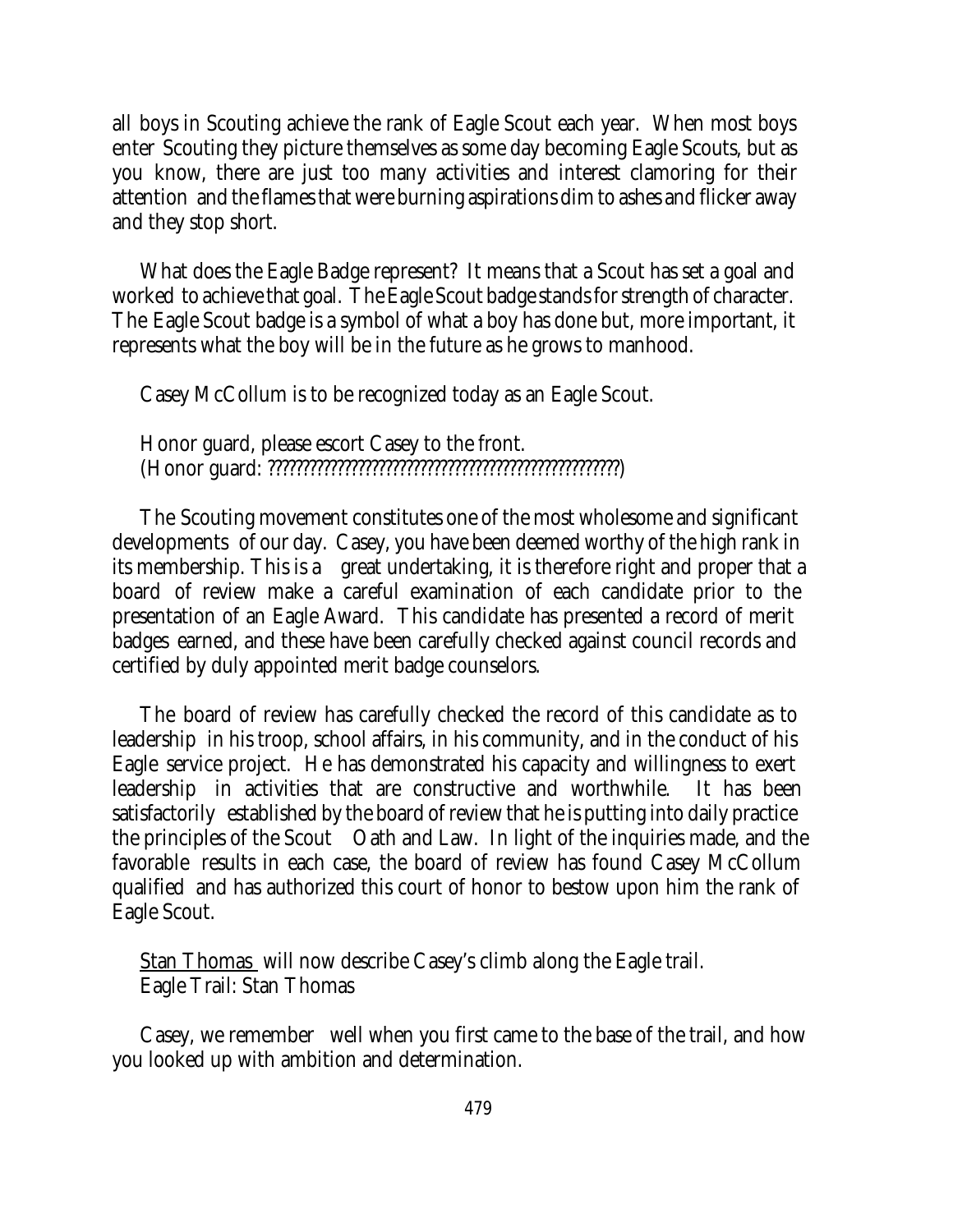all boys in Scouting achieve the rank of Eagle Scout each year. When most boys enter Scouting they picture themselves as some day becoming Eagle Scouts, but as you know, there are just too many activities and interest clamoring for their attention and the flames that were burning aspirations dim to ashes and flicker away and they stop short.

What does the Eagle Badge represent? It means that a Scout has set a goal and worked to achieve that goal. The Eagle Scout badge stands for strength of character. The Eagle Scout badge is a symbol of what a boy has done but, more important, it represents what the boy will be in the future as he grows to manhood.

Casey McCollum is to be recognized today as an Eagle Scout.

Honor guard, please escort Casey to the front. (Honor guard: ???????????????????????????????????????????????????)

The Scouting movement constitutes one of the most wholesome and significant developments of our day. Casey, you have been deemed worthy of the high rank in its membership. This is a great undertaking, it is therefore right and proper that a board of review make a careful examination of each candidate prior to the presentation of an Eagle Award. This candidate has presented a record of merit badges earned, and these have been carefully checked against council records and certified by duly appointed merit badge counselors.

The board of review has carefully checked the record of this candidate as to leadership in his troop, school affairs, in his community, and in the conduct of his Eagle service project. He has demonstrated his capacity and willingness to exert leadership in activities that are constructive and worthwhile. It has been satisfactorily established by the board of review that he is putting into daily practice the principles of the Scout Oath and Law. In light of the inquiries made, and the favorable results in each case, the board of review has found Casey McCollum qualified and has authorized this court of honor to bestow upon him the rank of Eagle Scout.

Stan Thomas will now describe Casey's climb along the Eagle trail. Eagle Trail: Stan Thomas

Casey, we remember well when you first came to the base of the trail, and how you looked up with ambition and determination.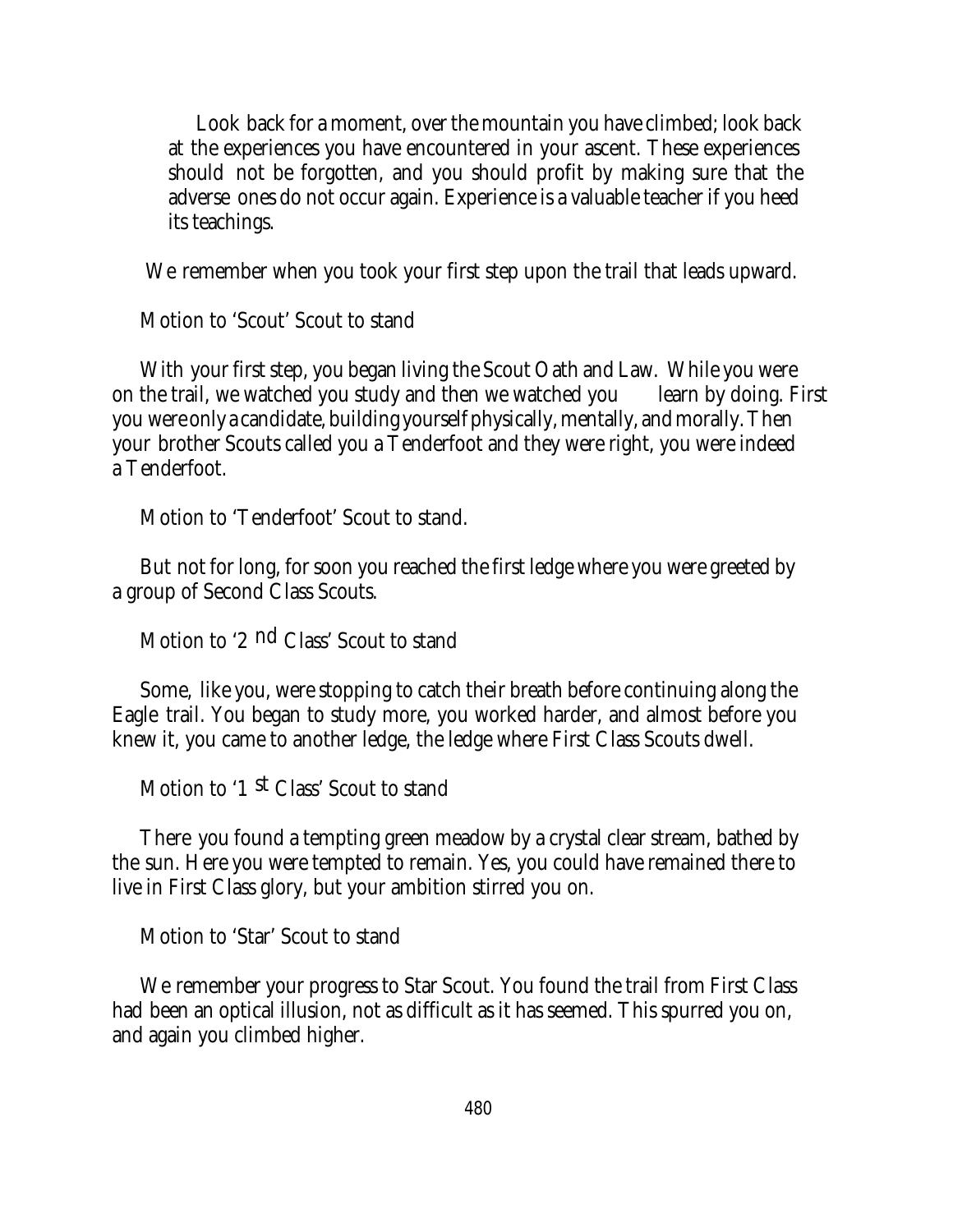Look back for a moment, over the mountain you have climbed; look back at the experiences you have encountered in your ascent. These experiences should not be forgotten, and you should profit by making sure that the adverse ones do not occur again. Experience is a valuable teacher if you heed its teachings.

We remember when you took your first step upon the trail that leads upward.

Motion to 'Scout' Scout to stand

With your first step, you began living the Scout Oath and Law. While you were on the trail, we watched you study and then we watched you learn by doing. First you were only a candidate, building yourself physically, mentally, and morally. Then your brother Scouts called you a Tenderfoot and they were right, you were indeed a Tenderfoot.

Motion to 'Tenderfoot' Scout to stand.

But not for long, for soon you reached the first ledge where you were greeted by a group of Second Class Scouts.

Motion to '2 nd Class' Scout to stand

Some, like you, were stopping to catch their breath before continuing along the Eagle trail. You began to study more, you worked harder, and almost before you knew it, you came to another ledge, the ledge where First Class Scouts dwell.

Motion to '1 st Class' Scout to stand

There you found a tempting green meadow by a crystal clear stream, bathed by the sun. Here you were tempted to remain. Yes, you could have remained there to live in First Class glory, but your ambition stirred you on.

Motion to 'Star' Scout to stand

We remember your progress to Star Scout. You found the trail from First Class had been an optical illusion, not as difficult as it has seemed. This spurred you on, and again you climbed higher.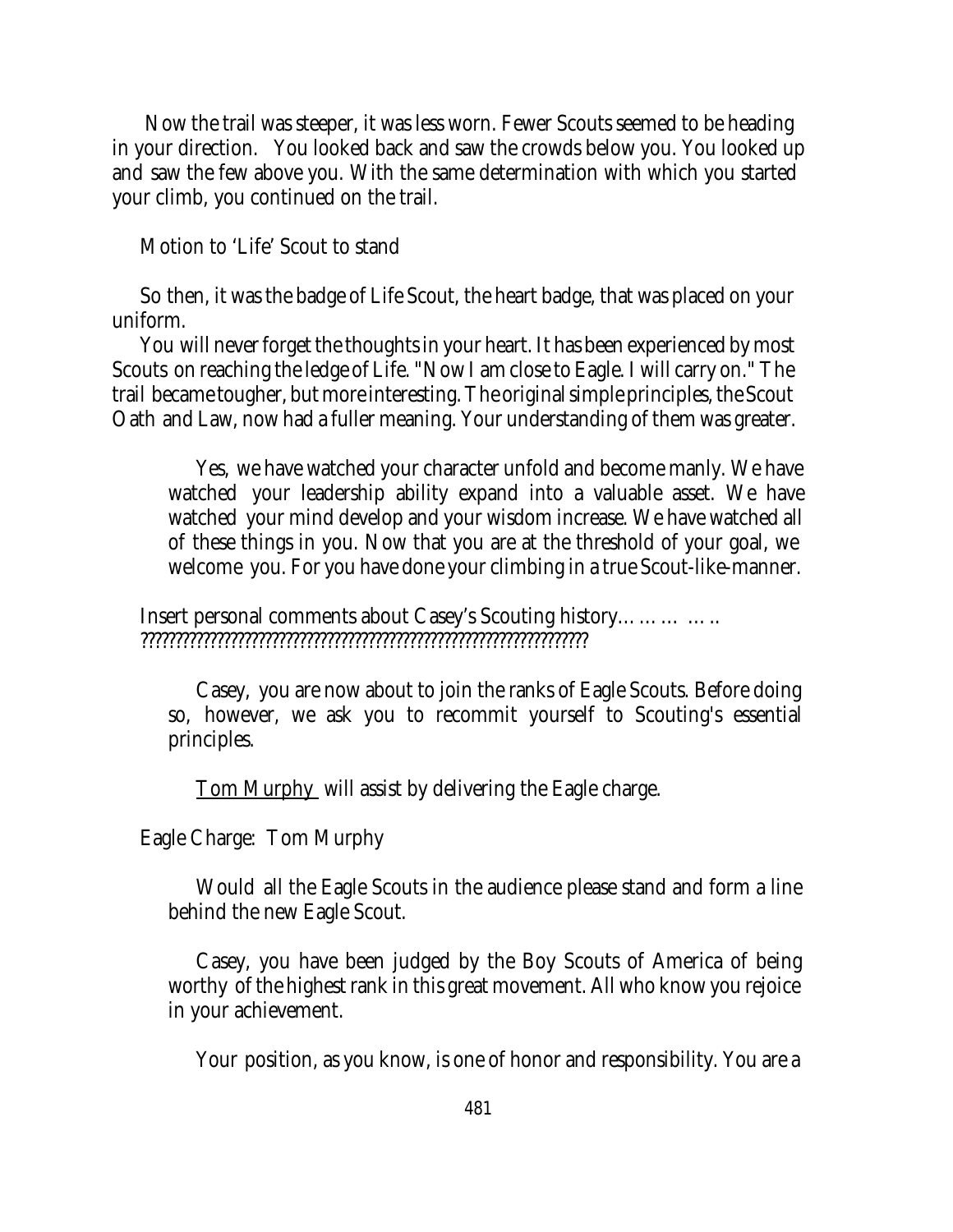Now the trail was steeper, it was less worn. Fewer Scouts seemed to be heading in your direction. You looked back and saw the crowds below you. You looked up and saw the few above you. With the same determination with which you started your climb, you continued on the trail.

Motion to 'Life' Scout to stand

So then, it was the badge of Life Scout, the heart badge, that was placed on your uniform.

You will never forget the thoughts in your heart. It has been experienced by most Scouts on reaching the ledge of Life. "Now I am close to Eagle. I will carry on." The trail became tougher, but more interesting. The original simple principles, the Scout Oath and Law, now had a fuller meaning. Your understanding of them was greater.

Yes, we have watched your character unfold and become manly. We have watched your leadership ability expand into a valuable asset. We have watched your mind develop and your wisdom increase. We have watched all of these things in you. Now that you are at the threshold of your goal, we welcome you. For you have done your climbing in a true Scout-like-manner.

Insert personal comments about Casey's Scouting history……… ….. ?????????????????????????????????????????????????????????????????

Casey, you are now about to join the ranks of Eagle Scouts. Before doing so, however, we ask you to recommit yourself to Scouting's essential principles.

Tom Murphy will assist by delivering the Eagle charge.

Eagle Charge: Tom Murphy

Would all the Eagle Scouts in the audience please stand and form a line behind the new Eagle Scout.

Casey, you have been judged by the Boy Scouts of America of being worthy of the highest rank in this great movement. All who know you rejoice in your achievement.

Your position, as you know, is one of honor and responsibility. You are a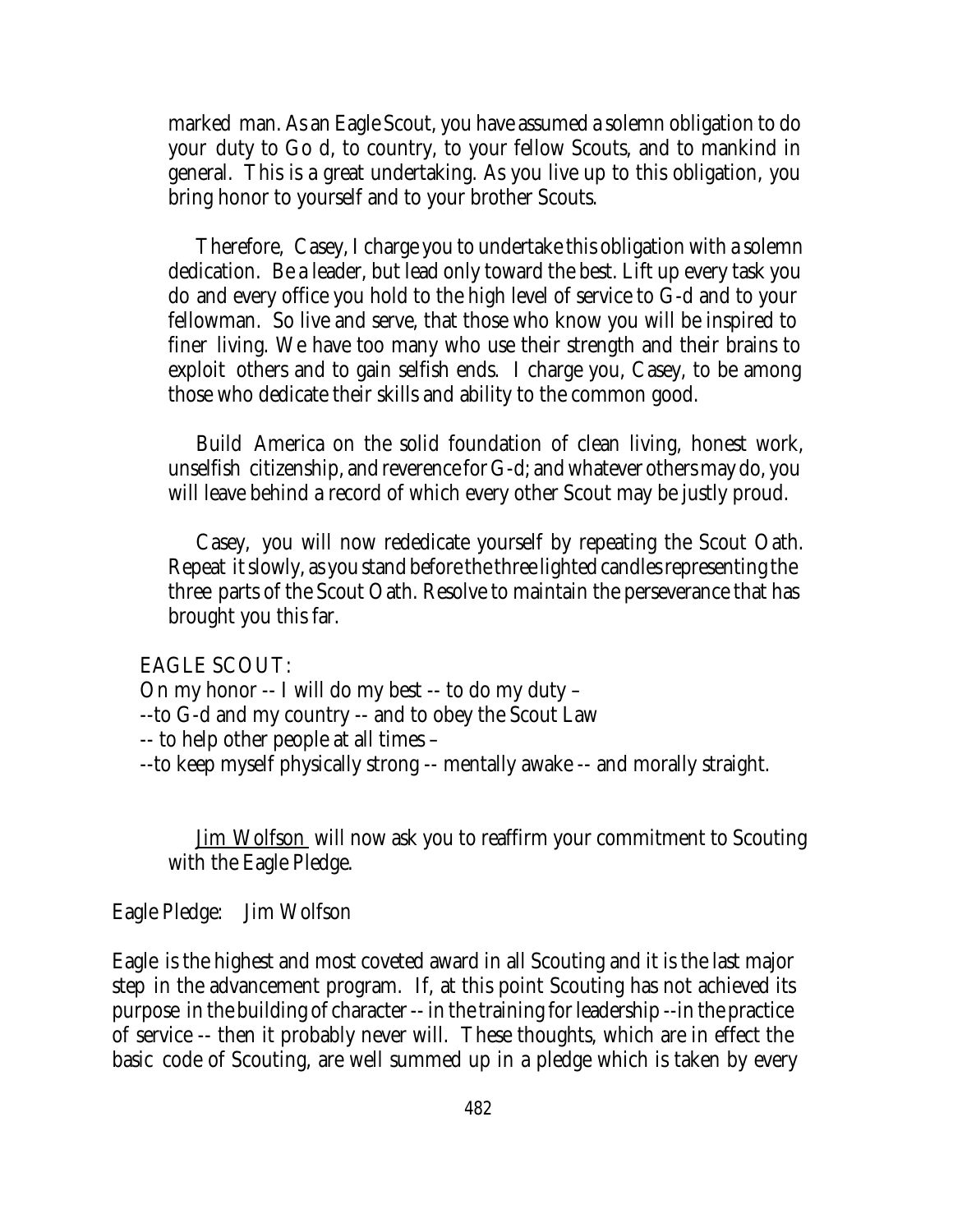marked man. As an Eagle Scout, you have assumed a solemn obligation to do your duty to Go d, to country, to your fellow Scouts, and to mankind in general. This is a great undertaking. As you live up to this obligation, you bring honor to yourself and to your brother Scouts.

Therefore, Casey, I charge you to undertake this obligation with a solemn dedication. Be a leader, but lead only toward the best. Lift up every task you do and every office you hold to the high level of service to G-d and to your fellowman. So live and serve, that those who know you will be inspired to finer living. We have too many who use their strength and their brains to exploit others and to gain selfish ends. I charge you, Casey, to be among those who dedicate their skills and ability to the common good.

Build America on the solid foundation of clean living, honest work, unselfish citizenship, and reverence for G-d; and whatever others may do, you will leave behind a record of which every other Scout may be justly proud.

Casey, you will now rededicate yourself by repeating the Scout Oath. Repeat it slowly, as you stand before the three lighted candles representing the three parts of the Scout Oath. Resolve to maintain the perseverance that has brought you this far.

#### EAGLE SCOUT:

On my honor -- I will do my best -- to do my duty – --to G-d and my country -- and to obey the Scout Law -- to help other people at all times – --to keep myself physically strong -- mentally awake -- and morally straight.

Jim Wolfson will now ask you to reaffirm your commitment to Scouting with the Eagle Pledge.

Eagle Pledge: Jim Wolfson

Eagle is the highest and most coveted award in all Scouting and it is the last major step in the advancement program. If, at this point Scouting has not achieved its purpose in the building of character -- in the training for leadership --in the practice of service -- then it probably never will. These thoughts, which are in effect the basic code of Scouting, are well summed up in a pledge which is taken by every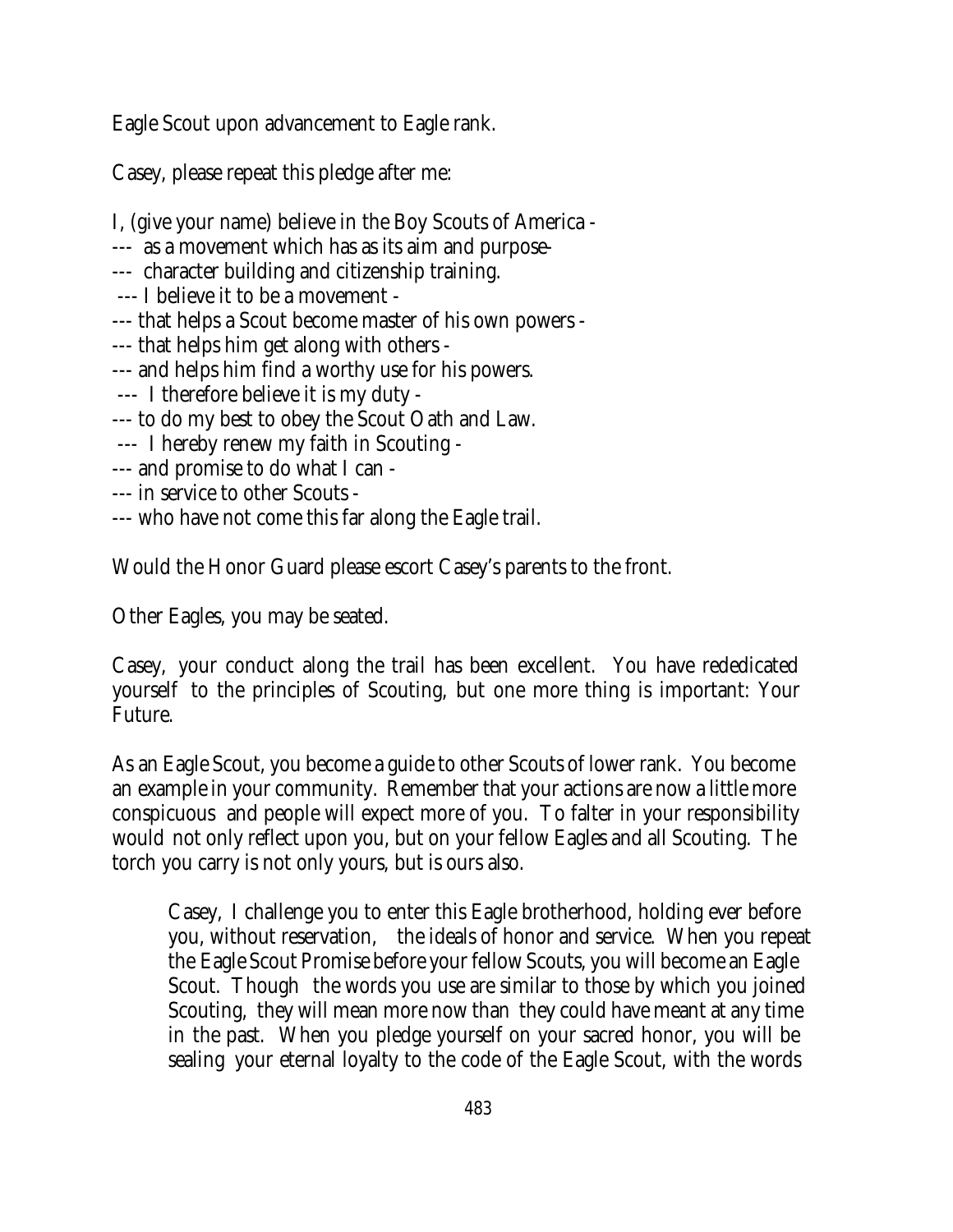Eagle Scout upon advancement to Eagle rank.

Casey, please repeat this pledge after me:

- I, (give your name) believe in the Boy Scouts of America -
- --- as a movement which has as its aim and purpose-
- --- character building and citizenship training.
- --- I believe it to be a movement -
- --- that helps a Scout become master of his own powers -
- --- that helps him get along with others -
- --- and helps him find a worthy use for his powers.
- --- I therefore believe it is my duty -
- --- to do my best to obey the Scout Oath and Law.
- --- I hereby renew my faith in Scouting -
- --- and promise to do what I can -
- --- in service to other Scouts -
- --- who have not come this far along the Eagle trail.

Would the Honor Guard please escort Casey's parents to the front.

Other Eagles, you may be seated.

Casey, your conduct along the trail has been excellent. You have rededicated yourself to the principles of Scouting, but one more thing is important: Your Future.

As an Eagle Scout, you become a guide to other Scouts of lower rank. You become an example in your community. Remember that your actions are now a little more conspicuous and people will expect more of you. To falter in your responsibility would not only reflect upon you, but on your fellow Eagles and all Scouting. The torch you carry is not only yours, but is ours also.

Casey, I challenge you to enter this Eagle brotherhood, holding ever before you, without reservation, the ideals of honor and service. When you repeat the Eagle Scout Promise before your fellow Scouts, you will become an Eagle Scout. Though the words you use are similar to those by which you joined Scouting, they will mean more now than they could have meant at any time in the past. When you pledge yourself on your sacred honor, you will be sealing your eternal loyalty to the code of the Eagle Scout, with the words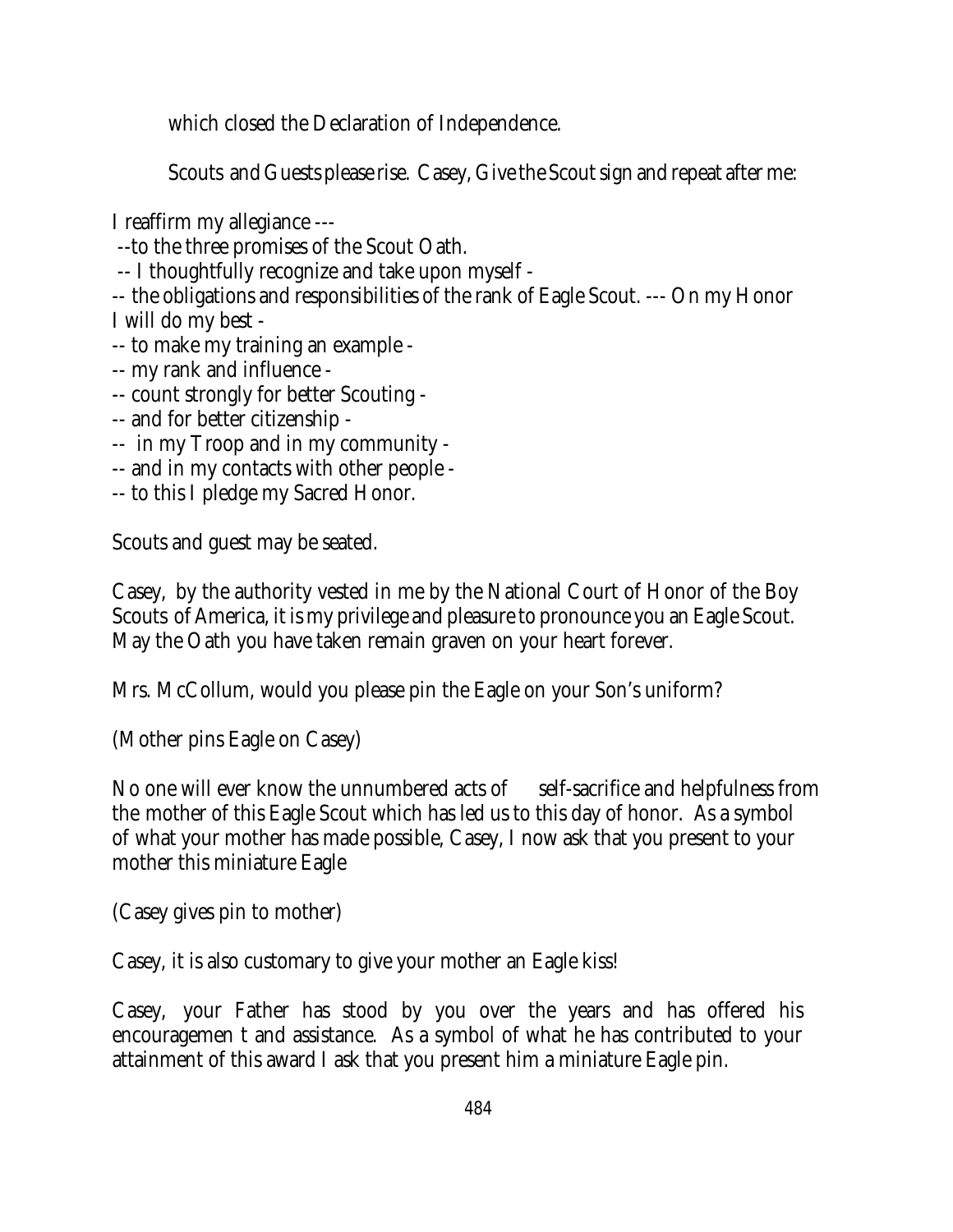which closed the Declaration of Independence.

Scouts and Guests please rise. Casey, Give the Scout sign and repeat after me:

I reaffirm my allegiance ---

--to the three promises of the Scout Oath.

-- I thoughtfully recognize and take upon myself -

-- the obligations and responsibilities of the rank of Eagle Scout. --- On my Honor I will do my best -

- -- to make my training an example -
- -- my rank and influence -
- -- count strongly for better Scouting -
- -- and for better citizenship -
- -- in my Troop and in my community -
- -- and in my contacts with other people -
- -- to this I pledge my Sacred Honor.

Scouts and guest may be seated.

Casey, by the authority vested in me by the National Court of Honor of the Boy Scouts of America, it is my privilege and pleasure to pronounce you an Eagle Scout. May the Oath you have taken remain graven on your heart forever.

Mrs. McCollum, would you please pin the Eagle on your Son's uniform?

(Mother pins Eagle on Casey)

No one will ever know the unnumbered acts of self-sacrifice and helpfulness from the mother of this Eagle Scout which has led us to this day of honor. As a symbol of what your mother has made possible, Casey, I now ask that you present to your mother this miniature Eagle

(Casey gives pin to mother)

Casey, it is also customary to give your mother an Eagle kiss!

Casey, your Father has stood by you over the years and has offered his encouragemen t and assistance. As a symbol of what he has contributed to your attainment of this award I ask that you present him a miniature Eagle pin.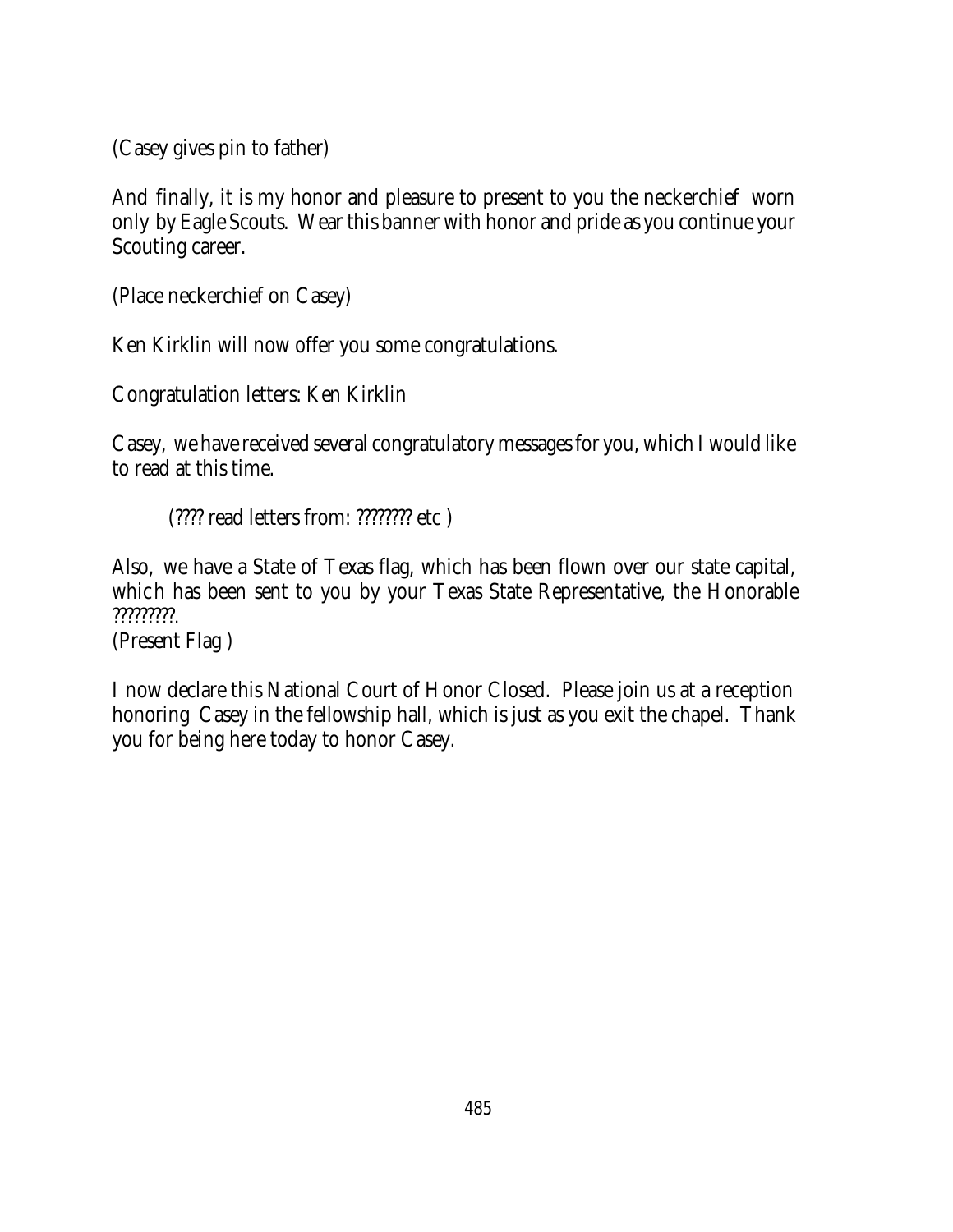(Casey gives pin to father)

And finally, it is my honor and pleasure to present to you the neckerchief worn only by Eagle Scouts. Wear this banner with honor and pride as you continue your Scouting career.

(Place neckerchief on Casey)

Ken Kirklin will now offer you some congratulations.

Congratulation letters: Ken Kirklin

Casey, we have received several congratulatory messages for you, which I would like to read at this time.

```
(???? read letters from: ???????? etc )
```
Also, we have a State of Texas flag, which has been flown over our state capital, which has been sent to you by your Texas State Representative, the Honorable ?????????.

(Present Flag )

I now declare this National Court of Honor Closed. Please join us at a reception honoring Casey in the fellowship hall, which is just as you exit the chapel. Thank you for being here today to honor Casey.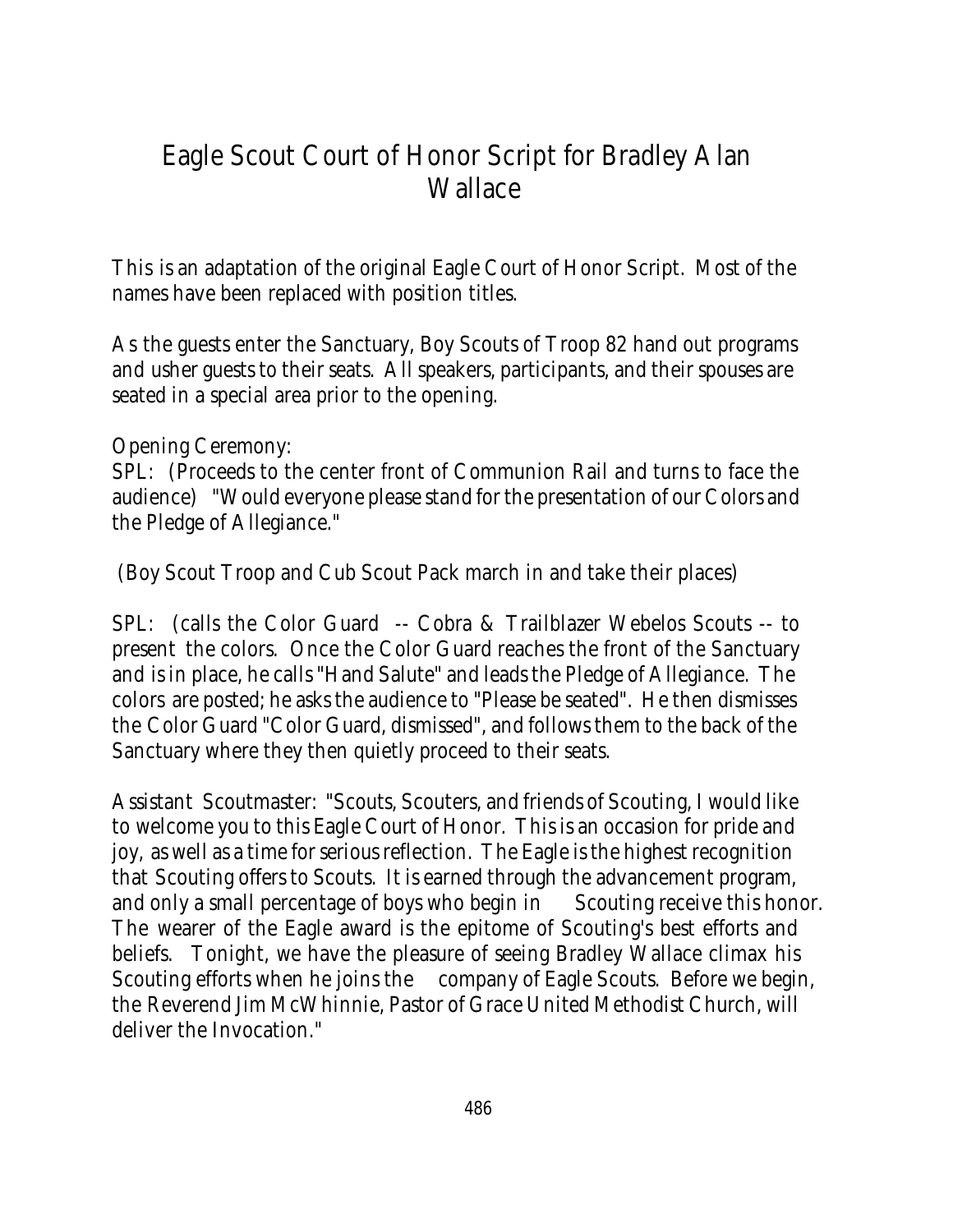## Eagle Scout Court of Honor Script for Bradley Alan Wallace

This is an adaptation of the original Eagle Court of Honor Script. Most of the names have been replaced with position titles.

As the guests enter the Sanctuary, Boy Scouts of Troop 82 hand out programs and usher guests to their seats. All speakers, participants, and their spouses are seated in a special area prior to the opening.

Opening Ceremony:

SPL: (Proceeds to the center front of Communion Rail and turns to face the audience) "Would everyone please stand for the presentation of our Colors and the Pledge of Allegiance."

(Boy Scout Troop and Cub Scout Pack march in and take their places)

SPL: (calls the Color Guard -- Cobra & Trailblazer Webelos Scouts -- to present the colors. Once the Color Guard reaches the front of the Sanctuary and is in place, he calls "Hand Salute" and leads the Pledge of Allegiance. The colors are posted; he asks the audience to "Please be seated". He then dismisses the Color Guard "Color Guard, dismissed", and follows them to the back of the Sanctuary where they then quietly proceed to their seats.

Assistant Scoutmaster: "Scouts, Scouters, and friends of Scouting, I would like to welcome you to this Eagle Court of Honor. This is an occasion for pride and joy, as well as a time for serious reflection. The Eagle is the highest recognition that Scouting offers to Scouts. It is earned through the advancement program, and only a small percentage of boys who begin in Scouting receive this honor. The wearer of the Eagle award is the epitome of Scouting's best efforts and beliefs. Tonight, we have the pleasure of seeing Bradley Wallace climax his Scouting efforts when he joins the company of Eagle Scouts. Before we begin, the Reverend Jim McWhinnie, Pastor of Grace United Methodist Church, will deliver the Invocation."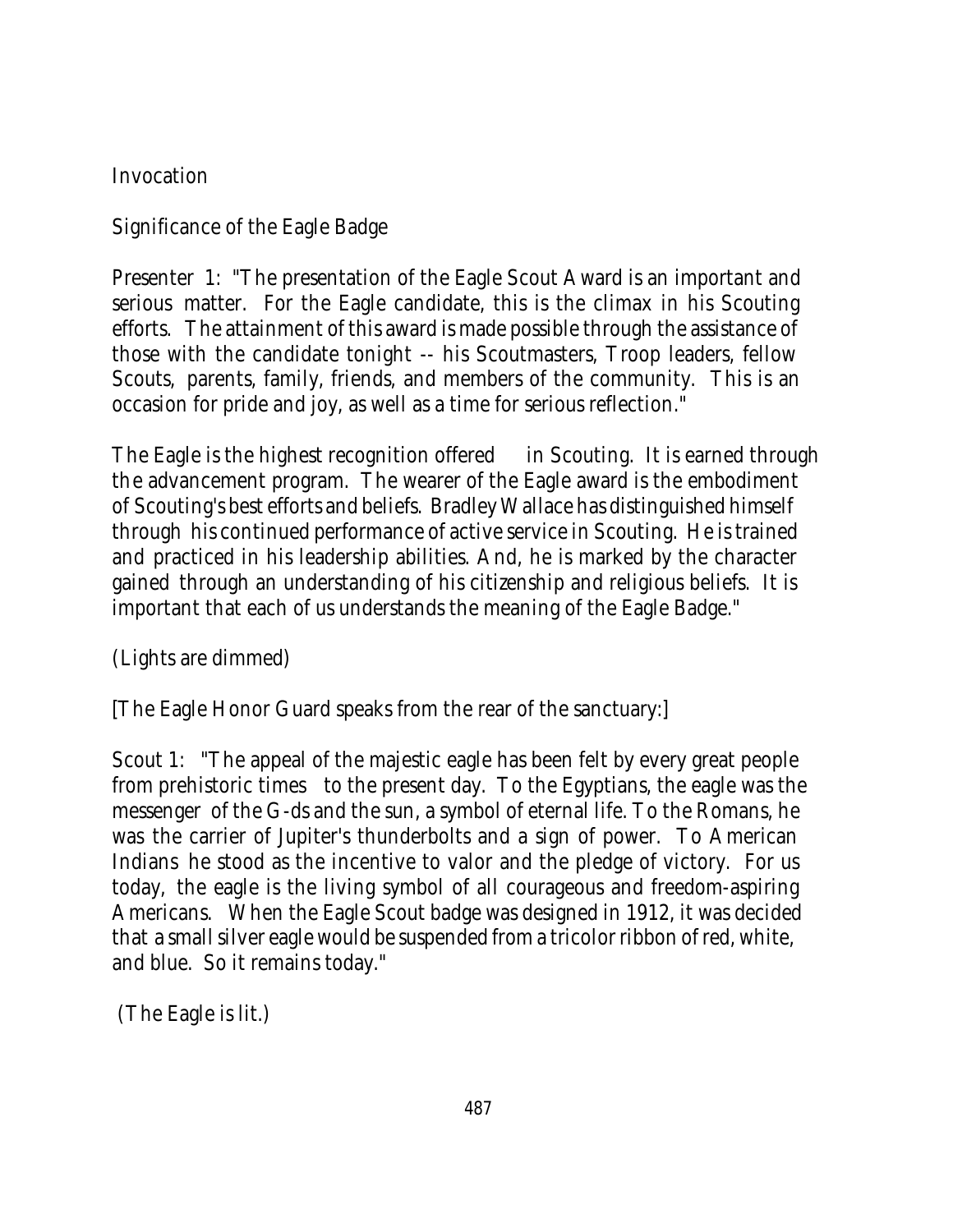#### Invocation

Significance of the Eagle Badge

Presenter 1: "The presentation of the Eagle Scout Award is an important and serious matter. For the Eagle candidate, this is the climax in his Scouting efforts. The attainment of this award is made possible through the assistance of those with the candidate tonight -- his Scoutmasters, Troop leaders, fellow Scouts, parents, family, friends, and members of the community. This is an occasion for pride and joy, as well as a time for serious reflection."

The Eagle is the highest recognition offered in Scouting. It is earned through the advancement program. The wearer of the Eagle award is the embodiment of Scouting's best efforts and beliefs. Bradley Wallace has distinguished himself through his continued performance of active service in Scouting. He is trained and practiced in his leadership abilities. And, he is marked by the character gained through an understanding of his citizenship and religious beliefs. It is important that each of us understands the meaning of the Eagle Badge."

(Lights are dimmed)

[The Eagle Honor Guard speaks from the rear of the sanctuary:]

Scout 1: "The appeal of the majestic eagle has been felt by every great people from prehistoric times to the present day. To the Egyptians, the eagle was the messenger of the G-ds and the sun, a symbol of eternal life. To the Romans, he was the carrier of Jupiter's thunderbolts and a sign of power. To American Indians he stood as the incentive to valor and the pledge of victory. For us today, the eagle is the living symbol of all courageous and freedom-aspiring Americans. When the Eagle Scout badge was designed in 1912, it was decided that a small silver eagle would be suspended from a tricolor ribbon of red, white, and blue. So it remains today."

(The Eagle is lit.)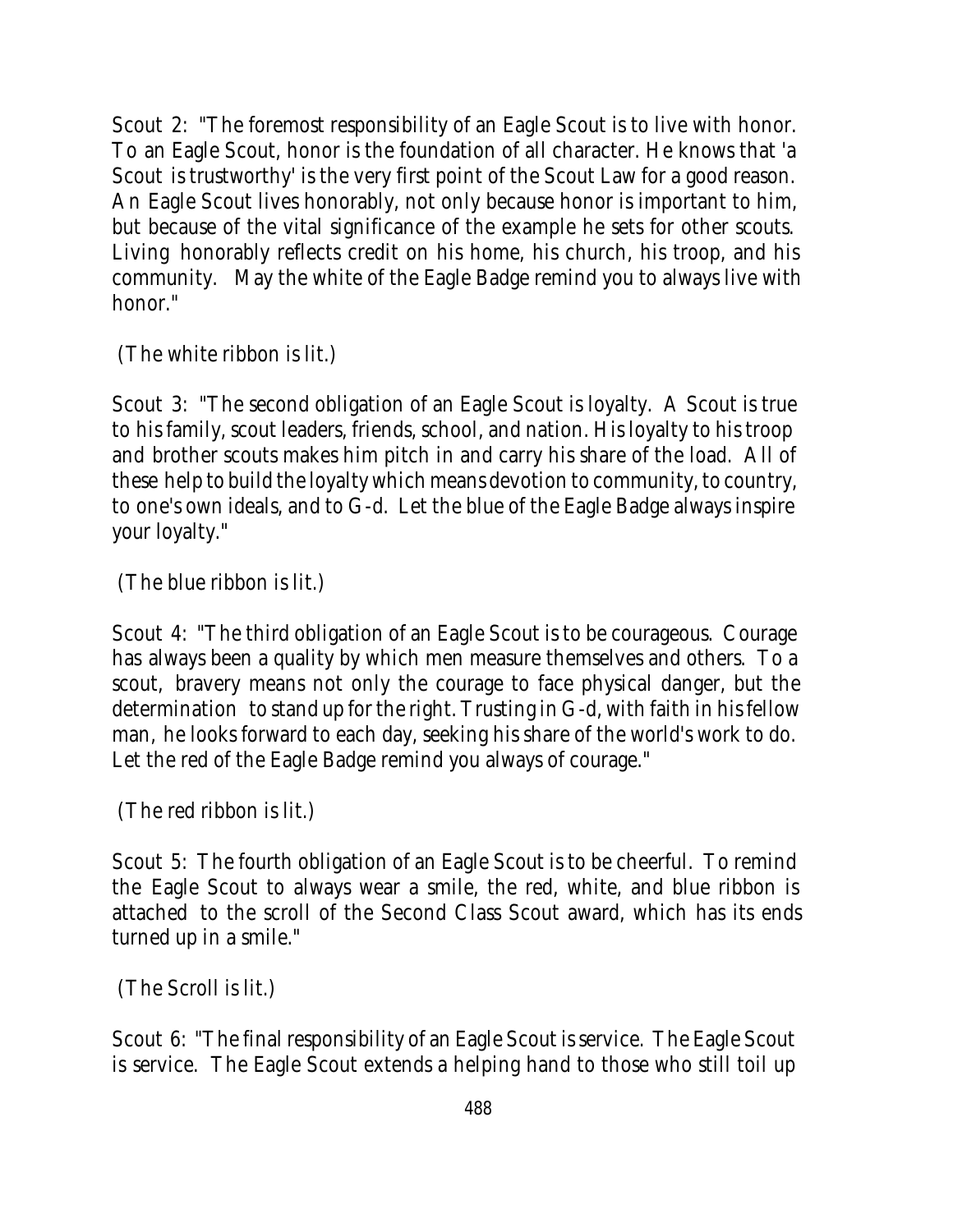Scout 2: "The foremost responsibility of an Eagle Scout is to live with honor. To an Eagle Scout, honor is the foundation of all character. He knows that 'a Scout is trustworthy' is the very first point of the Scout Law for a good reason. An Eagle Scout lives honorably, not only because honor is important to him, but because of the vital significance of the example he sets for other scouts. Living honorably reflects credit on his home, his church, his troop, and his community. May the white of the Eagle Badge remind you to always live with honor."

(The white ribbon is lit.)

Scout 3: "The second obligation of an Eagle Scout is loyalty. A Scout is true to his family, scout leaders, friends, school, and nation. His loyalty to his troop and brother scouts makes him pitch in and carry his share of the load. All of these help to build the loyalty which means devotion to community, to country, to one's own ideals, and to G-d. Let the blue of the Eagle Badge always inspire your loyalty."

(The blue ribbon is lit.)

Scout 4: "The third obligation of an Eagle Scout is to be courageous. Courage has always been a quality by which men measure themselves and others. To a scout, bravery means not only the courage to face physical danger, but the determination to stand up for the right. Trusting in G-d, with faith in his fellow man, he looks forward to each day, seeking his share of the world's work to do. Let the red of the Eagle Badge remind you always of courage."

(The red ribbon is lit.)

Scout 5: The fourth obligation of an Eagle Scout is to be cheerful. To remind the Eagle Scout to always wear a smile, the red, white, and blue ribbon is attached to the scroll of the Second Class Scout award, which has its ends turned up in a smile."

(The Scroll is lit.)

Scout 6: "The final responsibility of an Eagle Scout is service. The Eagle Scout is service. The Eagle Scout extends a helping hand to those who still toil up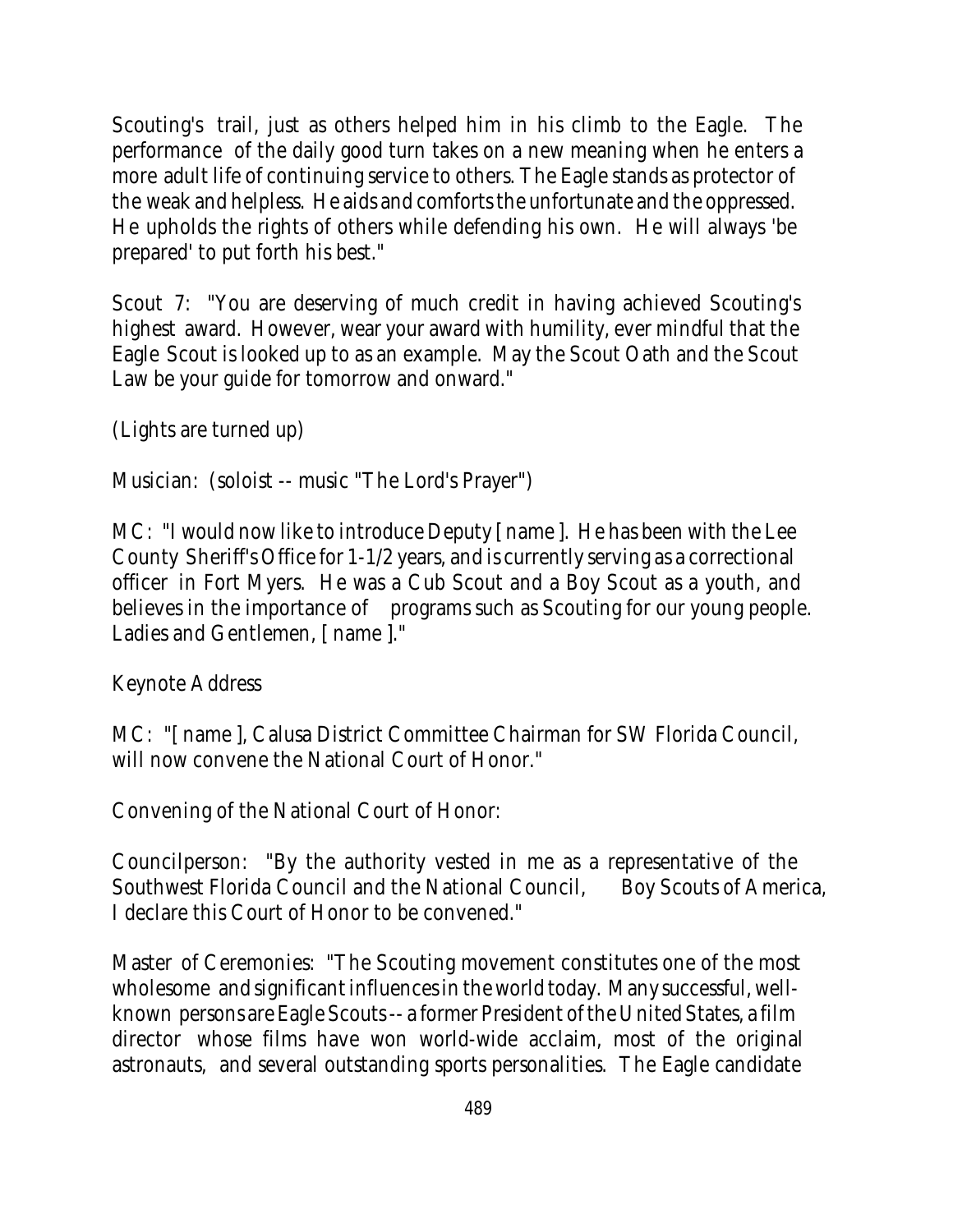Scouting's trail, just as others helped him in his climb to the Eagle. The performance of the daily good turn takes on a new meaning when he enters a more adult life of continuing service to others. The Eagle stands as protector of the weak and helpless. He aids and comforts the unfortunate and the oppressed. He upholds the rights of others while defending his own. He will always 'be prepared' to put forth his best."

Scout 7: "You are deserving of much credit in having achieved Scouting's highest award. However, wear your award with humility, ever mindful that the Eagle Scout is looked up to as an example. May the Scout Oath and the Scout Law be your guide for tomorrow and onward."

(Lights are turned up)

```
Musician: (soloist -- music "The Lord's Prayer")
```
MC: "I would now like to introduce Deputy [ name ]. He has been with the Lee County Sheriff's Office for 1-1/2 years, and is currently serving as a correctional officer in Fort Myers. He was a Cub Scout and a Boy Scout as a youth, and believes in the importance of programs such as Scouting for our young people. Ladies and Gentlemen, [ name ]."

Keynote Address

MC: "[ name ], Calusa District Committee Chairman for SW Florida Council, will now convene the National Court of Honor."

Convening of the National Court of Honor:

Councilperson: "By the authority vested in me as a representative of the Southwest Florida Council and the National Council, Boy Scouts of America, I declare this Court of Honor to be convened."

Master of Ceremonies: "The Scouting movement constitutes one of the most wholesome and significant influences in the world today. Many successful, wellknown persons are Eagle Scouts -- a former President of the United States, a film director whose films have won world-wide acclaim, most of the original astronauts, and several outstanding sports personalities. The Eagle candidate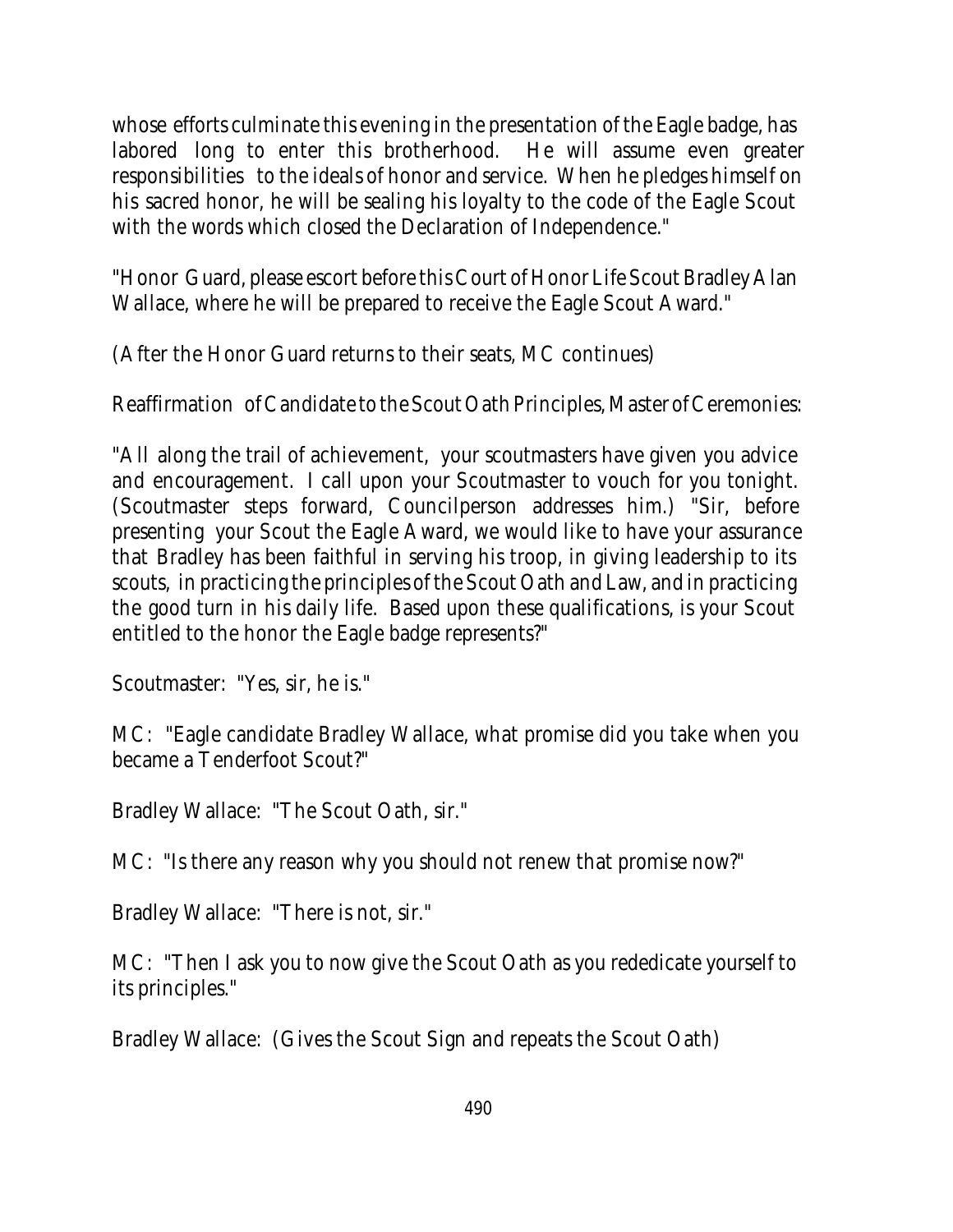whose efforts culminate this evening in the presentation of the Eagle badge, has labored long to enter this brotherhood. He will assume even greater responsibilities to the ideals of honor and service. When he pledges himself on his sacred honor, he will be sealing his loyalty to the code of the Eagle Scout with the words which closed the Declaration of Independence."

"Honor Guard, please escort before this Court of Honor Life Scout Bradley Alan Wallace, where he will be prepared to receive the Eagle Scout Award."

(After the Honor Guard returns to their seats, MC continues)

Reaffirmation of Candidate to the Scout Oath Principles, Master of Ceremonies:

"All along the trail of achievement, your scoutmasters have given you advice and encouragement. I call upon your Scoutmaster to vouch for you tonight. (Scoutmaster steps forward, Councilperson addresses him.) "Sir, before presenting your Scout the Eagle Award, we would like to have your assurance that Bradley has been faithful in serving his troop, in giving leadership to its scouts, in practicing the principles of the Scout Oath and Law, and in practicing the good turn in his daily life. Based upon these qualifications, is your Scout entitled to the honor the Eagle badge represents?"

Scoutmaster: "Yes, sir, he is."

MC: "Eagle candidate Bradley Wallace, what promise did you take when you became a Tenderfoot Scout?"

Bradley Wallace: "The Scout Oath, sir."

MC: "Is there any reason why you should not renew that promise now?"

Bradley Wallace: "There is not, sir."

MC: "Then I ask you to now give the Scout Oath as you rededicate yourself to its principles."

Bradley Wallace: (Gives the Scout Sign and repeats the Scout Oath)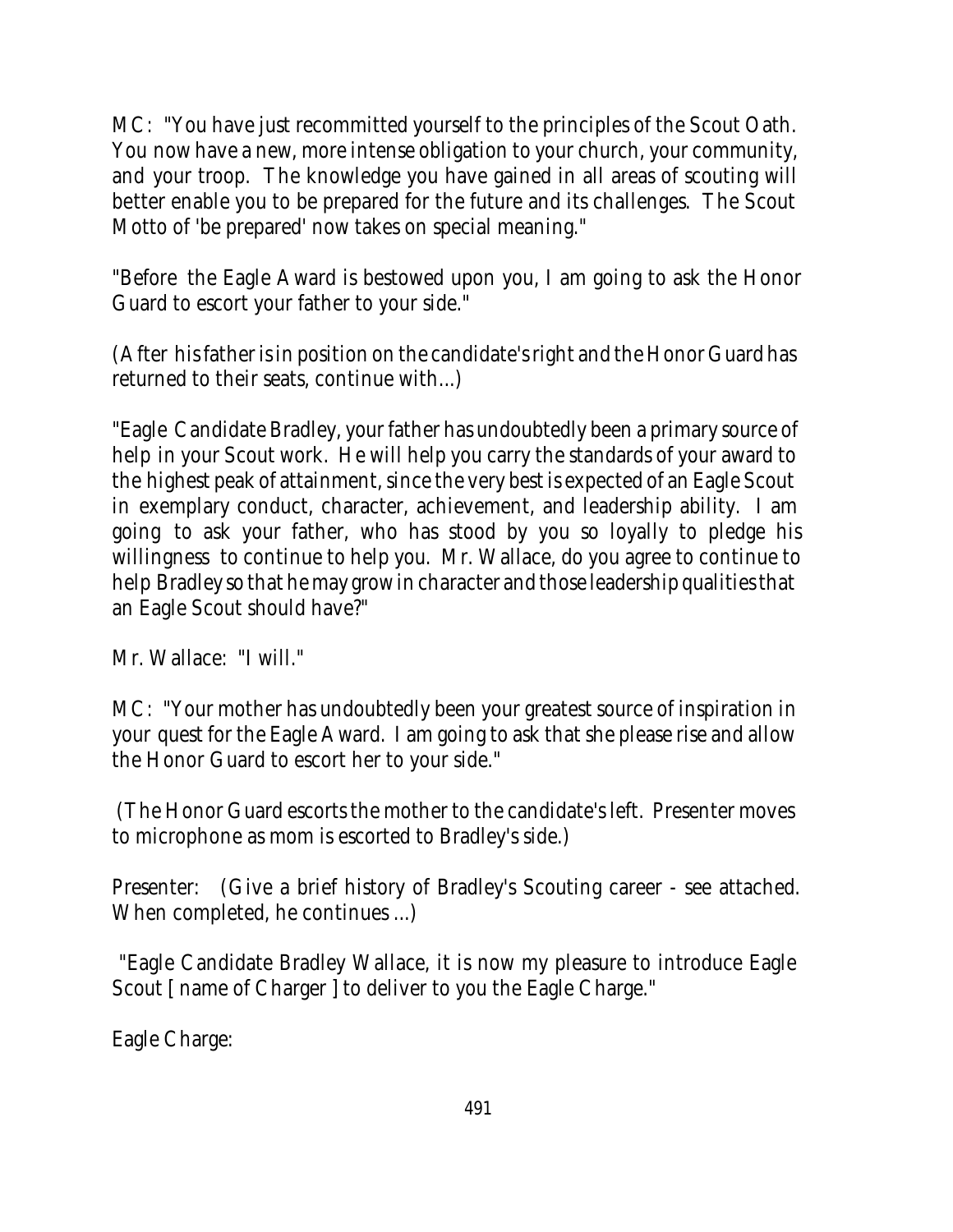MC: "You have just recommitted yourself to the principles of the Scout Oath. You now have a new, more intense obligation to your church, your community, and your troop. The knowledge you have gained in all areas of scouting will better enable you to be prepared for the future and its challenges. The Scout Motto of 'be prepared' now takes on special meaning."

"Before the Eagle Award is bestowed upon you, I am going to ask the Honor Guard to escort your father to your side."

(After his father is in position on the candidate's right and the Honor Guard has returned to their seats, continue with...)

"Eagle Candidate Bradley, your father has undoubtedly been a primary source of help in your Scout work. He will help you carry the standards of your award to the highest peak of attainment, since the very best is expected of an Eagle Scout in exemplary conduct, character, achievement, and leadership ability. I am going to ask your father, who has stood by you so loyally to pledge his willingness to continue to help you. Mr. Wallace, do you agree to continue to help Bradley so that he may grow in character and those leadership qualities that an Eagle Scout should have?"

Mr. Wallace: "I will."

MC: "Your mother has undoubtedly been your greatest source of inspiration in your quest for the Eagle Award. I am going to ask that she please rise and allow the Honor Guard to escort her to your side."

 (The Honor Guard escorts the mother to the candidate's left. Presenter moves to microphone as mom is escorted to Bradley's side.)

Presenter: (Give a brief history of Bradley's Scouting career - see attached. When completed, he continues ...)

 "Eagle Candidate Bradley Wallace, it is now my pleasure to introduce Eagle Scout [ name of Charger ] to deliver to you the Eagle Charge."

Eagle Charge: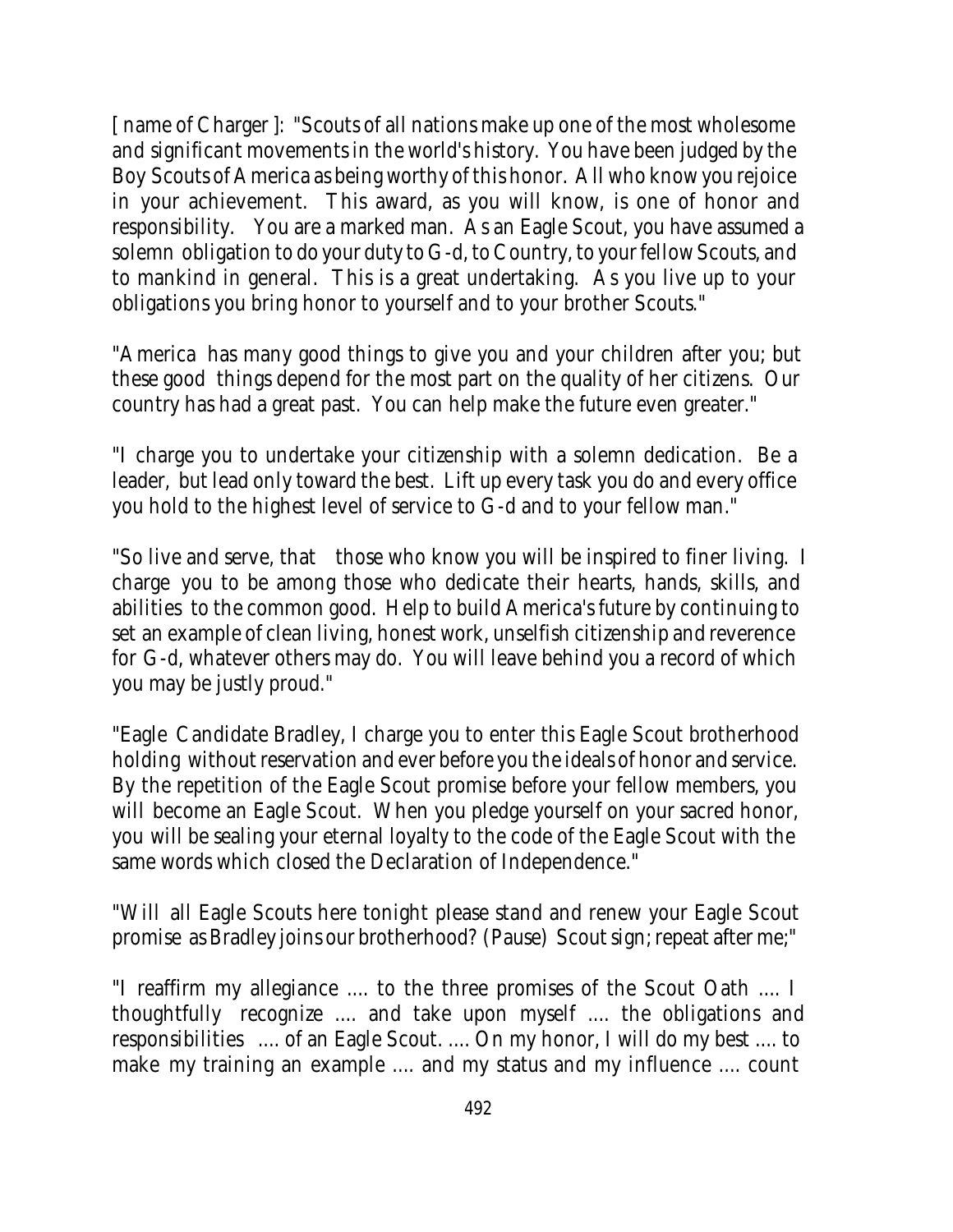[ name of Charger ]: "Scouts of all nations make up one of the most wholesome and significant movements in the world's history. You have been judged by the Boy Scouts of America as being worthy of this honor. All who know you rejoice in your achievement. This award, as you will know, is one of honor and responsibility. You are a marked man. As an Eagle Scout, you have assumed a solemn obligation to do your duty to G-d, to Country, to your fellow Scouts, and to mankind in general. This is a great undertaking. As you live up to your obligations you bring honor to yourself and to your brother Scouts."

"America has many good things to give you and your children after you; but these good things depend for the most part on the quality of her citizens. Our country has had a great past. You can help make the future even greater."

"I charge you to undertake your citizenship with a solemn dedication. Be a leader, but lead only toward the best. Lift up every task you do and every office you hold to the highest level of service to G-d and to your fellow man."

"So live and serve, that those who know you will be inspired to finer living. I charge you to be among those who dedicate their hearts, hands, skills, and abilities to the common good. Help to build America's future by continuing to set an example of clean living, honest work, unselfish citizenship and reverence for G-d, whatever others may do. You will leave behind you a record of which you may be justly proud."

"Eagle Candidate Bradley, I charge you to enter this Eagle Scout brotherhood holding without reservation and ever before you the ideals of honor and service. By the repetition of the Eagle Scout promise before your fellow members, you will become an Eagle Scout. When you pledge yourself on your sacred honor, you will be sealing your eternal loyalty to the code of the Eagle Scout with the same words which closed the Declaration of Independence."

"Will all Eagle Scouts here tonight please stand and renew your Eagle Scout promise as Bradley joins our brotherhood? (Pause) Scout sign; repeat after me;"

"I reaffirm my allegiance .... to the three promises of the Scout Oath .... I thoughtfully recognize .... and take upon myself .... the obligations and responsibilities .... of an Eagle Scout. .... On my honor, I will do my best .... to make my training an example .... and my status and my influence .... count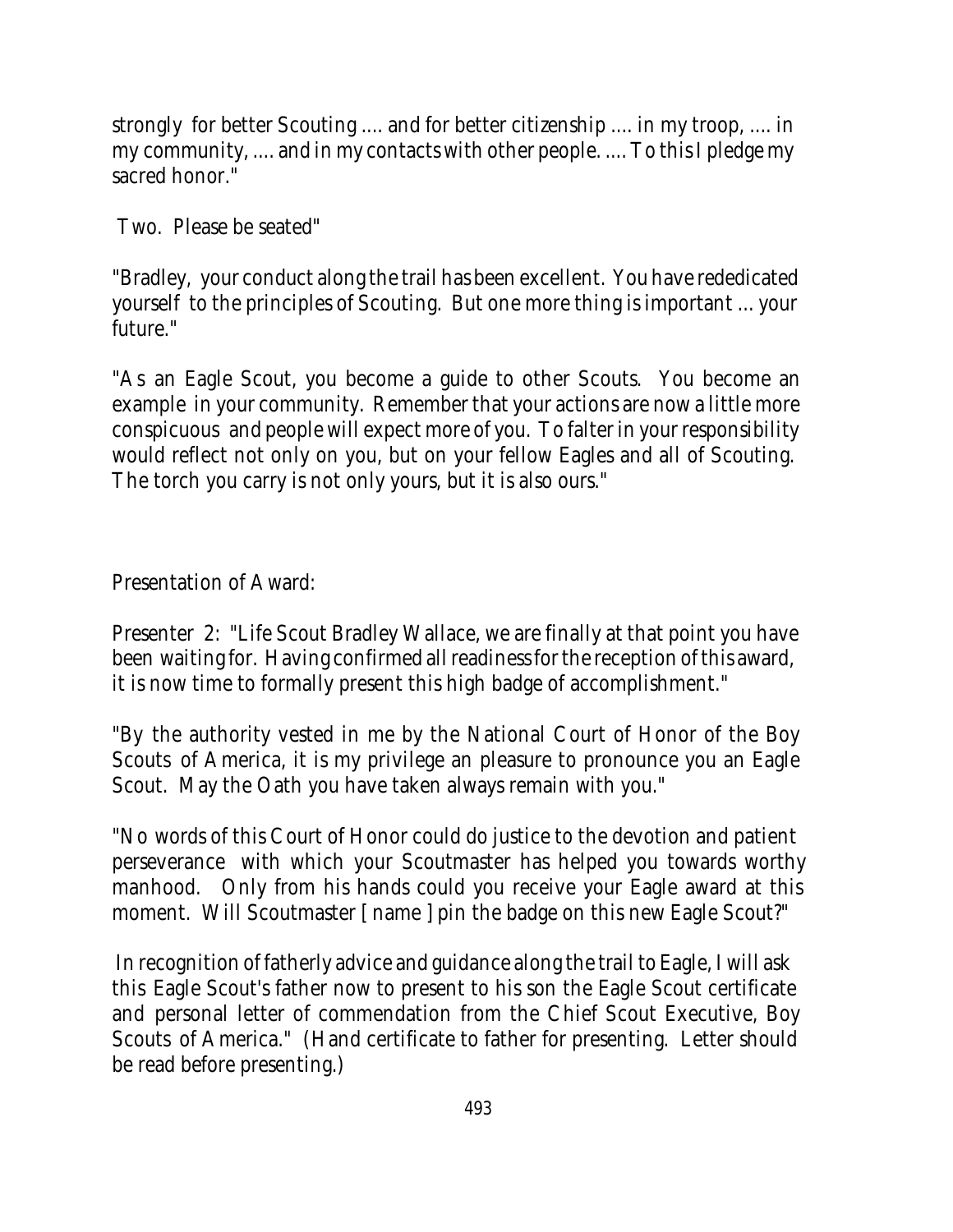strongly for better Scouting .... and for better citizenship .... in my troop, .... in my community, .... and in my contacts with other people. .... To this I pledge my sacred honor."

Two. Please be seated"

"Bradley, your conduct along the trail has been excellent. You have rededicated yourself to the principles of Scouting. But one more thing is important ... your future."

"As an Eagle Scout, you become a guide to other Scouts. You become an example in your community. Remember that your actions are now a little more conspicuous and people will expect more of you. To falter in your responsibility would reflect not only on you, but on your fellow Eagles and all of Scouting. The torch you carry is not only yours, but it is also ours."

Presentation of Award:

Presenter 2: "Life Scout Bradley Wallace, we are finally at that point you have been waiting for. Having confirmed all readiness for the reception of this award, it is now time to formally present this high badge of accomplishment."

"By the authority vested in me by the National Court of Honor of the Boy Scouts of America, it is my privilege an pleasure to pronounce you an Eagle Scout. May the Oath you have taken always remain with you."

"No words of this Court of Honor could do justice to the devotion and patient perseverance with which your Scoutmaster has helped you towards worthy manhood. Only from his hands could you receive your Eagle award at this moment. Will Scoutmaster [ name ] pin the badge on this new Eagle Scout?"

 In recognition of fatherly advice and guidance along the trail to Eagle, I will ask this Eagle Scout's father now to present to his son the Eagle Scout certificate and personal letter of commendation from the Chief Scout Executive, Boy Scouts of America." (Hand certificate to father for presenting. Letter should be read before presenting.)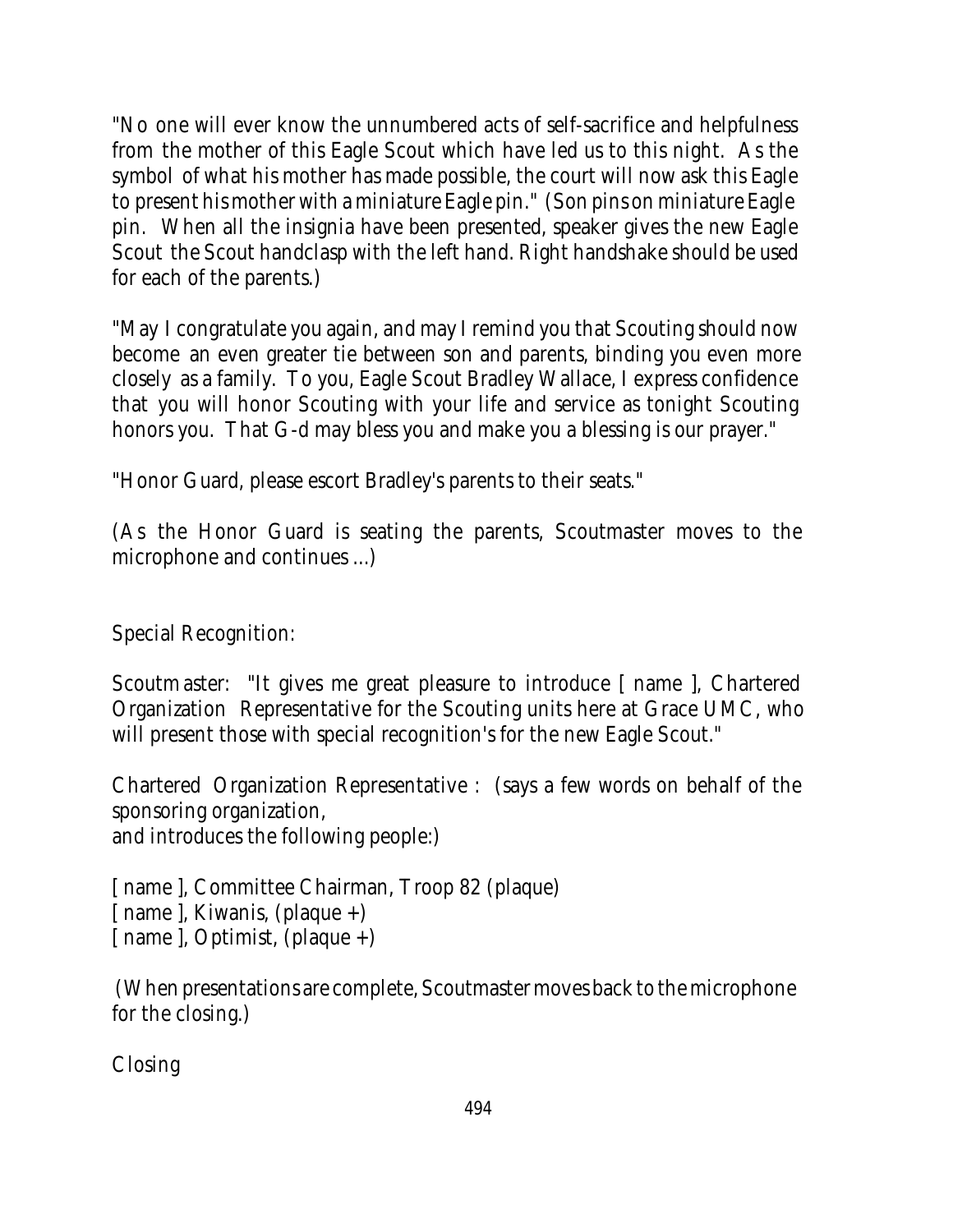"No one will ever know the unnumbered acts of self-sacrifice and helpfulness from the mother of this Eagle Scout which have led us to this night. As the symbol of what his mother has made possible, the court will now ask this Eagle to present his mother with a miniature Eagle pin." (Son pins on miniature Eagle pin. When all the insignia have been presented, speaker gives the new Eagle Scout the Scout handclasp with the left hand. Right handshake should be used for each of the parents.)

"May I congratulate you again, and may I remind you that Scouting should now become an even greater tie between son and parents, binding you even more closely as a family. To you, Eagle Scout Bradley Wallace, I express confidence that you will honor Scouting with your life and service as tonight Scouting honors you. That G-d may bless you and make you a blessing is our prayer."

"Honor Guard, please escort Bradley's parents to their seats."

(As the Honor Guard is seating the parents, Scoutmaster moves to the microphone and continues ...)

Special Recognition:

Scoutm aster: "It gives me great pleasure to introduce [ name ], Chartered Organization Representative for the Scouting units here at Grace UMC, who will present those with special recognition's for the new Eagle Scout."

Chartered Organization Representative : (says a few words on behalf of the sponsoring organization, and introduces the following people:)

[ name ], Committee Chairman, Troop 82 (plaque) [ name ], Kiwanis, (plaque +) [ name ], Optimist, (plaque  $+$ )

 (When presentations are complete, Scoutmaster moves back to the microphone for the closing.)

Closing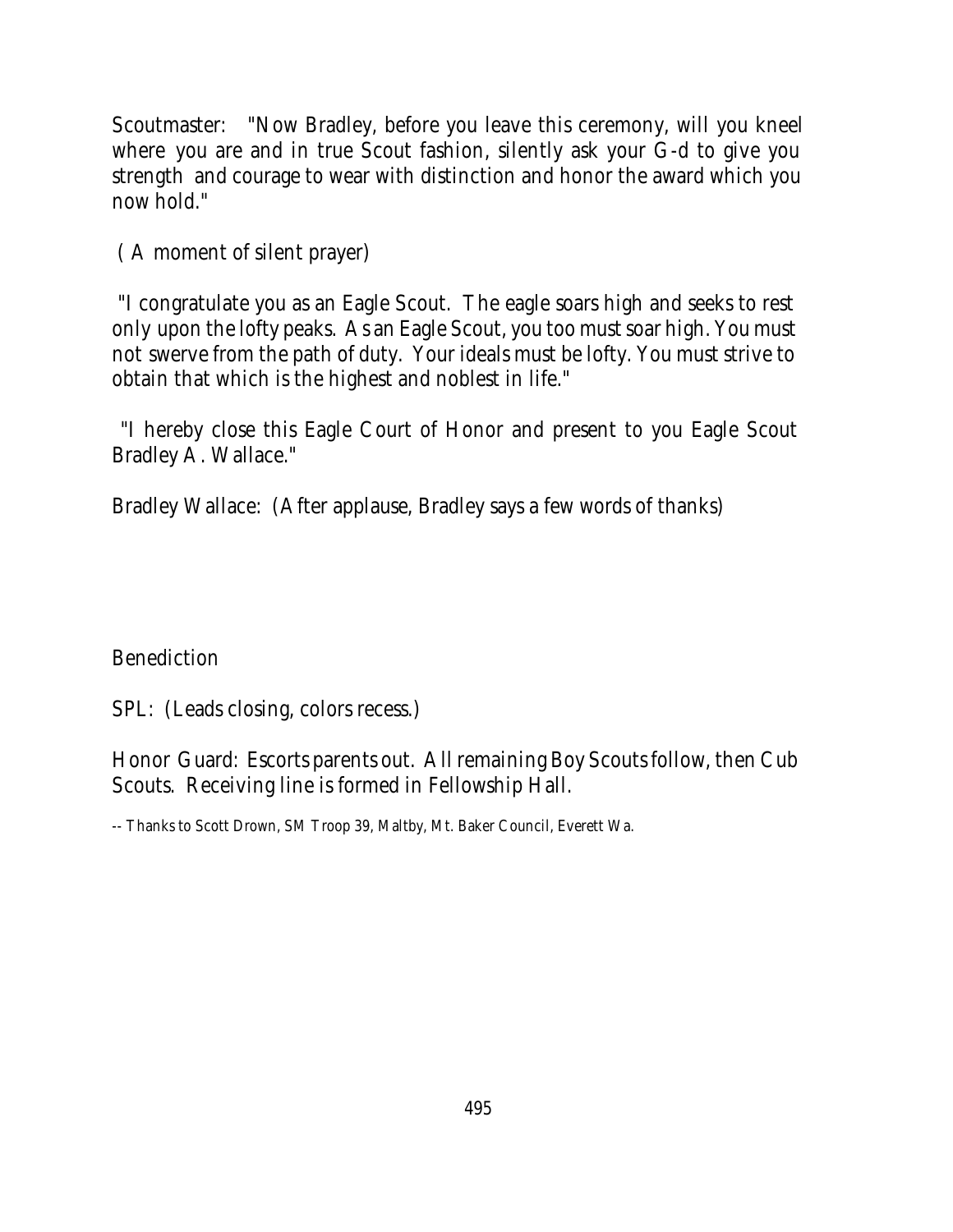Scoutmaster: "Now Bradley, before you leave this ceremony, will you kneel where you are and in true Scout fashion, silently ask your G-d to give you strength and courage to wear with distinction and honor the award which you now hold."

( A moment of silent prayer)

 "I congratulate you as an Eagle Scout. The eagle soars high and seeks to rest only upon the lofty peaks. As an Eagle Scout, you too must soar high. You must not swerve from the path of duty. Your ideals must be lofty. You must strive to obtain that which is the highest and noblest in life."

 "I hereby close this Eagle Court of Honor and present to you Eagle Scout Bradley A. Wallace."

Bradley Wallace: (After applause, Bradley says a few words of thanks)

Benediction

SPL: (Leads closing, colors recess.)

Honor Guard: Escorts parents out. All remaining Boy Scouts follow, then Cub Scouts. Receiving line is formed in Fellowship Hall.

-- Thanks to Scott Drown, SM Troop 39, Maltby, Mt. Baker Council, Everett Wa.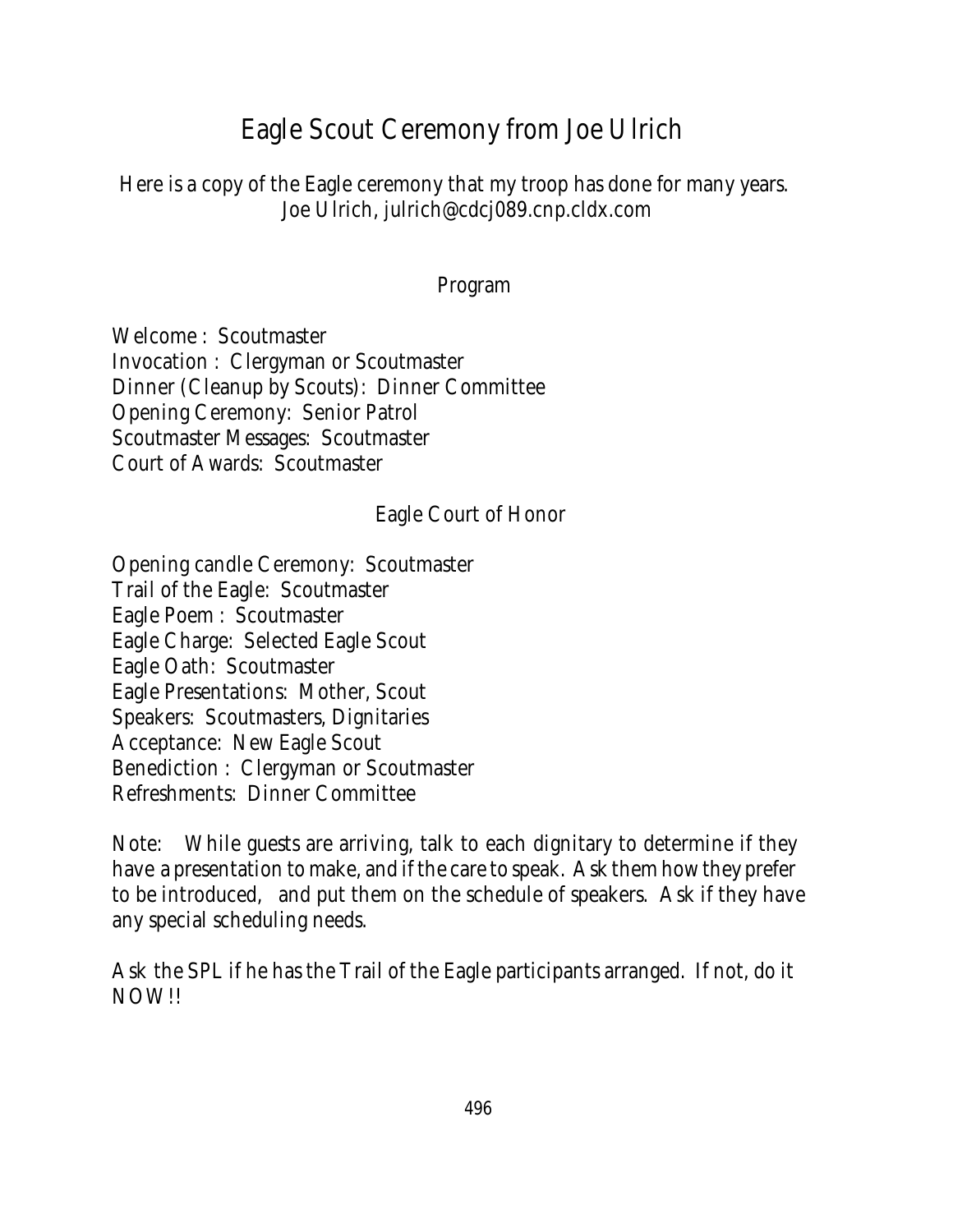# Eagle Scout Ceremony from Joe Ulrich

Here is a copy of the Eagle ceremony that my troop has done for many years. Joe Ulrich, julrich@cdcj089.cnp.cldx.com

#### Program

Welcome : Scoutmaster Invocation : Clergyman or Scoutmaster Dinner (Cleanup by Scouts): Dinner Committee Opening Ceremony: Senior Patrol Scoutmaster Messages: Scoutmaster Court of Awards: Scoutmaster

#### Eagle Court of Honor

Opening candle Ceremony: Scoutmaster Trail of the Eagle: Scoutmaster Eagle Poem : Scoutmaster Eagle Charge: Selected Eagle Scout Eagle Oath: Scoutmaster Eagle Presentations: Mother, Scout Speakers: Scoutmasters, Dignitaries Acceptance: New Eagle Scout Benediction : Clergyman or Scoutmaster Refreshments: Dinner Committee

Note: While guests are arriving, talk to each dignitary to determine if they have a presentation to make, and if the care to speak. Ask them how they prefer to be introduced, and put them on the schedule of speakers. Ask if they have any special scheduling needs.

Ask the SPL if he has the Trail of the Eagle participants arranged. If not, do it NOW!!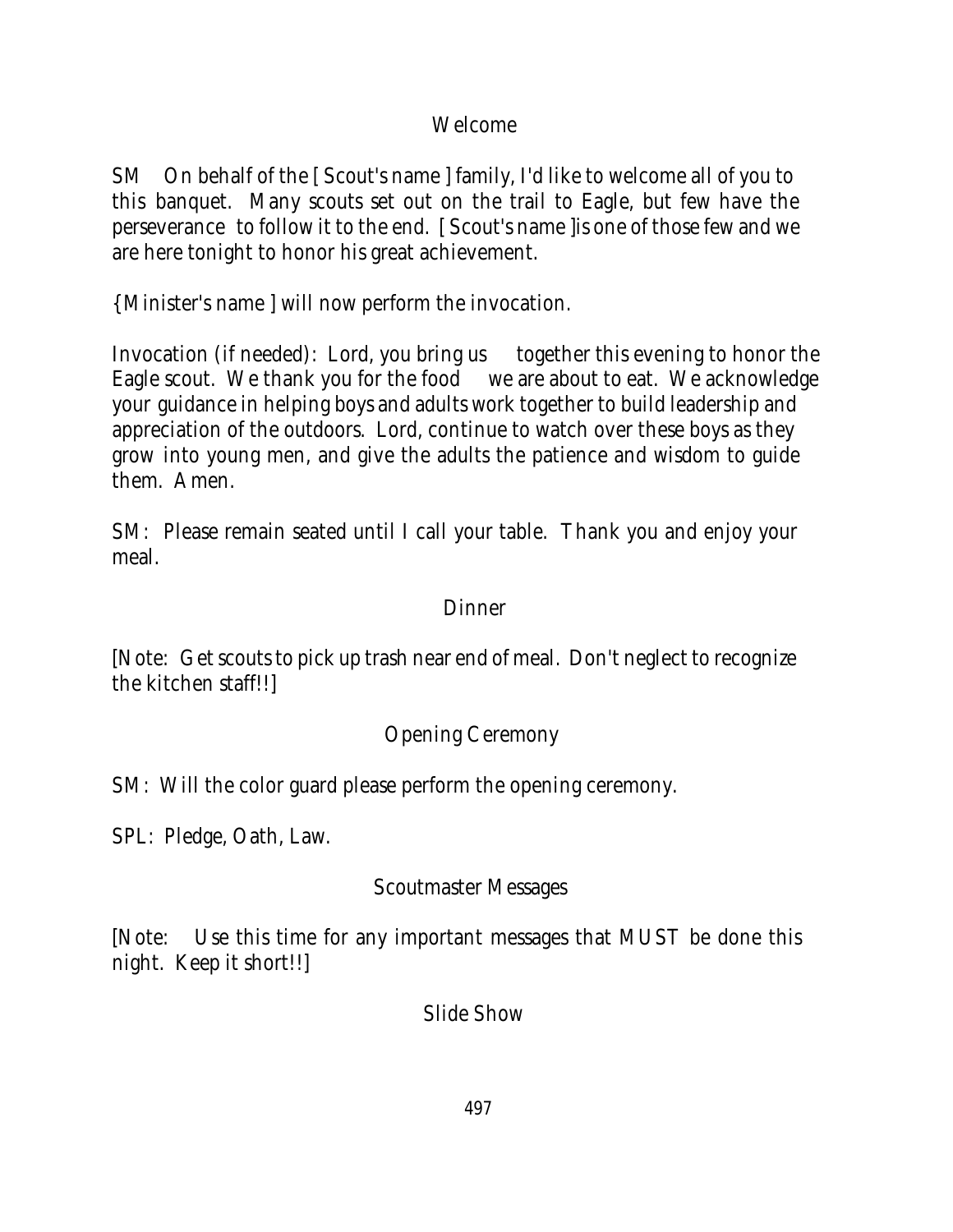#### Welcome

SM On behalf of the [ Scout's name ] family, I'd like to welcome all of you to this banquet. Many scouts set out on the trail to Eagle, but few have the perseverance to follow it to the end. [ Scout's name ]is one of those few and we are here tonight to honor his great achievement.

{ Minister's name ] will now perform the invocation.

Invocation (if needed): Lord, you bring us together this evening to honor the Eagle scout. We thank you for the food we are about to eat. We acknowledge your guidance in helping boys and adults work together to build leadership and appreciation of the outdoors. Lord, continue to watch over these boys as they grow into young men, and give the adults the patience and wisdom to guide them. Amen.

SM: Please remain seated until I call your table. Thank you and enjoy your meal.

#### **Dinner**

[Note: Get scouts to pick up trash near end of meal. Don't neglect to recognize the kitchen staff!!]

## Opening Ceremony

SM: Will the color guard please perform the opening ceremony.

SPL: Pledge, Oath, Law.

## Scoutmaster Messages

[Note: Use this time for any important messages that MUST be done this night. Keep it short!!]

Slide Show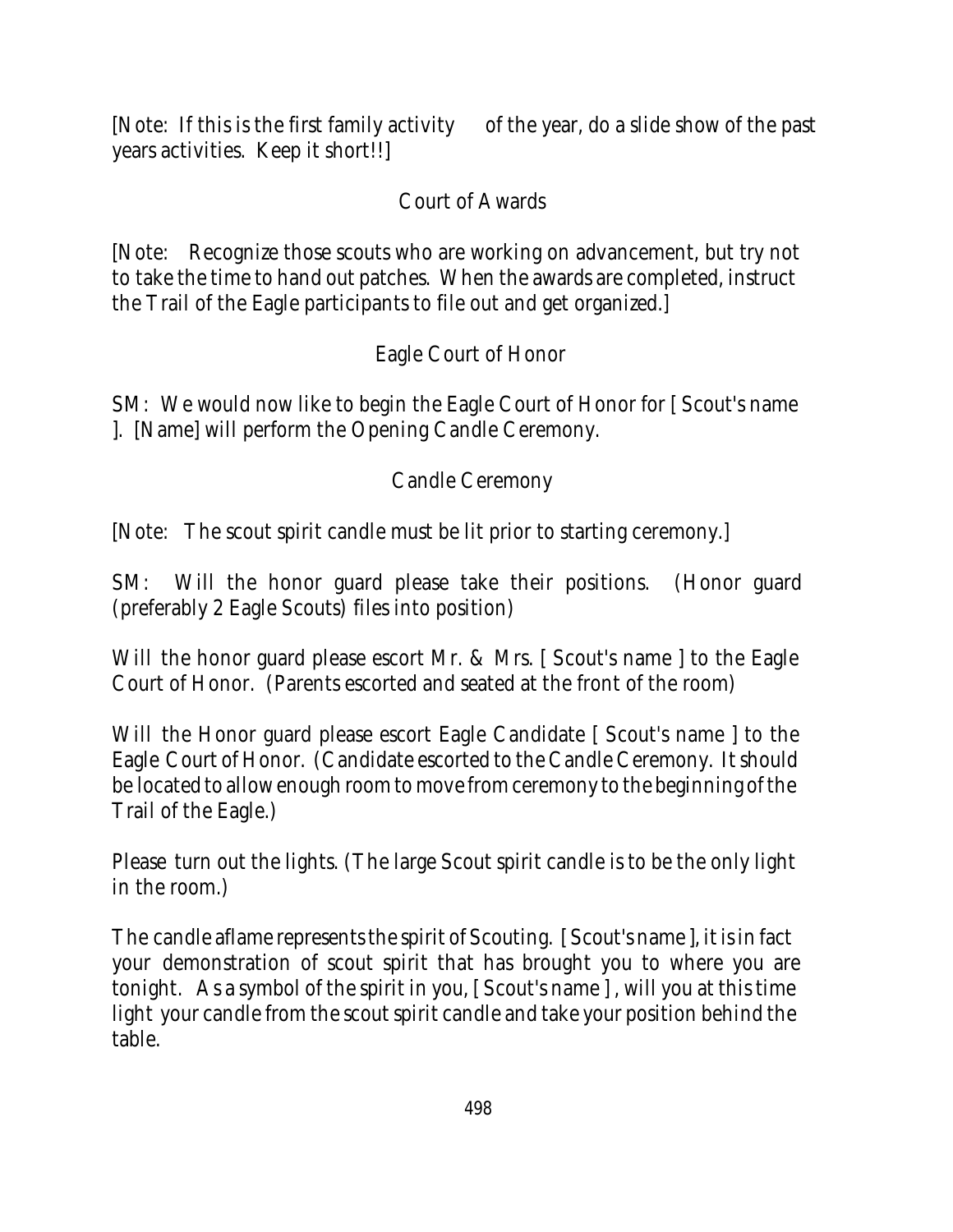[Note: If this is the first family activity of the year, do a slide show of the past years activities. Keep it short!!]

## Court of Awards

[Note: Recognize those scouts who are working on advancement, but try not to take the time to hand out patches. When the awards are completed, instruct the Trail of the Eagle participants to file out and get organized.]

## Eagle Court of Honor

SM: We would now like to begin the Eagle Court of Honor for [ Scout's name ]. [Name] will perform the Opening Candle Ceremony.

## Candle Ceremony

[Note: The scout spirit candle must be lit prior to starting ceremony.]

SM: Will the honor guard please take their positions. (Honor guard (preferably 2 Eagle Scouts) files into position)

Will the honor guard please escort Mr. & Mrs. [ Scout's name ] to the Eagle Court of Honor. (Parents escorted and seated at the front of the room)

Will the Honor guard please escort Eagle Candidate [ Scout's name ] to the Eagle Court of Honor. (Candidate escorted to the Candle Ceremony. It should be located to allow enough room to move from ceremony to the beginning of the Trail of the Eagle.)

Please turn out the lights. (The large Scout spirit candle is to be the only light in the room.)

The candle aflame represents the spirit of Scouting. [ Scout's name ], it is in fact your demonstration of scout spirit that has brought you to where you are tonight. As a symbol of the spirit in you, [ Scout's name ] , will you at this time light your candle from the scout spirit candle and take your position behind the table.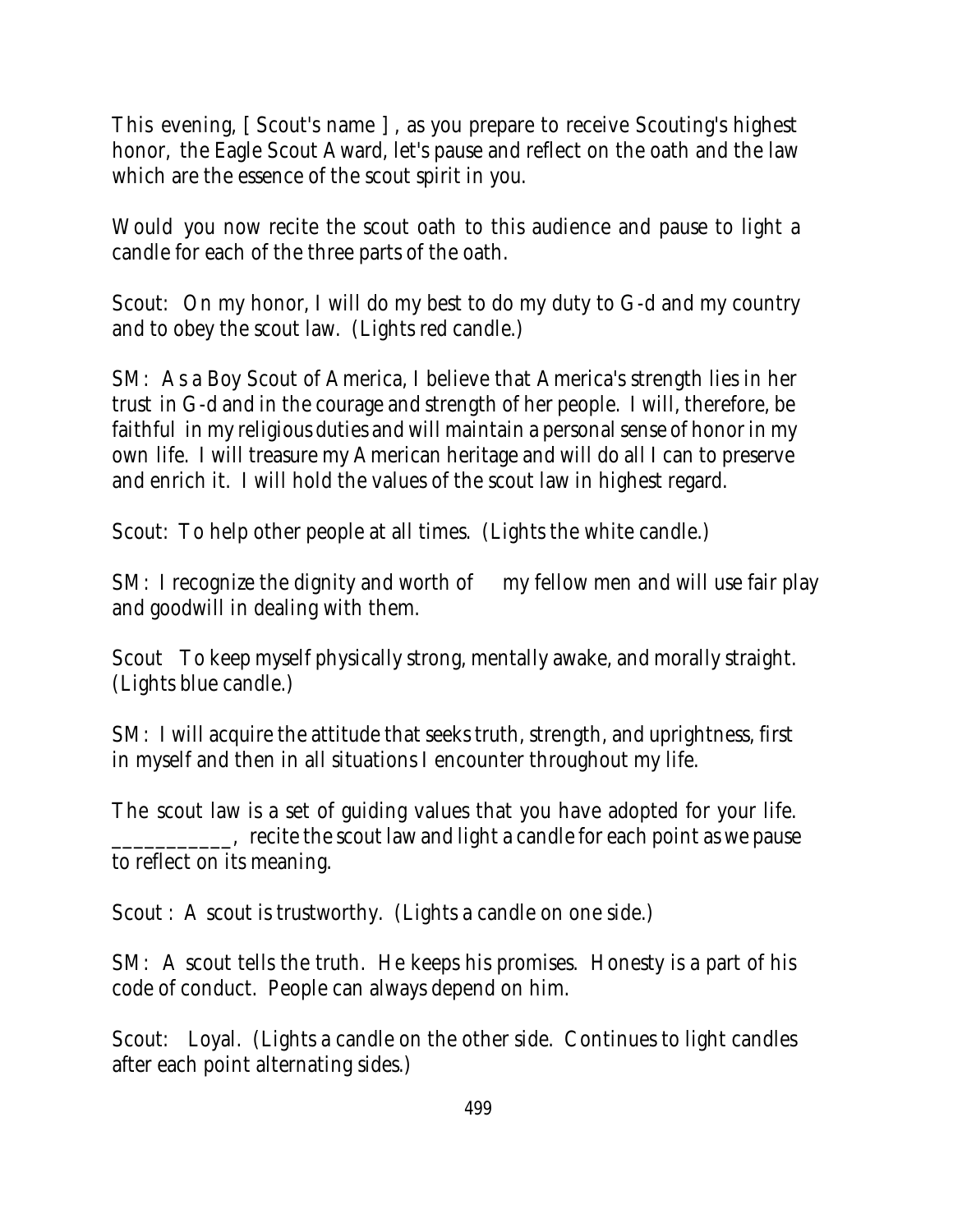This evening, [ Scout's name ] , as you prepare to receive Scouting's highest honor, the Eagle Scout Award, let's pause and reflect on the oath and the law which are the essence of the scout spirit in you.

Would you now recite the scout oath to this audience and pause to light a candle for each of the three parts of the oath.

Scout: On my honor, I will do my best to do my duty to G-d and my country and to obey the scout law. (Lights red candle.)

SM: As a Boy Scout of America, I believe that America's strength lies in her trust in G-d and in the courage and strength of her people. I will, therefore, be faithful in my religious duties and will maintain a personal sense of honor in my own life. I will treasure my American heritage and will do all I can to preserve and enrich it. I will hold the values of the scout law in highest regard.

Scout: To help other people at all times. (Lights the white candle.)

SM: I recognize the dignity and worth of my fellow men and will use fair play and goodwill in dealing with them.

Scout To keep myself physically strong, mentally awake, and morally straight. (Lights blue candle.)

SM: I will acquire the attitude that seeks truth, strength, and uprightness, first in myself and then in all situations I encounter throughout my life.

The scout law is a set of guiding values that you have adopted for your life. \_\_\_\_\_\_\_\_\_\_\_, recite the scout law and light a candle for each point as we pause to reflect on its meaning.

Scout : A scout is trustworthy. (Lights a candle on one side.)

SM: A scout tells the truth. He keeps his promises. Honesty is a part of his code of conduct. People can always depend on him.

Scout: Loyal. (Lights a candle on the other side. Continues to light candles after each point alternating sides.)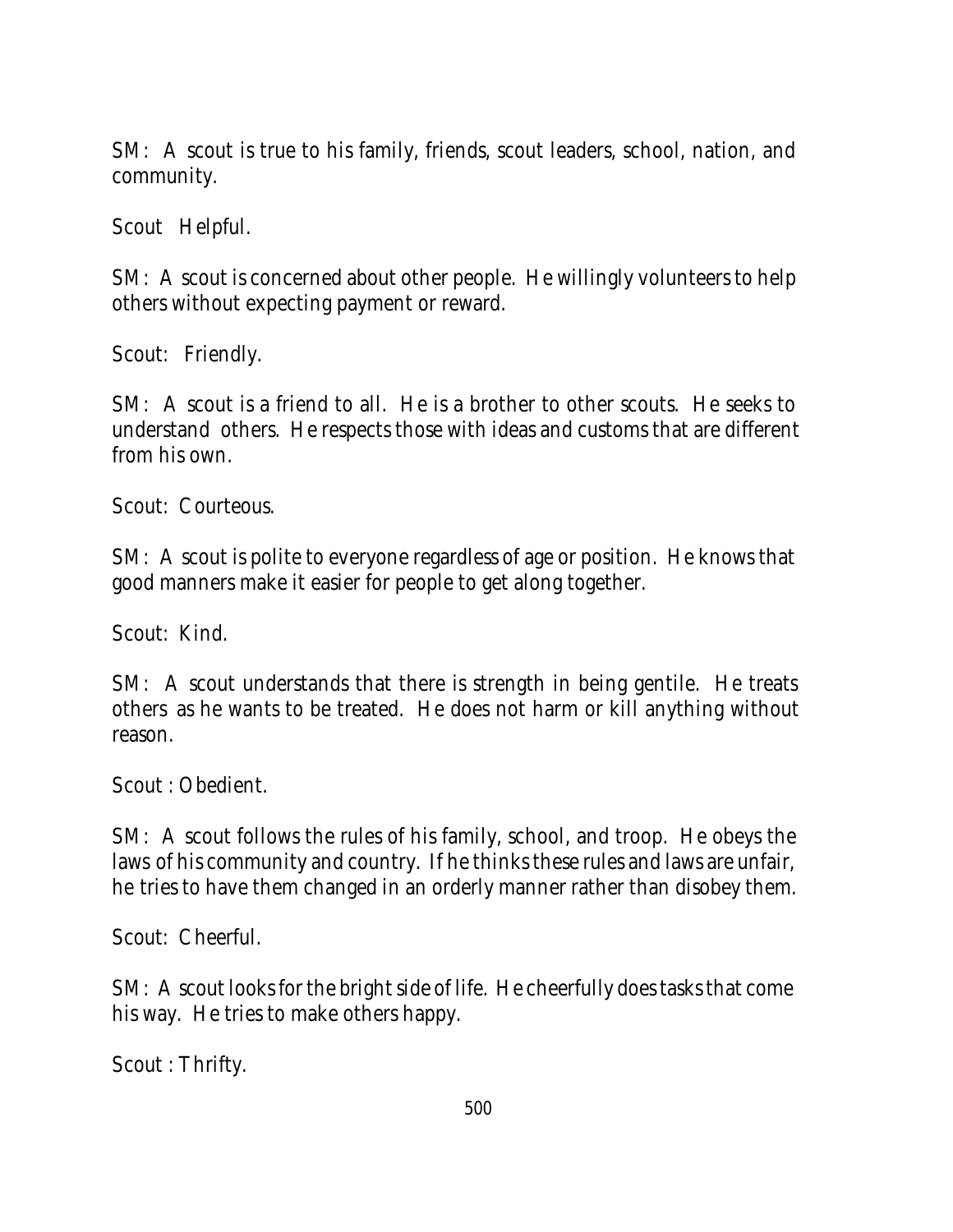SM: A scout is true to his family, friends, scout leaders, school, nation, and community.

Scout Helpful.

SM: A scout is concerned about other people. He willingly volunteers to help others without expecting payment or reward.

Scout: Friendly.

SM: A scout is a friend to all. He is a brother to other scouts. He seeks to understand others. He respects those with ideas and customs that are different from his own.

Scout: Courteous.

SM: A scout is polite to everyone regardless of age or position. He knows that good manners make it easier for people to get along together.

Scout: Kind.

SM: A scout understands that there is strength in being gentile. He treats others as he wants to be treated. He does not harm or kill anything without reason.

Scout : Obedient.

SM: A scout follows the rules of his family, school, and troop. He obeys the laws of his community and country. If he thinks these rules and laws are unfair, he tries to have them changed in an orderly manner rather than disobey them.

Scout: Cheerful.

SM: A scout looks for the bright side of life. He cheerfully does tasks that come his way. He tries to make others happy.

Scout : Thrifty.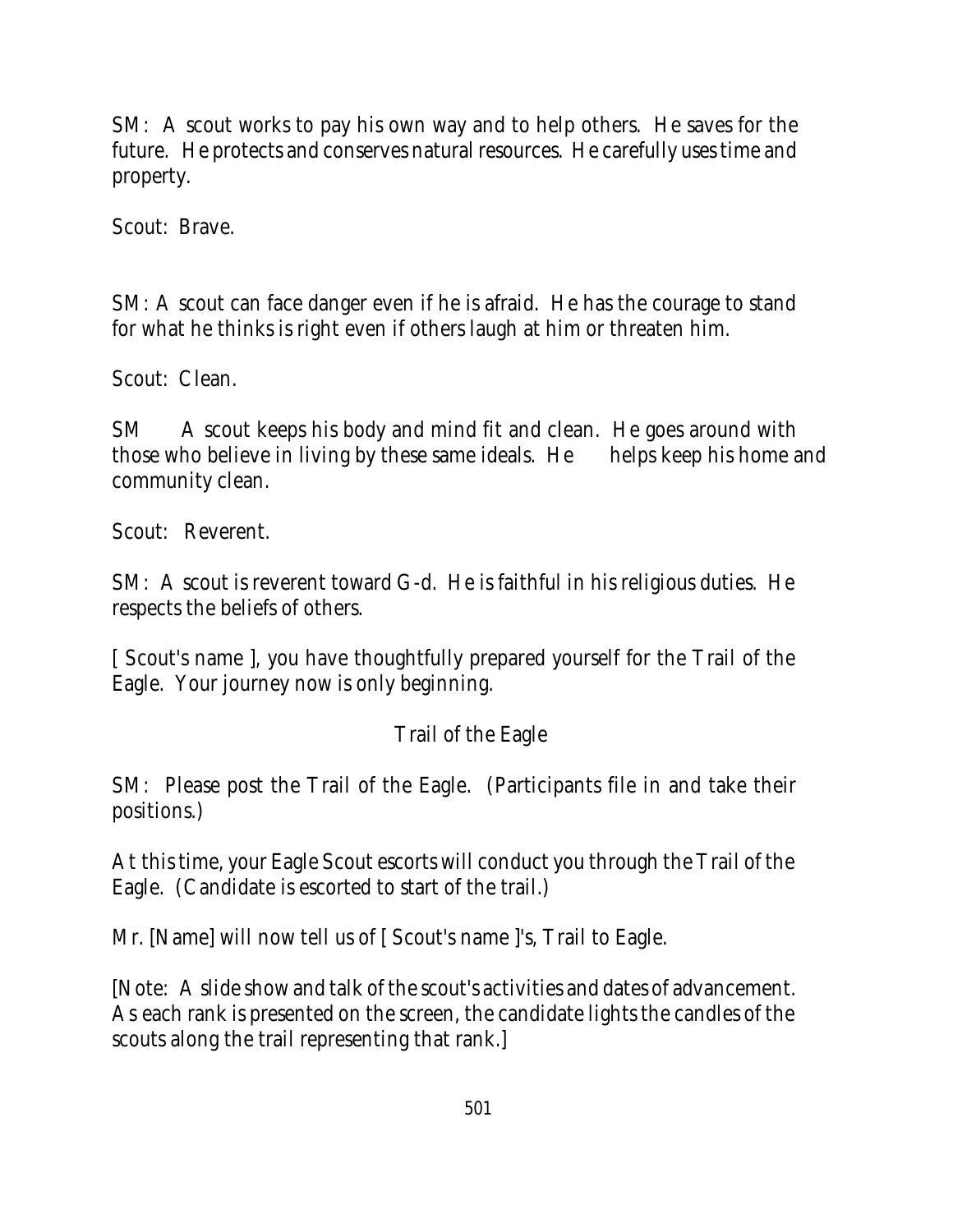SM: A scout works to pay his own way and to help others. He saves for the future. He protects and conserves natural resources. He carefully uses time and property.

Scout: Brave.

SM: A scout can face danger even if he is afraid. He has the courage to stand for what he thinks is right even if others laugh at him or threaten him.

Scout: Clean.

SM A scout keeps his body and mind fit and clean. He goes around with those who believe in living by these same ideals. He helps keep his home and community clean.

Scout: Reverent.

SM: A scout is reverent toward G-d. He is faithful in his religious duties. He respects the beliefs of others.

[ Scout's name ], you have thoughtfully prepared yourself for the Trail of the Eagle. Your journey now is only beginning.

## Trail of the Eagle

SM: Please post the Trail of the Eagle. (Participants file in and take their positions.)

At this time, your Eagle Scout escorts will conduct you through the Trail of the Eagle. (Candidate is escorted to start of the trail.)

Mr. [Name] will now tell us of [ Scout's name ]'s, Trail to Eagle.

[Note: A slide show and talk of the scout's activities and dates of advancement. As each rank is presented on the screen, the candidate lights the candles of the scouts along the trail representing that rank.]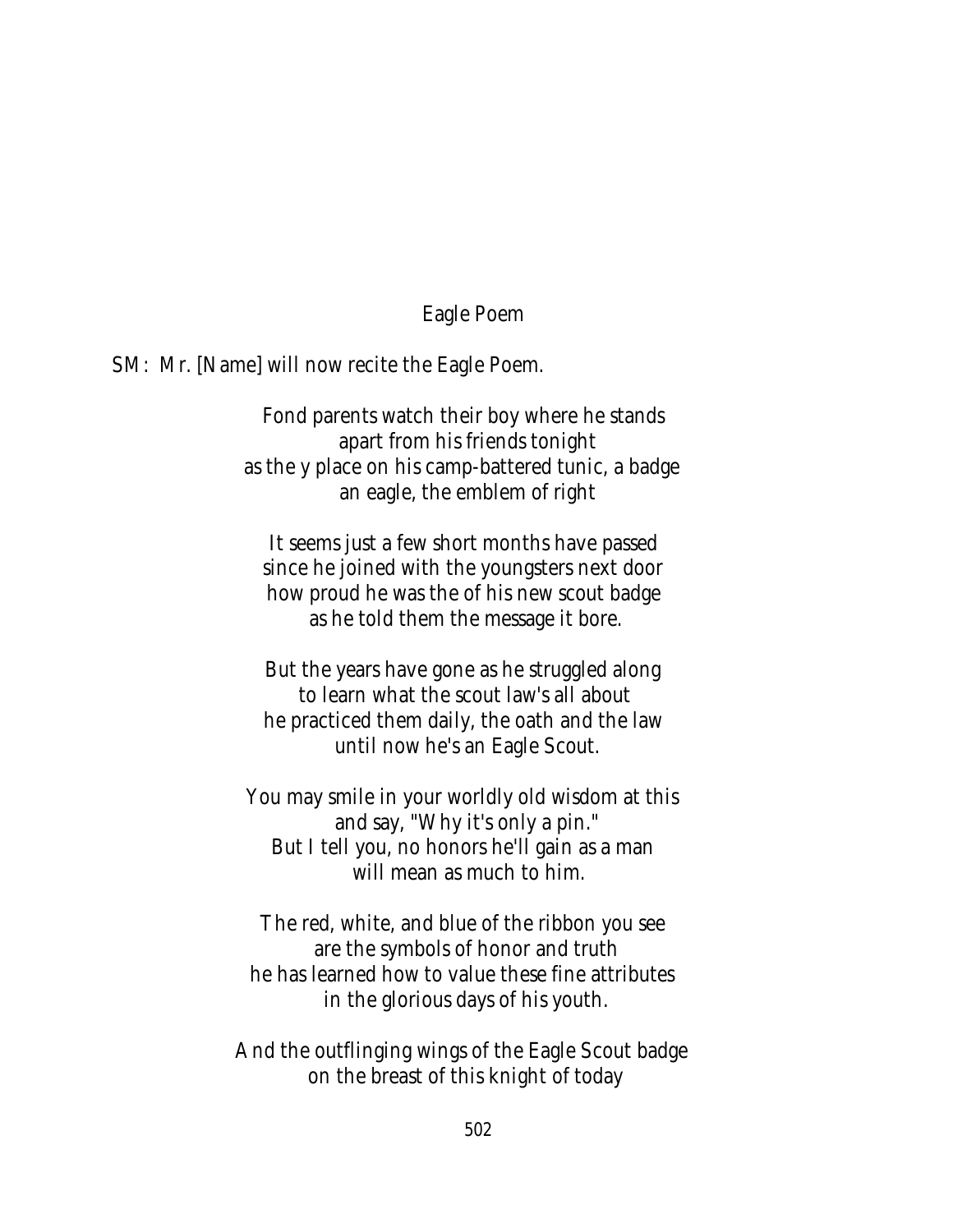#### Eagle Poem

SM: Mr. [Name] will now recite the Eagle Poem.

Fond parents watch their boy where he stands apart from his friends tonight as the y place on his camp-battered tunic, a badge an eagle, the emblem of right

It seems just a few short months have passed since he joined with the youngsters next door how proud he was the of his new scout badge as he told them the message it bore.

But the years have gone as he struggled along to learn what the scout law's all about he practiced them daily, the oath and the law until now he's an Eagle Scout.

You may smile in your worldly old wisdom at this and say, "Why it's only a pin." But I tell you, no honors he'll gain as a man will mean as much to him.

The red, white, and blue of the ribbon you see are the symbols of honor and truth he has learned how to value these fine attributes in the glorious days of his youth.

And the outflinging wings of the Eagle Scout badge on the breast of this knight of today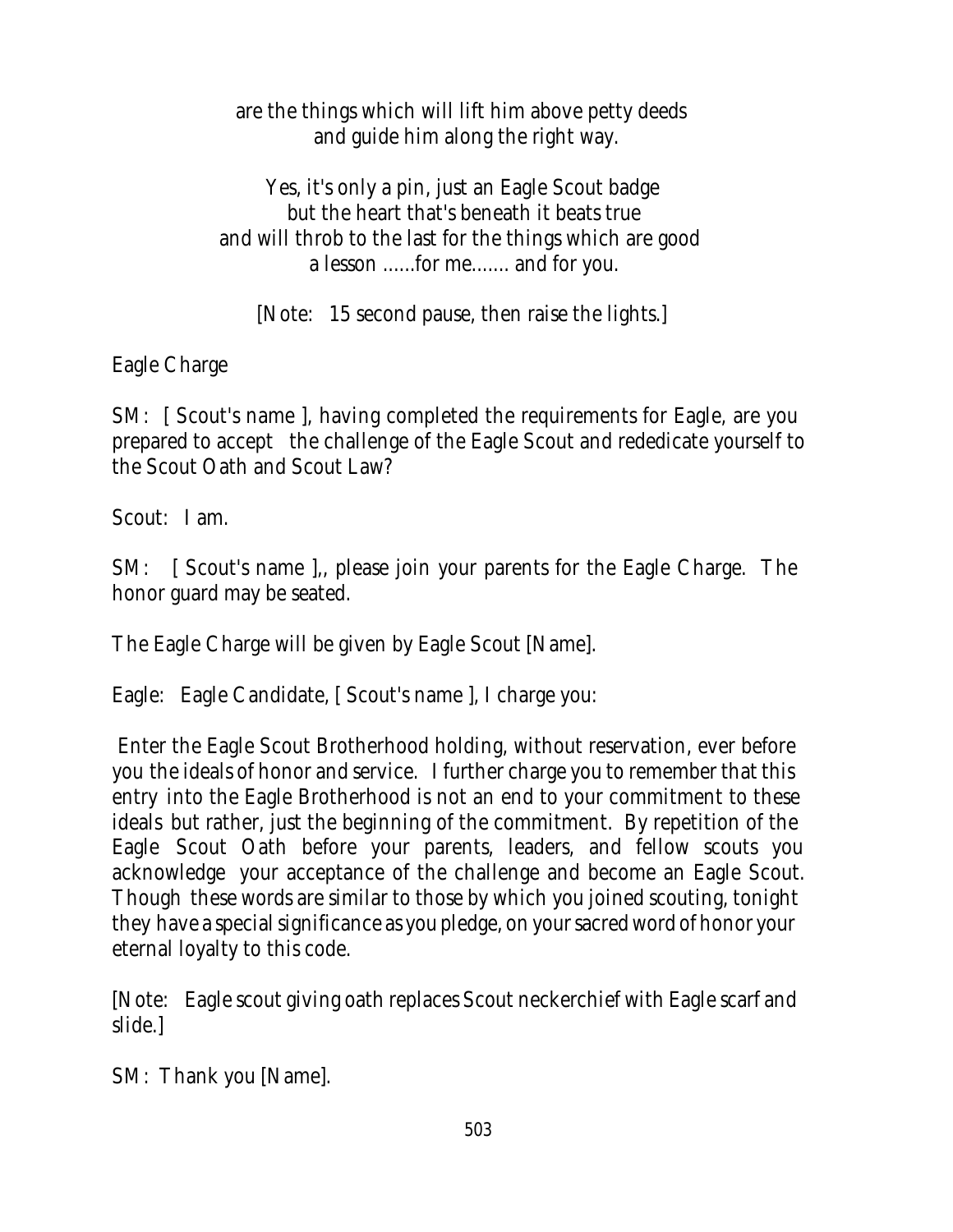are the things which will lift him above petty deeds and guide him along the right way.

Yes, it's only a pin, just an Eagle Scout badge but the heart that's beneath it beats true and will throb to the last for the things which are good a lesson ......for me....... and for you.

[Note: 15 second pause, then raise the lights.]

Eagle Charge

SM: [ Scout's name ], having completed the requirements for Eagle, are you prepared to accept the challenge of the Eagle Scout and rededicate yourself to the Scout Oath and Scout Law?

Scout: I am.

SM: [ Scout's name ],, please join your parents for the Eagle Charge. The honor guard may be seated.

The Eagle Charge will be given by Eagle Scout [Name].

Eagle: Eagle Candidate, [ Scout's name ], I charge you:

 Enter the Eagle Scout Brotherhood holding, without reservation, ever before you the ideals of honor and service. I further charge you to remember that this entry into the Eagle Brotherhood is not an end to your commitment to these ideals but rather, just the beginning of the commitment. By repetition of the Eagle Scout Oath before your parents, leaders, and fellow scouts you acknowledge your acceptance of the challenge and become an Eagle Scout. Though these words are similar to those by which you joined scouting, tonight they have a special significance as you pledge, on your sacred word of honor your eternal loyalty to this code.

[Note: Eagle scout giving oath replaces Scout neckerchief with Eagle scarf and slide.]

SM: Thank you [Name].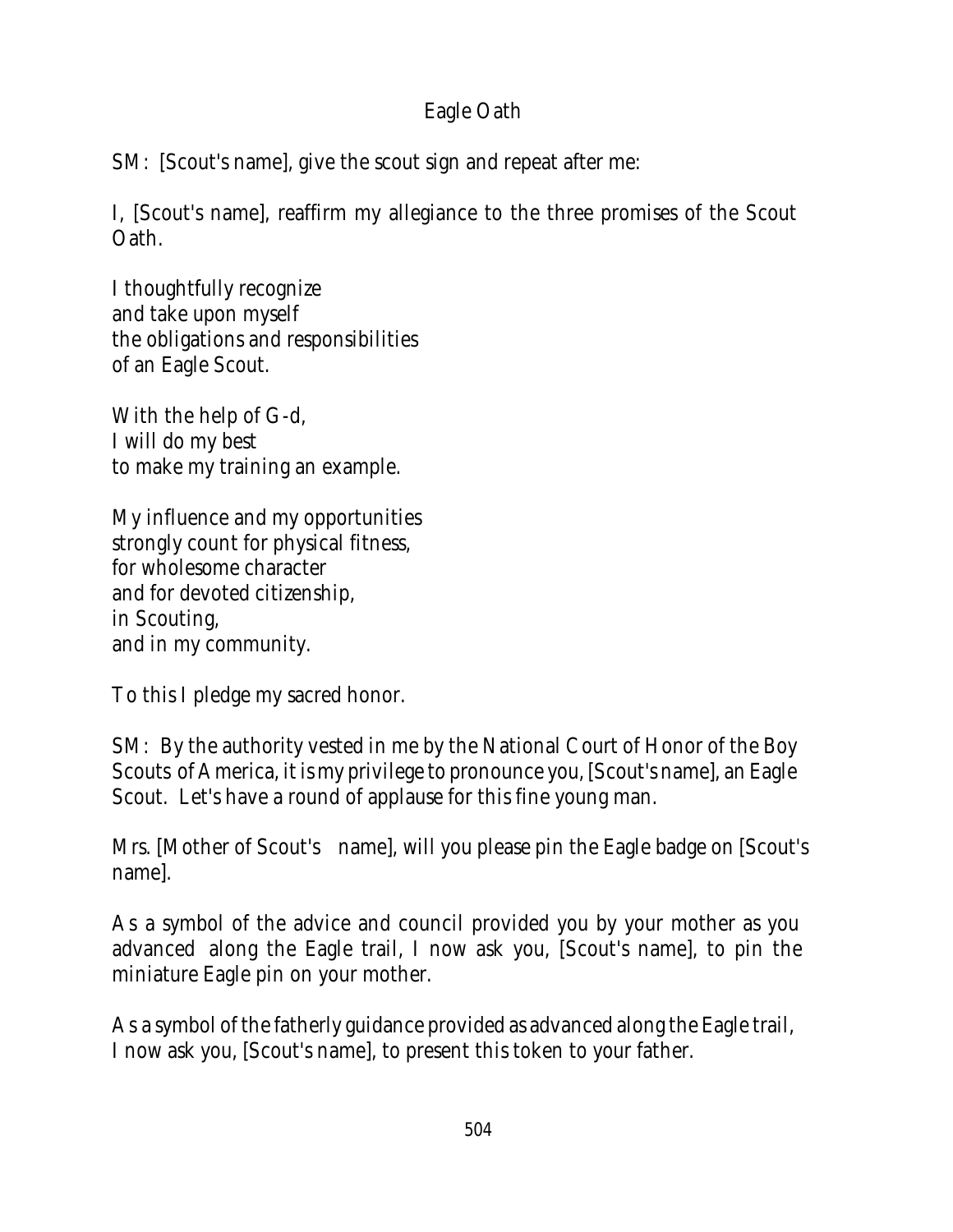## Eagle Oath

SM: [Scout's name], give the scout sign and repeat after me:

I, [Scout's name], reaffirm my allegiance to the three promises of the Scout Oath.

I thoughtfully recognize and take upon myself the obligations and responsibilities of an Eagle Scout.

With the help of G-d, I will do my best to make my training an example.

My influence and my opportunities strongly count for physical fitness, for wholesome character and for devoted citizenship, in Scouting, and in my community.

To this I pledge my sacred honor.

SM: By the authority vested in me by the National Court of Honor of the Boy Scouts of America, it is my privilege to pronounce you, [Scout's name], an Eagle Scout. Let's have a round of applause for this fine young man.

Mrs. [Mother of Scout's name], will you please pin the Eagle badge on [Scout's name].

As a symbol of the advice and council provided you by your mother as you advanced along the Eagle trail, I now ask you, [Scout's name], to pin the miniature Eagle pin on your mother.

As a symbol of the fatherly guidance provided as advanced along the Eagle trail, I now ask you, [Scout's name], to present this token to your father.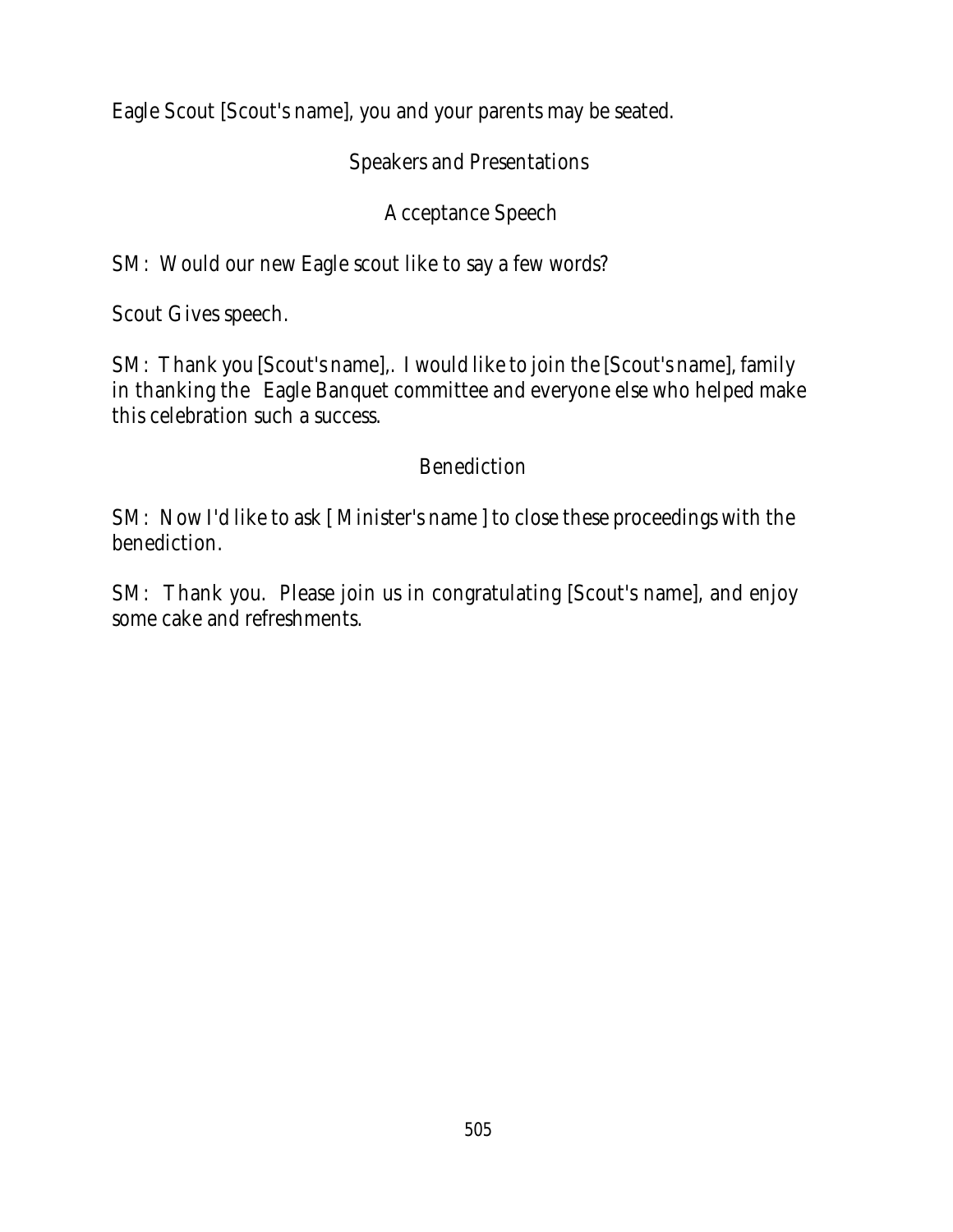Eagle Scout [Scout's name], you and your parents may be seated.

## Speakers and Presentations

## Acceptance Speech

SM: Would our new Eagle scout like to say a few words?

Scout Gives speech.

SM: Thank you [Scout's name],. I would like to join the [Scout's name], family in thanking the Eagle Banquet committee and everyone else who helped make this celebration such a success.

## Benediction

SM: Now I'd like to ask [ Minister's name ] to close these proceedings with the benediction.

SM: Thank you. Please join us in congratulating [Scout's name], and enjoy some cake and refreshments.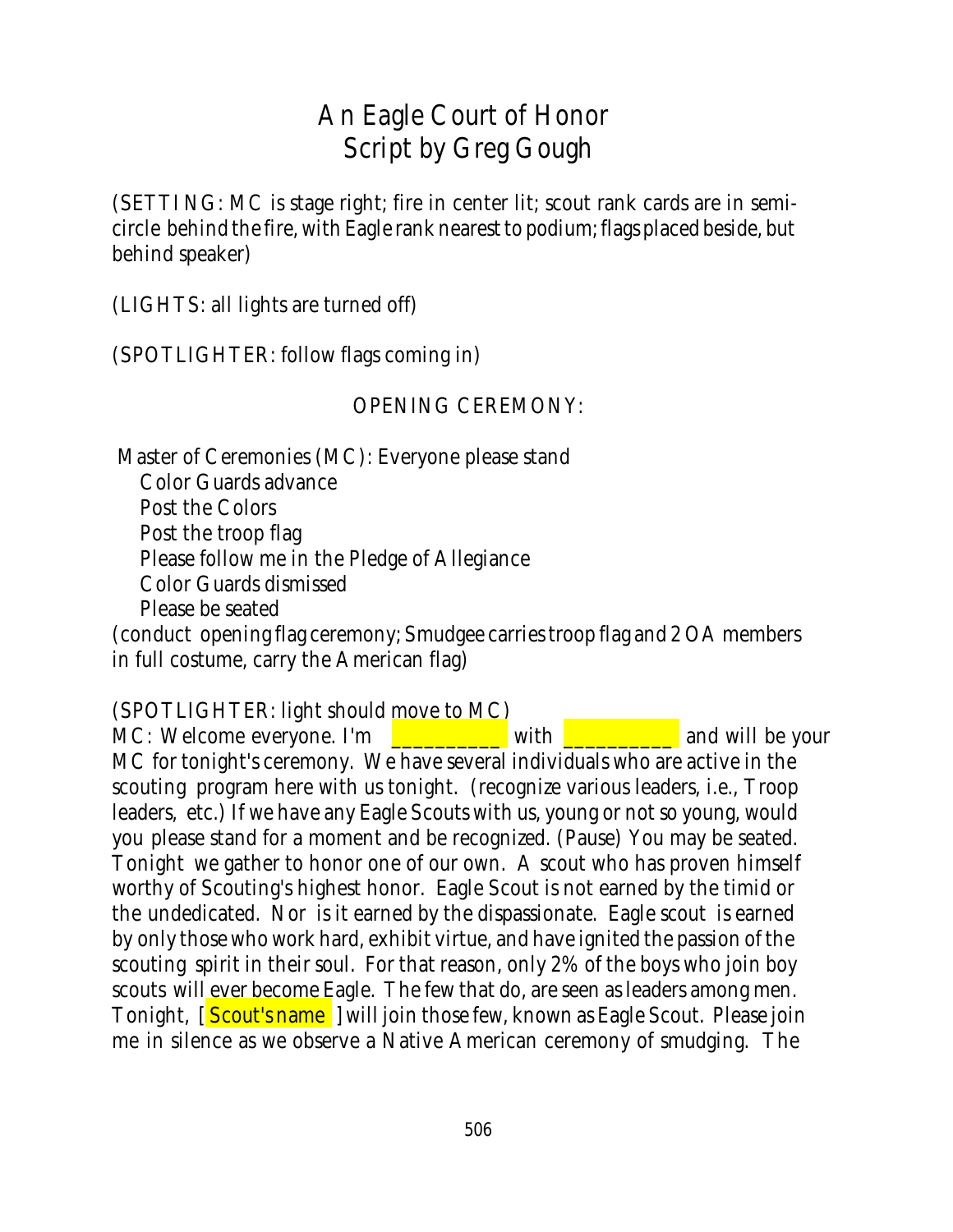# An Eagle Court of Honor Script by Greg Gough

(SETTI NG: MC is stage right; fire in center lit; scout rank cards are in semicircle behind the fire, with Eagle rank nearest to podium; flags placed beside, but behind speaker)

(LIGHTS: all lights are turned off)

(SPOTLIGHTER: follow flags coming in)

#### OPENING CEREMONY:

 Master of Ceremonies (MC): Everyone please stand Color Guards advance Post the Colors Post the troop flag Please follow me in the Pledge of Allegiance Color Guards dismissed Please be seated

(conduct opening flag ceremony; Smudgee carries troop flag and 2 OA members in full costume, carry the American flag)

(SPOTLIGHTER: light should move to MC)

 $MC:$  Welcome everyone. I'm  $\frac{1}{\sqrt{1-\frac{1}{\sqrt{1-\frac{1}{\sqrt{1-\frac{1}{\sqrt{1-\frac{1}{\sqrt{1-\frac{1}{\sqrt{1-\frac{1}{\sqrt{1-\frac{1}{\sqrt{1-\frac{1}{\sqrt{1-\frac{1}{\sqrt{1-\frac{1}{\sqrt{1-\frac{1}{\sqrt{1-\frac{1}{\sqrt{1-\frac{1}{\sqrt{1-\frac{1}{\sqrt{1-\frac{1}{\sqrt{1-\frac{1}{\sqrt{1-\frac{1}{\sqrt{1-\frac{1}{\sqrt{1-\frac{1}{\sqrt{1-\frac{1}{\sqrt{1-\frac{1$ MC for tonight's ceremony. We have several individuals who are active in the scouting program here with us tonight. (recognize various leaders, i.e., Troop leaders, etc.) If we have any Eagle Scouts with us, young or not so young, would you please stand for a moment and be recognized. (Pause) You may be seated. Tonight we gather to honor one of our own. A scout who has proven himself worthy of Scouting's highest honor. Eagle Scout is not earned by the timid or the undedicated. Nor is it earned by the dispassionate. Eagle scout is earned by only those who work hard, exhibit virtue, and have ignited the passion of the scouting spirit in their soul. For that reason, only 2% of the boys who join boy scouts will ever become Eagle. The few that do, are seen as leaders among men. Tonight, [Scout's name ] will join those few, known as Eagle Scout. Please join me in silence as we observe a Native American ceremony of smudging. The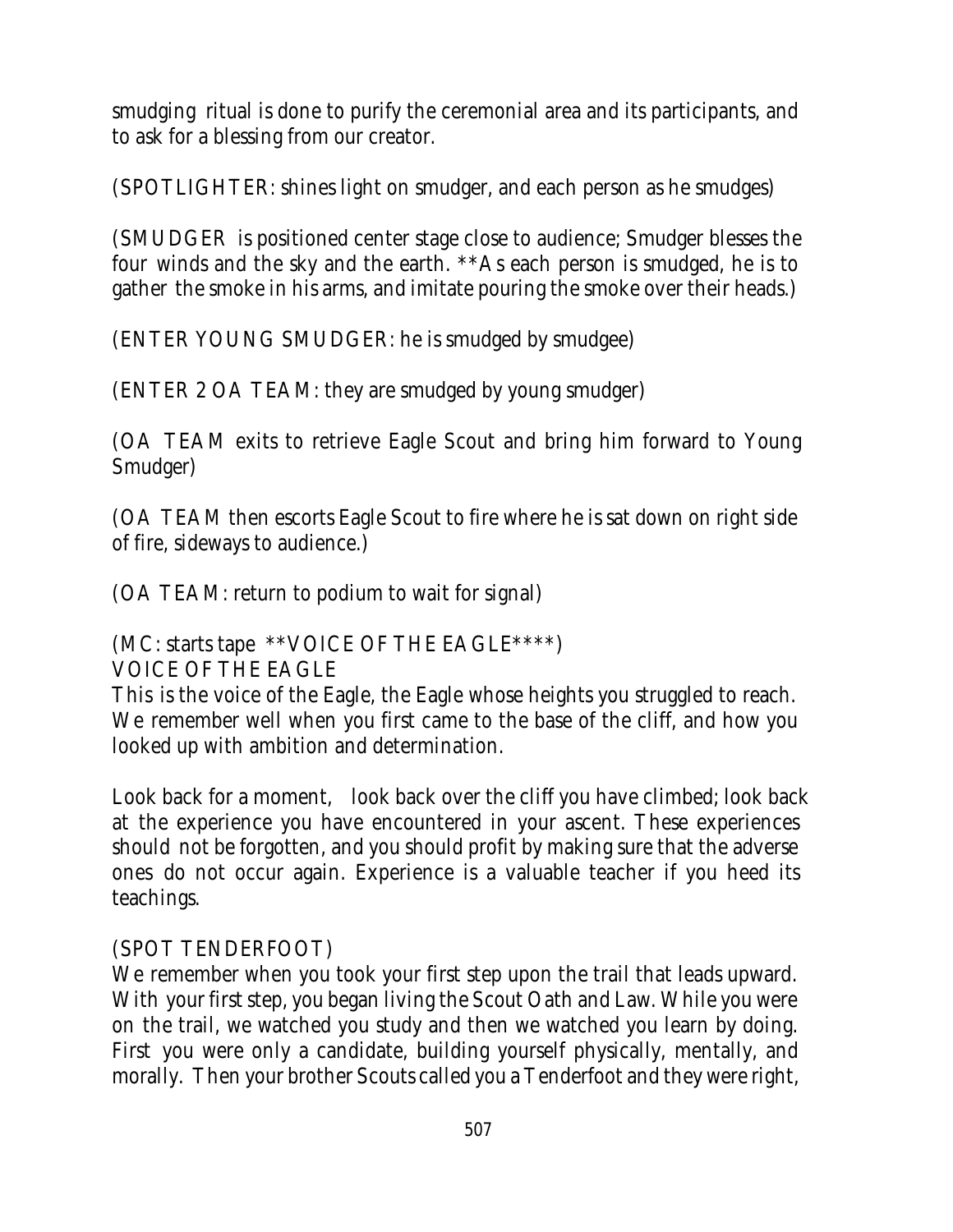smudging ritual is done to purify the ceremonial area and its participants, and to ask for a blessing from our creator.

(SPOTLIGHTER: shines light on smudger, and each person as he smudges)

(SMUDGER is positioned center stage close to audience; Smudger blesses the four winds and the sky and the earth. \*\*As each person is smudged, he is to gather the smoke in his arms, and imitate pouring the smoke over their heads.)

(ENTER YOUNG SMUDGER: he is smudged by smudgee)

(ENTER 2 OA TEAM: they are smudged by young smudger)

(OA TEAM exits to retrieve Eagle Scout and bring him forward to Young Smudger)

(OA TEAM then escorts Eagle Scout to fire where he is sat down on right side of fire, sideways to audience.)

(OA TEAM: return to podium to wait for signal)

(MC: starts tape \*\*VOICE OF THE EAGLE\*\*\*\*) VOICE OF THE EAGLE

This is the voice of the Eagle, the Eagle whose heights you struggled to reach. We remember well when you first came to the base of the cliff, and how you looked up with ambition and determination.

Look back for a moment, look back over the cliff you have climbed; look back at the experience you have encountered in your ascent. These experiences should not be forgotten, and you should profit by making sure that the adverse ones do not occur again. Experience is a valuable teacher if you heed its teachings.

## (SPOT TENDERFOOT)

We remember when you took your first step upon the trail that leads upward. With your first step, you began living the Scout Oath and Law. While you were on the trail, we watched you study and then we watched you learn by doing. First you were only a candidate, building yourself physically, mentally, and morally. Then your brother Scouts called you a Tenderfoot and they were right,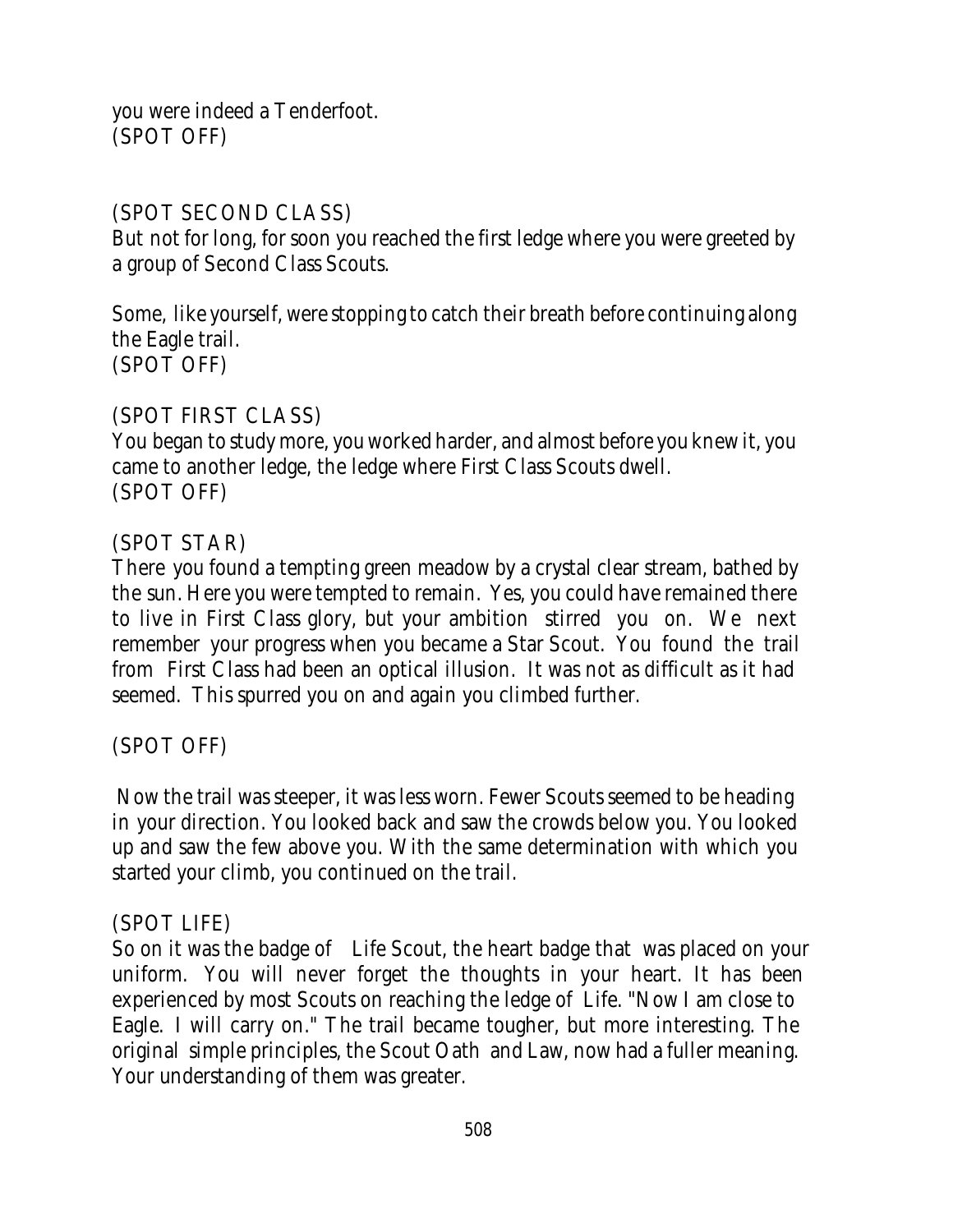you were indeed a Tenderfoot. (SPOT OFF)

#### (SPOT SECOND CLASS)

But not for long, for soon you reached the first ledge where you were greeted by a group of Second Class Scouts.

Some, like yourself, were stopping to catch their breath before continuing along the Eagle trail. (SPOT OFF)

## (SPOT FIRST CLASS)

You began to study more, you worked harder, and almost before you knew it, you came to another ledge, the ledge where First Class Scouts dwell. (SPOT OFF)

## (SPOT STAR)

There you found a tempting green meadow by a crystal clear stream, bathed by the sun. Here you were tempted to remain. Yes, you could have remained there to live in First Class glory, but your ambition stirred you on. We next remember your progress when you became a Star Scout. You found the trail from First Class had been an optical illusion. It was not as difficult as it had seemed. This spurred you on and again you climbed further.

## (SPOT OFF)

 Now the trail was steeper, it was less worn. Fewer Scouts seemed to be heading in your direction. You looked back and saw the crowds below you. You looked up and saw the few above you. With the same determination with which you started your climb, you continued on the trail.

## (SPOT LIFE)

So on it was the badge of Life Scout, the heart badge that was placed on your uniform. You will never forget the thoughts in your heart. It has been experienced by most Scouts on reaching the ledge of Life. "Now I am close to Eagle. I will carry on." The trail became tougher, but more interesting. The original simple principles, the Scout Oath and Law, now had a fuller meaning. Your understanding of them was greater.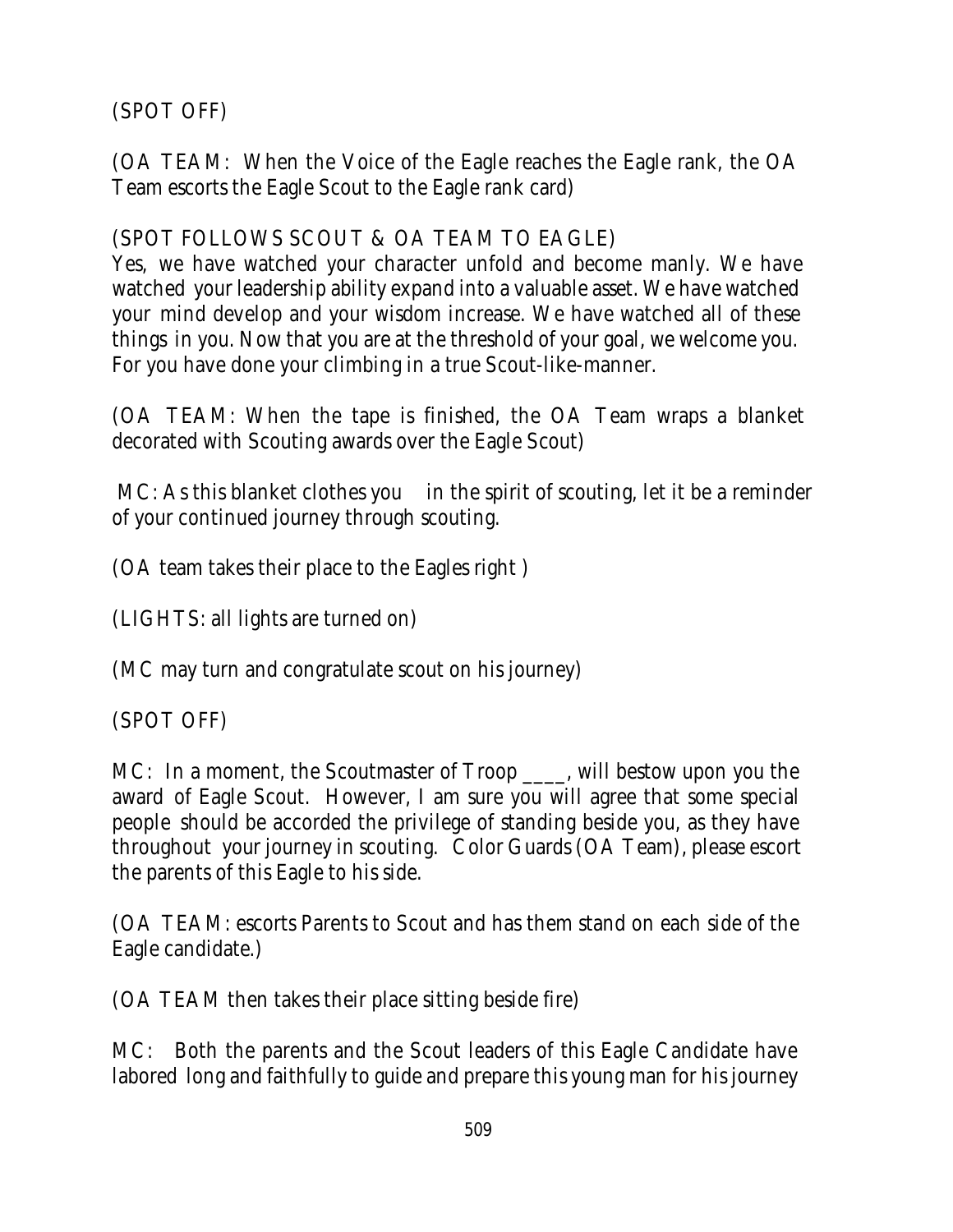(SPOT OFF)

(OA TEAM: When the Voice of the Eagle reaches the Eagle rank, the OA Team escorts the Eagle Scout to the Eagle rank card)

## (SPOT FOLLOWS SCOUT & OA TEAM TO EAGLE)

Yes, we have watched your character unfold and become manly. We have watched your leadership ability expand into a valuable asset. We have watched your mind develop and your wisdom increase. We have watched all of these things in you. Now that you are at the threshold of your goal, we welcome you. For you have done your climbing in a true Scout-like-manner.

(OA TEAM: When the tape is finished, the OA Team wraps a blanket decorated with Scouting awards over the Eagle Scout)

MC: As this blanket clothes you in the spirit of scouting, let it be a reminder of your continued journey through scouting.

(OA team takes their place to the Eagles right )

(LIGHTS: all lights are turned on)

(MC may turn and congratulate scout on his journey)

(SPOT OFF)

MC: In a moment, the Scoutmaster of Troop \_\_\_\_, will bestow upon you the award of Eagle Scout. However, I am sure you will agree that some special people should be accorded the privilege of standing beside you, as they have throughout your journey in scouting. Color Guards (OA Team), please escort the parents of this Eagle to his side.

(OA TEAM: escorts Parents to Scout and has them stand on each side of the Eagle candidate.)

(OA TEAM then takes their place sitting beside fire)

MC: Both the parents and the Scout leaders of this Eagle Candidate have labored long and faithfully to guide and prepare this young man for his journey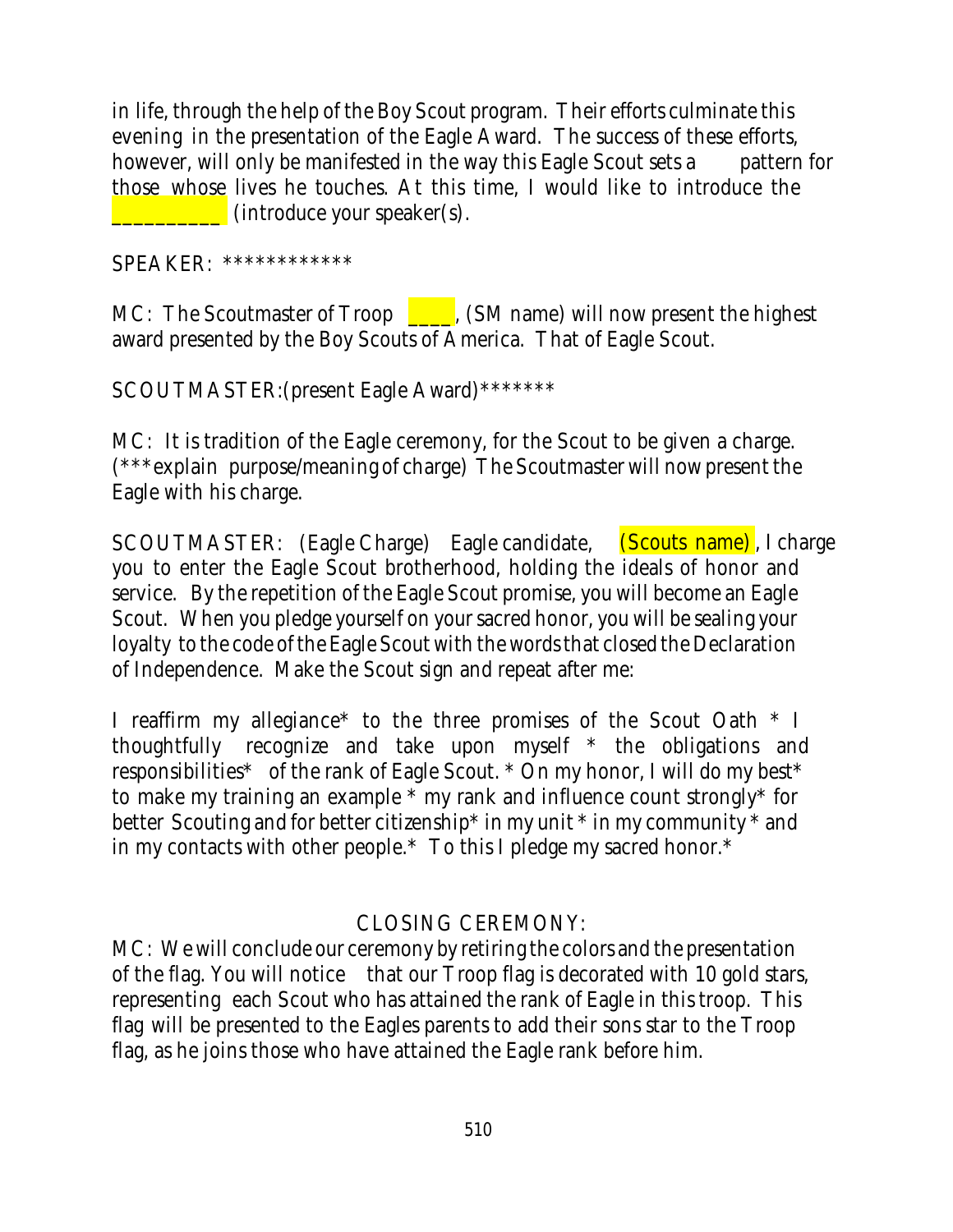in life, through the help of the Boy Scout program. Their efforts culminate this evening in the presentation of the Eagle Award. The success of these efforts, however, will only be manifested in the way this Eagle Scout sets a pattern for those whose lives he touches. At this time, I would like to introduce the  $\Box$  (introduce your speaker(s).

SPEAKER: \*\*\*\*\*\*\*\*\*\*\*\*

MC: The Scoutmaster of Troop **LECT**, (SM name) will now present the highest award presented by the Boy Scouts of America. That of Eagle Scout.

SCOUTMASTER:(present Eagle Award)\*\*\*\*\*\*\*

MC: It is tradition of the Eagle ceremony, for the Scout to be given a charge. (\*\*\*explain purpose/meaning of charge) The Scoutmaster will now present the Eagle with his charge.

SCOUTMASTER: (Eagle Charge) Eagle candidate, (Scouts name), I charge you to enter the Eagle Scout brotherhood, holding the ideals of honor and service. By the repetition of the Eagle Scout promise, you will become an Eagle Scout. When you pledge yourself on your sacred honor, you will be sealing your loyalty to the code of the Eagle Scout with the words that closed the Declaration of Independence. Make the Scout sign and repeat after me:

I reaffirm my allegiance\* to the three promises of the Scout Oath \* I thoughtfully recognize and take upon myself \* the obligations and responsibilities\* of the rank of Eagle Scout. \* On my honor, I will do my best\* to make my training an example \* my rank and influence count strongly\* for better Scouting and for better citizenship\* in my unit \* in my community \* and in my contacts with other people.\* To this I pledge my sacred honor.\*

## CLOSING CEREMONY:

MC: We will conclude our ceremony by retiring the colors and the presentation of the flag. You will notice that our Troop flag is decorated with 10 gold stars, representing each Scout who has attained the rank of Eagle in this troop. This flag will be presented to the Eagles parents to add their sons star to the Troop flag, as he joins those who have attained the Eagle rank before him.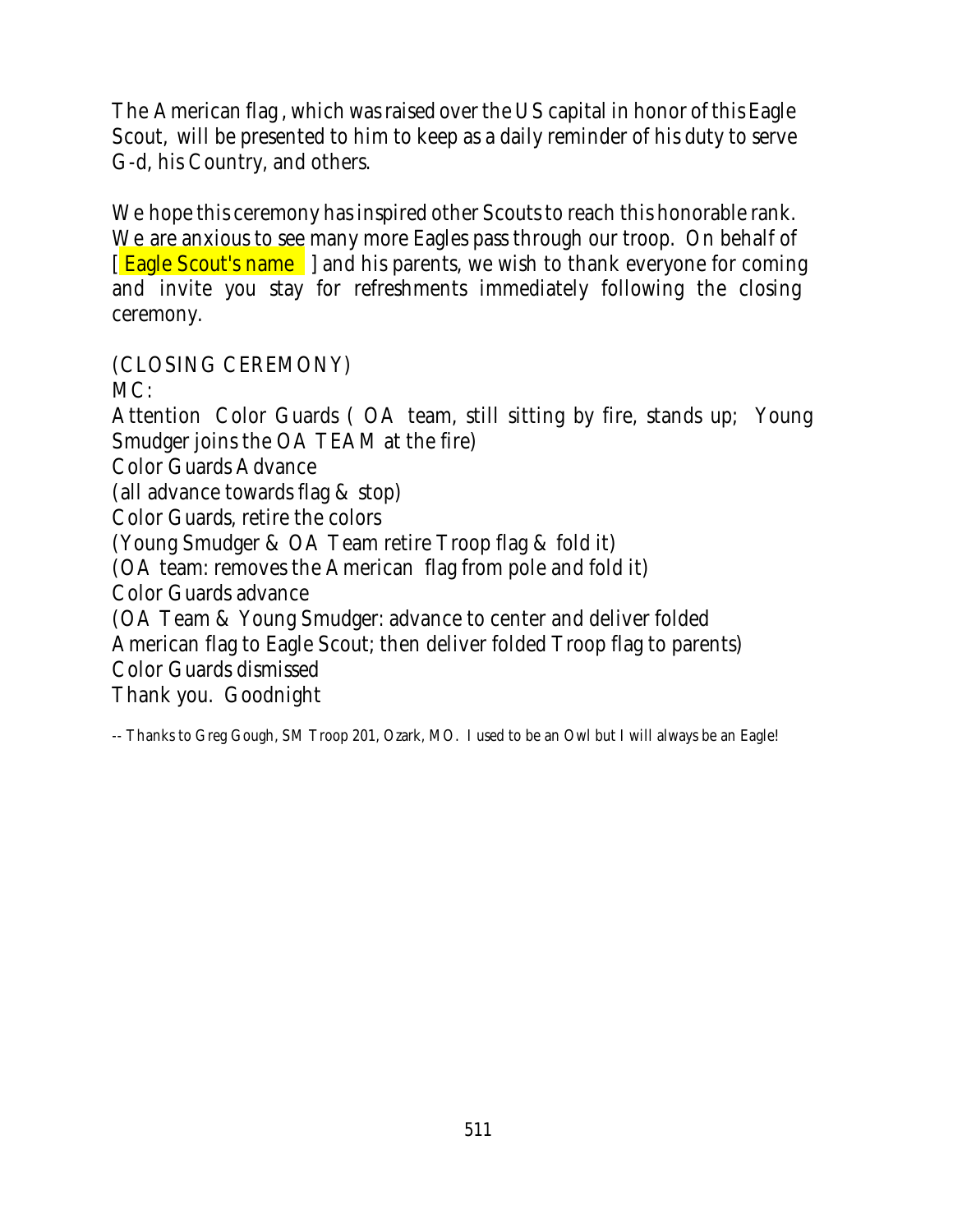The American flag , which was raised over the US capital in honor of this Eagle Scout, will be presented to him to keep as a daily reminder of his duty to serve G-d, his Country, and others.

We hope this ceremony has inspired other Scouts to reach this honorable rank. We are anxious to see many more Eagles pass through our troop. On behalf of [Eagle Scout's name] and his parents, we wish to thank everyone for coming and invite you stay for refreshments immediately following the closing ceremony.

(CLOSING CEREMONY)

MC: Attention Color Guards ( OA team, still sitting by fire, stands up; Young Smudger joins the OA TEAM at the fire) Color Guards Advance (all advance towards flag & stop) Color Guards, retire the colors (Young Smudger & OA Team retire Troop flag & fold it) (OA team: removes the American flag from pole and fold it) Color Guards advance (OA Team & Young Smudger: advance to center and deliver folded American flag to Eagle Scout; then deliver folded Troop flag to parents) Color Guards dismissed Thank you. Goodnight

-- Thanks to Greg Gough, SM Troop 201, Ozark, MO. I used to be an Owl but I will always be an Eagle!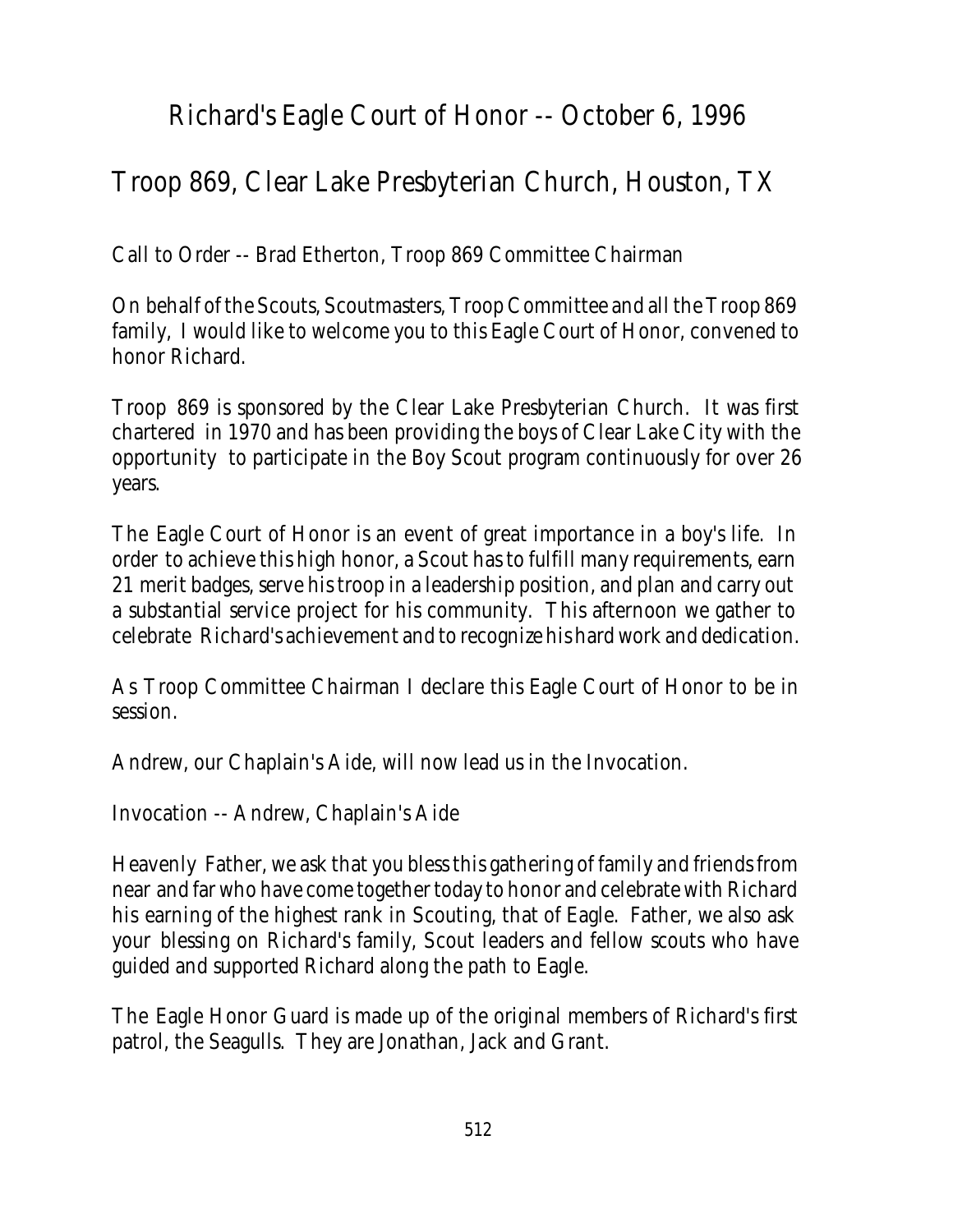# Richard's Eagle Court of Honor -- October 6, 1996

## Troop 869, Clear Lake Presbyterian Church, Houston, TX

Call to Order -- Brad Etherton, Troop 869 Committee Chairman

On behalf of the Scouts, Scoutmasters, Troop Committee and all the Troop 869 family, I would like to welcome you to this Eagle Court of Honor, convened to honor Richard.

Troop 869 is sponsored by the Clear Lake Presbyterian Church. It was first chartered in 1970 and has been providing the boys of Clear Lake City with the opportunity to participate in the Boy Scout program continuously for over 26 years.

The Eagle Court of Honor is an event of great importance in a boy's life. In order to achieve this high honor, a Scout has to fulfill many requirements, earn 21 merit badges, serve his troop in a leadership position, and plan and carry out a substantial service project for his community. This afternoon we gather to celebrate Richard's achievement and to recognize his hard work and dedication.

As Troop Committee Chairman I declare this Eagle Court of Honor to be in session.

Andrew, our Chaplain's Aide, will now lead us in the Invocation.

Invocation -- Andrew, Chaplain's Aide

Heavenly Father, we ask that you bless this gathering of family and friends from near and far who have come together today to honor and celebrate with Richard his earning of the highest rank in Scouting, that of Eagle. Father, we also ask your blessing on Richard's family, Scout leaders and fellow scouts who have guided and supported Richard along the path to Eagle.

The Eagle Honor Guard is made up of the original members of Richard's first patrol, the Seagulls. They are Jonathan, Jack and Grant.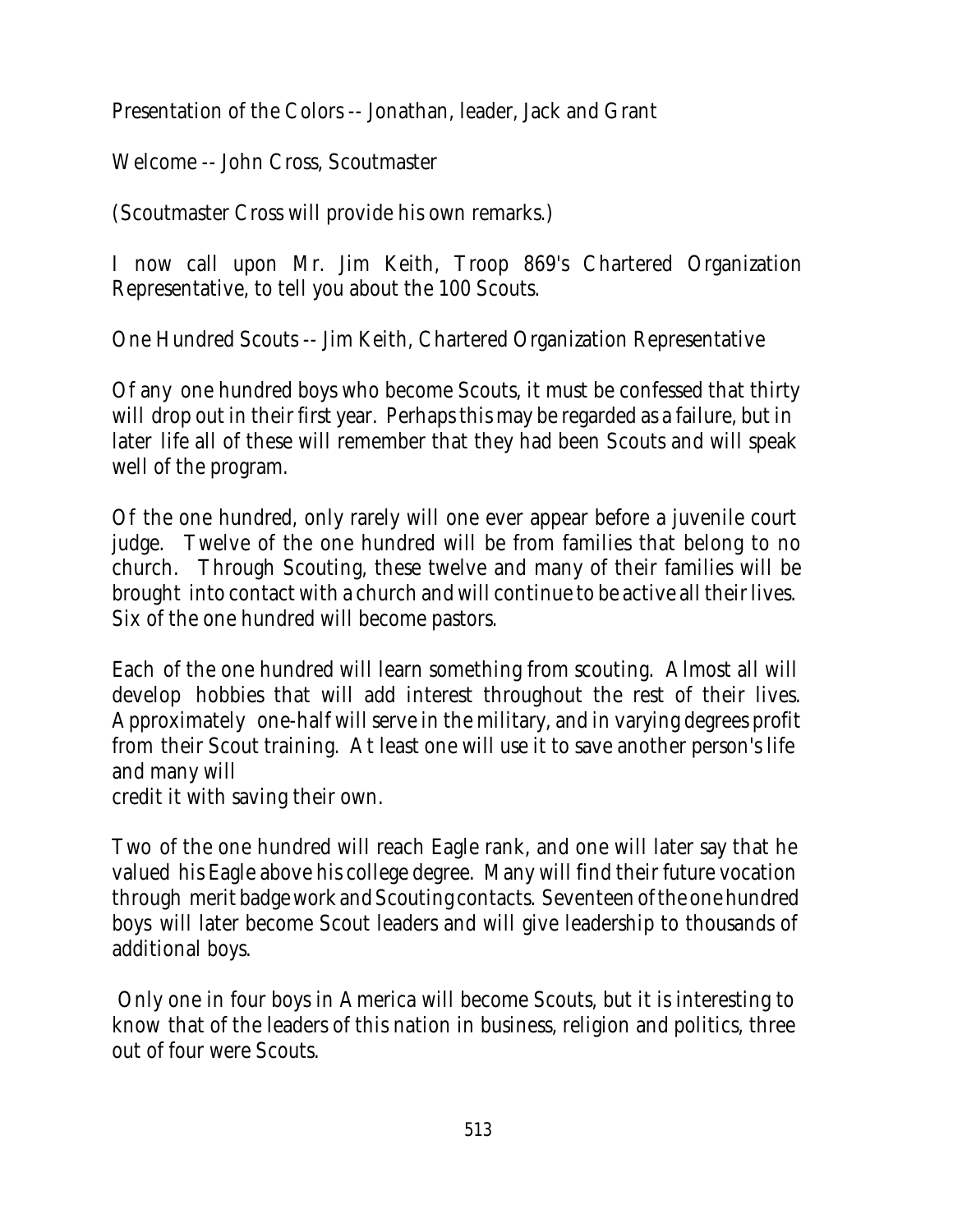Presentation of the Colors -- Jonathan, leader, Jack and Grant

Welcome -- John Cross, Scoutmaster

(Scoutmaster Cross will provide his own remarks.)

I now call upon Mr. Jim Keith, Troop 869's Chartered Organization Representative, to tell you about the 100 Scouts.

One Hundred Scouts -- Jim Keith, Chartered Organization Representative

Of any one hundred boys who become Scouts, it must be confessed that thirty will drop out in their first year. Perhaps this may be regarded as a failure, but in later life all of these will remember that they had been Scouts and will speak well of the program.

Of the one hundred, only rarely will one ever appear before a juvenile court judge. Twelve of the one hundred will be from families that belong to no church. Through Scouting, these twelve and many of their families will be brought into contact with a church and will continue to be active all their lives. Six of the one hundred will become pastors.

Each of the one hundred will learn something from scouting. Almost all will develop hobbies that will add interest throughout the rest of their lives. Approximately one-half will serve in the military, and in varying degrees profit from their Scout training. At least one will use it to save another person's life and many will

credit it with saving their own.

Two of the one hundred will reach Eagle rank, and one will later say that he valued his Eagle above his college degree. Many will find their future vocation through merit badge work and Scouting contacts. Seventeen of the one hundred boys will later become Scout leaders and will give leadership to thousands of additional boys.

 Only one in four boys in America will become Scouts, but it is interesting to know that of the leaders of this nation in business, religion and politics, three out of four were Scouts.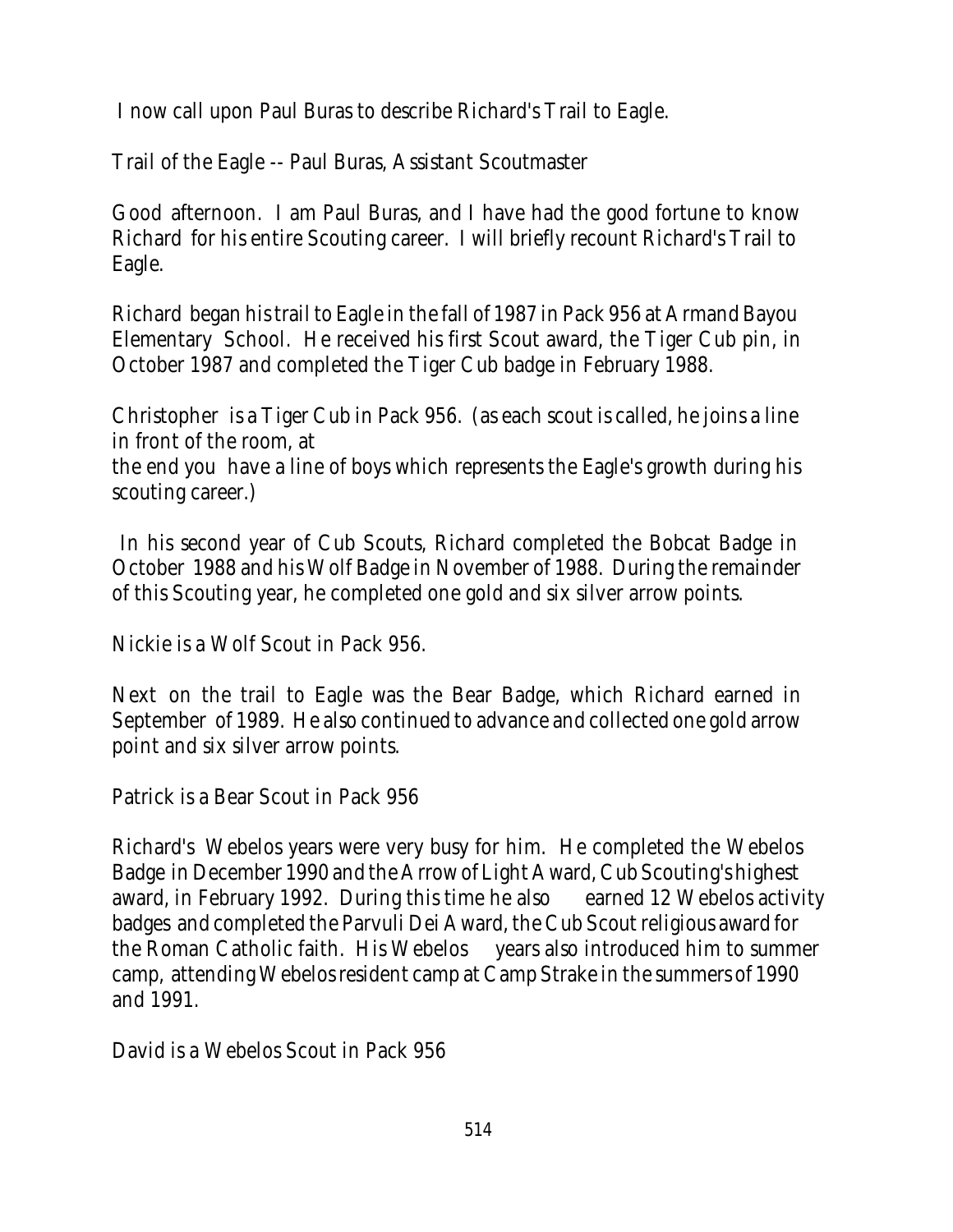I now call upon Paul Buras to describe Richard's Trail to Eagle.

Trail of the Eagle -- Paul Buras, Assistant Scoutmaster

Good afternoon. I am Paul Buras, and I have had the good fortune to know Richard for his entire Scouting career. I will briefly recount Richard's Trail to Eagle.

Richard began his trail to Eagle in the fall of 1987 in Pack 956 at Armand Bayou Elementary School. He received his first Scout award, the Tiger Cub pin, in October 1987 and completed the Tiger Cub badge in February 1988.

Christopher is a Tiger Cub in Pack 956. (as each scout is called, he joins a line in front of the room, at

the end you have a line of boys which represents the Eagle's growth during his scouting career.)

 In his second year of Cub Scouts, Richard completed the Bobcat Badge in October 1988 and his Wolf Badge in November of 1988. During the remainder of this Scouting year, he completed one gold and six silver arrow points.

Nickie is a Wolf Scout in Pack 956.

Next on the trail to Eagle was the Bear Badge, which Richard earned in September of 1989. He also continued to advance and collected one gold arrow point and six silver arrow points.

Patrick is a Bear Scout in Pack 956

Richard's Webelos years were very busy for him. He completed the Webelos Badge in December 1990 and the Arrow of Light Award, Cub Scouting's highest award, in February 1992. During this time he also earned 12 Webelos activity badges and completed the Parvuli Dei Award, the Cub Scout religious award for the Roman Catholic faith. His Webelos years also introduced him to summer camp, attending Webelos resident camp at Camp Strake in the summers of 1990 and 1991.

David is a Webelos Scout in Pack 956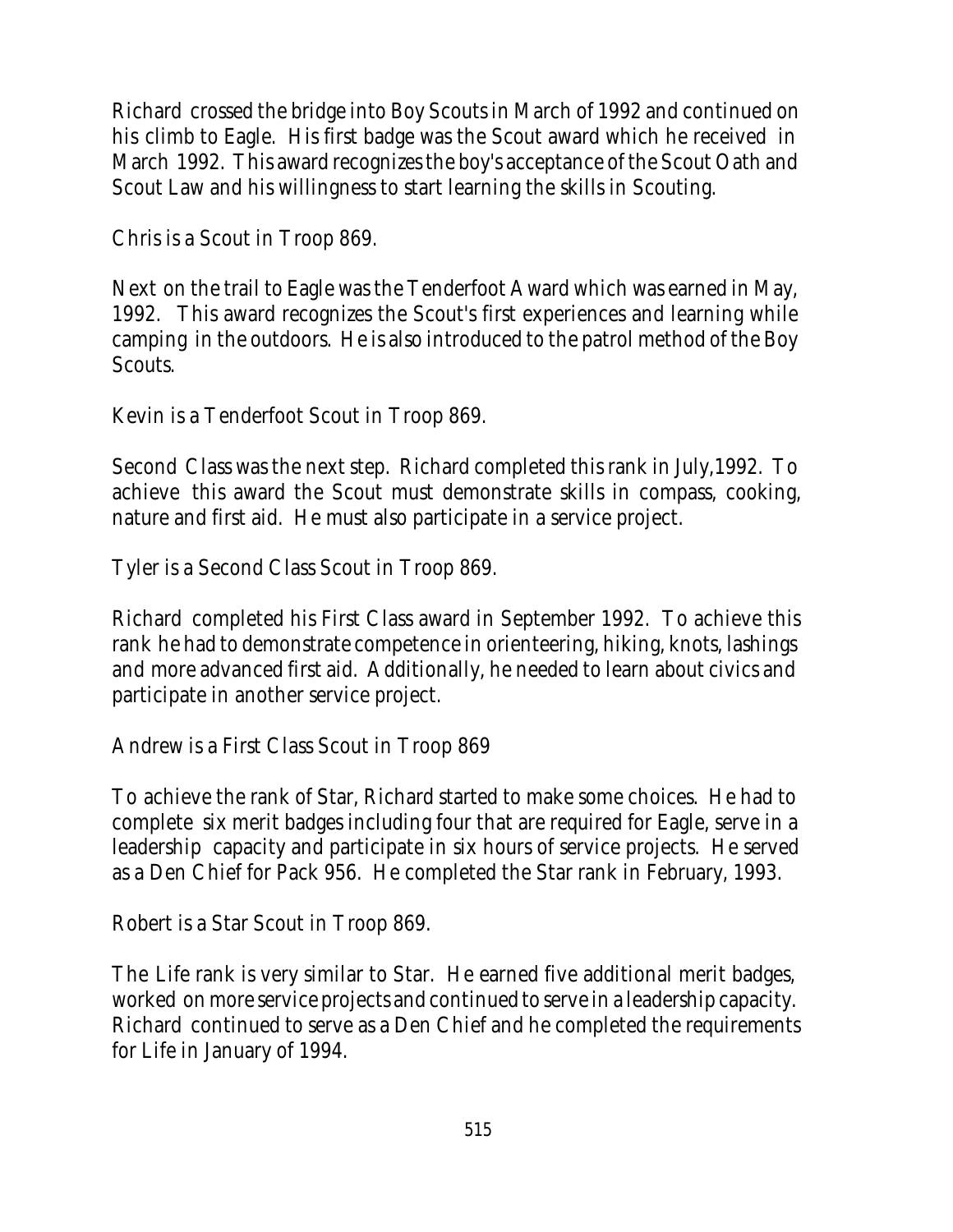Richard crossed the bridge into Boy Scouts in March of 1992 and continued on his climb to Eagle. His first badge was the Scout award which he received in March 1992. This award recognizes the boy's acceptance of the Scout Oath and Scout Law and his willingness to start learning the skills in Scouting.

Chris is a Scout in Troop 869.

Next on the trail to Eagle was the Tenderfoot Award which was earned in May, 1992. This award recognizes the Scout's first experiences and learning while camping in the outdoors. He is also introduced to the patrol method of the Boy Scouts.

Kevin is a Tenderfoot Scout in Troop 869.

Second Class was the next step. Richard completed this rank in July,1992. To achieve this award the Scout must demonstrate skills in compass, cooking, nature and first aid. He must also participate in a service project.

Tyler is a Second Class Scout in Troop 869.

Richard completed his First Class award in September 1992. To achieve this rank he had to demonstrate competence in orienteering, hiking, knots, lashings and more advanced first aid. Additionally, he needed to learn about civics and participate in another service project.

Andrew is a First Class Scout in Troop 869

To achieve the rank of Star, Richard started to make some choices. He had to complete six merit badges including four that are required for Eagle, serve in a leadership capacity and participate in six hours of service projects. He served as a Den Chief for Pack 956. He completed the Star rank in February, 1993.

Robert is a Star Scout in Troop 869.

The Life rank is very similar to Star. He earned five additional merit badges, worked on more service projects and continued to serve in a leadership capacity. Richard continued to serve as a Den Chief and he completed the requirements for Life in January of 1994.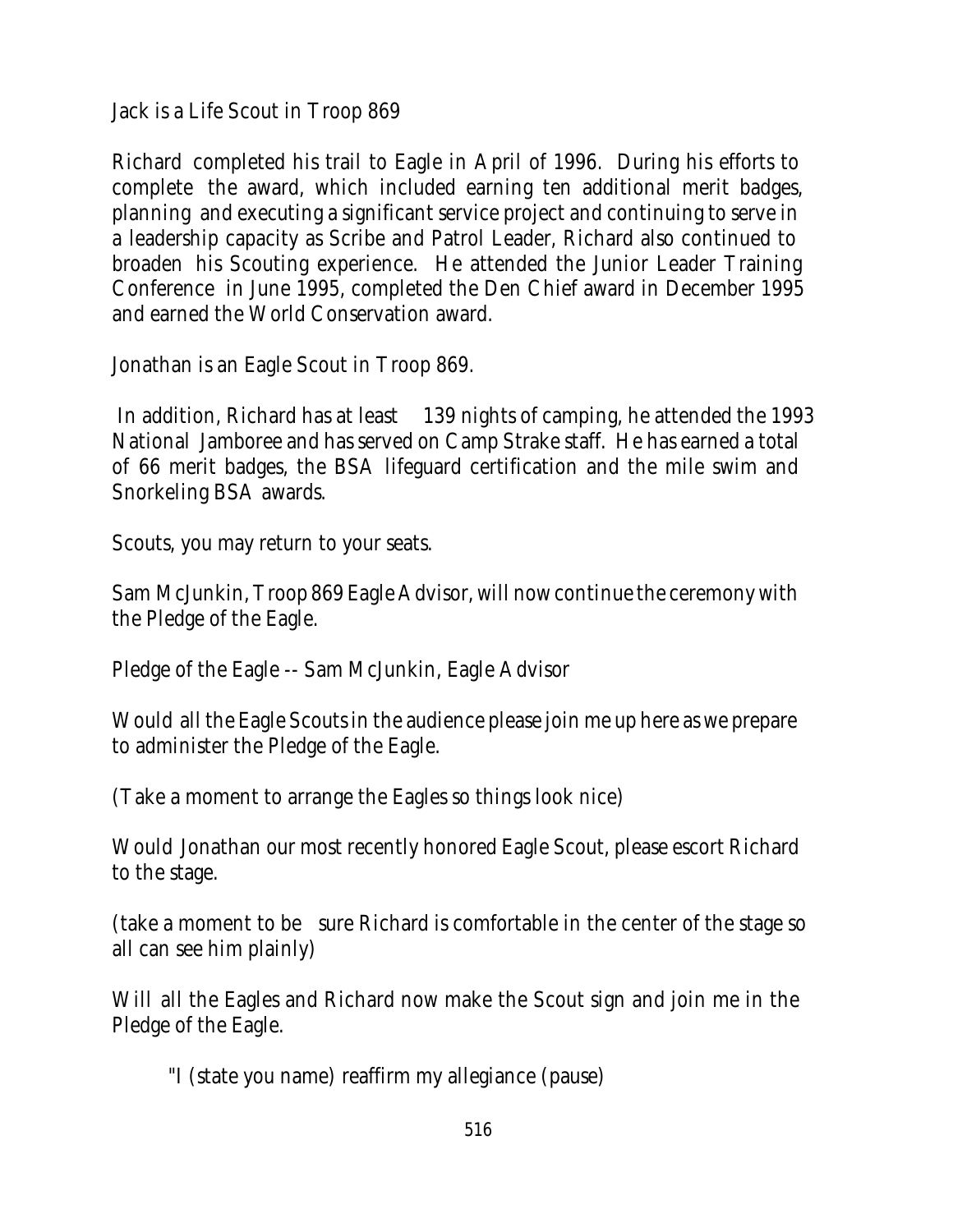Jack is a Life Scout in Troop 869

Richard completed his trail to Eagle in April of 1996. During his efforts to complete the award, which included earning ten additional merit badges, planning and executing a significant service project and continuing to serve in a leadership capacity as Scribe and Patrol Leader, Richard also continued to broaden his Scouting experience. He attended the Junior Leader Training Conference in June 1995, completed the Den Chief award in December 1995 and earned the World Conservation award.

Jonathan is an Eagle Scout in Troop 869.

 In addition, Richard has at least 139 nights of camping, he attended the 1993 National Jamboree and has served on Camp Strake staff. He has earned a total of 66 merit badges, the BSA lifeguard certification and the mile swim and Snorkeling BSA awards.

Scouts, you may return to your seats.

Sam McJunkin, Troop 869 Eagle Advisor, will now continue the ceremony with the Pledge of the Eagle.

Pledge of the Eagle -- Sam McJunkin, Eagle Advisor

Would all the Eagle Scouts in the audience please join me up here as we prepare to administer the Pledge of the Eagle.

(Take a moment to arrange the Eagles so things look nice)

Would Jonathan our most recently honored Eagle Scout, please escort Richard to the stage.

(take a moment to be sure Richard is comfortable in the center of the stage so all can see him plainly)

Will all the Eagles and Richard now make the Scout sign and join me in the Pledge of the Eagle.

"I (state you name) reaffirm my allegiance (pause)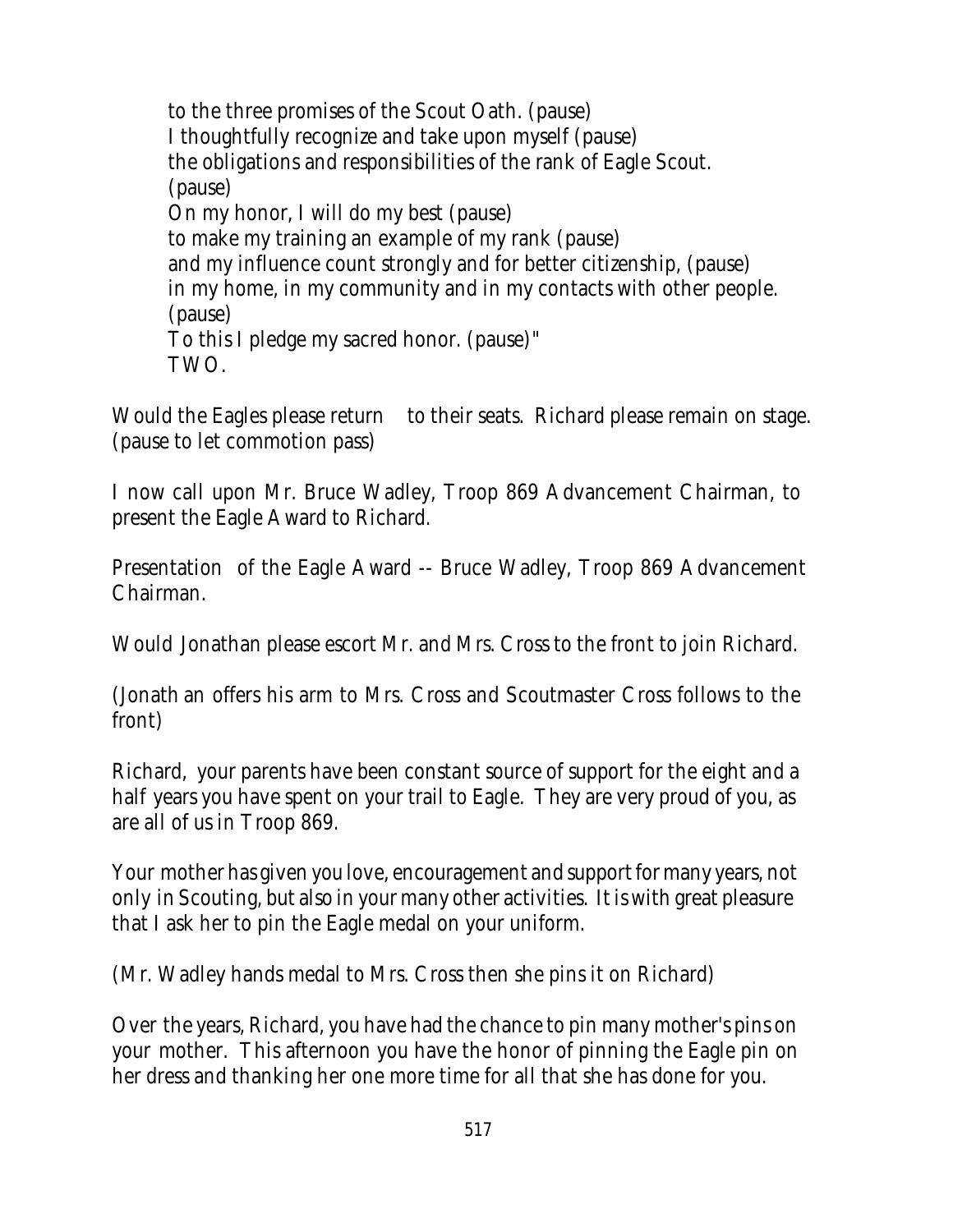to the three promises of the Scout Oath. (pause) I thoughtfully recognize and take upon myself (pause) the obligations and responsibilities of the rank of Eagle Scout. (pause) On my honor, I will do my best (pause) to make my training an example of my rank (pause) and my influence count strongly and for better citizenship, (pause) in my home, in my community and in my contacts with other people. (pause) To this I pledge my sacred honor. (pause)" TWO.

Would the Eagles please return to their seats. Richard please remain on stage. (pause to let commotion pass)

I now call upon Mr. Bruce Wadley, Troop 869 Advancement Chairman, to present the Eagle Award to Richard.

Presentation of the Eagle Award -- Bruce Wadley, Troop 869 Advancement Chairman.

Would Jonathan please escort Mr. and Mrs. Cross to the front to join Richard.

(Jonath an offers his arm to Mrs. Cross and Scoutmaster Cross follows to the front)

Richard, your parents have been constant source of support for the eight and a half years you have spent on your trail to Eagle. They are very proud of you, as are all of us in Troop 869.

Your mother has given you love, encouragement and support for many years, not only in Scouting, but also in your many other activities. It is with great pleasure that I ask her to pin the Eagle medal on your uniform.

(Mr. Wadley hands medal to Mrs. Cross then she pins it on Richard)

Over the years, Richard, you have had the chance to pin many mother's pins on your mother. This afternoon you have the honor of pinning the Eagle pin on her dress and thanking her one more time for all that she has done for you.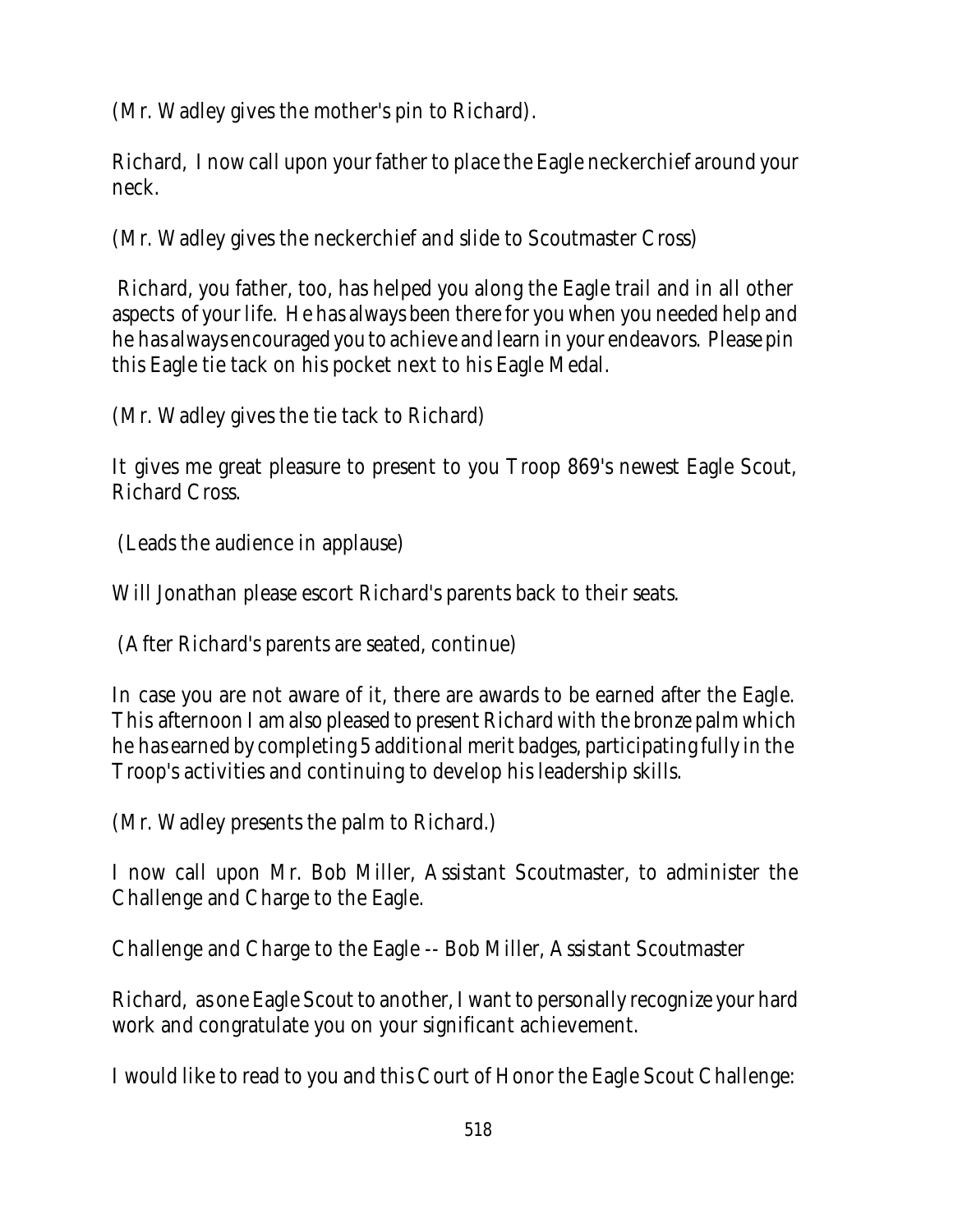(Mr. Wadley gives the mother's pin to Richard).

Richard, I now call upon your father to place the Eagle neckerchief around your neck.

(Mr. Wadley gives the neckerchief and slide to Scoutmaster Cross)

 Richard, you father, too, has helped you along the Eagle trail and in all other aspects of your life. He has always been there for you when you needed help and he has always encouraged you to achieve and learn in your endeavors. Please pin this Eagle tie tack on his pocket next to his Eagle Medal.

(Mr. Wadley gives the tie tack to Richard)

It gives me great pleasure to present to you Troop 869's newest Eagle Scout, Richard Cross.

(Leads the audience in applause)

Will Jonathan please escort Richard's parents back to their seats.

(After Richard's parents are seated, continue)

In case you are not aware of it, there are awards to be earned after the Eagle. This afternoon I am also pleased to present Richard with the bronze palm which he has earned by completing 5 additional merit badges, participating fully in the Troop's activities and continuing to develop his leadership skills.

(Mr. Wadley presents the palm to Richard.)

I now call upon Mr. Bob Miller, Assistant Scoutmaster, to administer the Challenge and Charge to the Eagle.

Challenge and Charge to the Eagle -- Bob Miller, Assistant Scoutmaster

Richard, as one Eagle Scout to another, I want to personally recognize your hard work and congratulate you on your significant achievement.

I would like to read to you and this Court of Honor the Eagle Scout Challenge: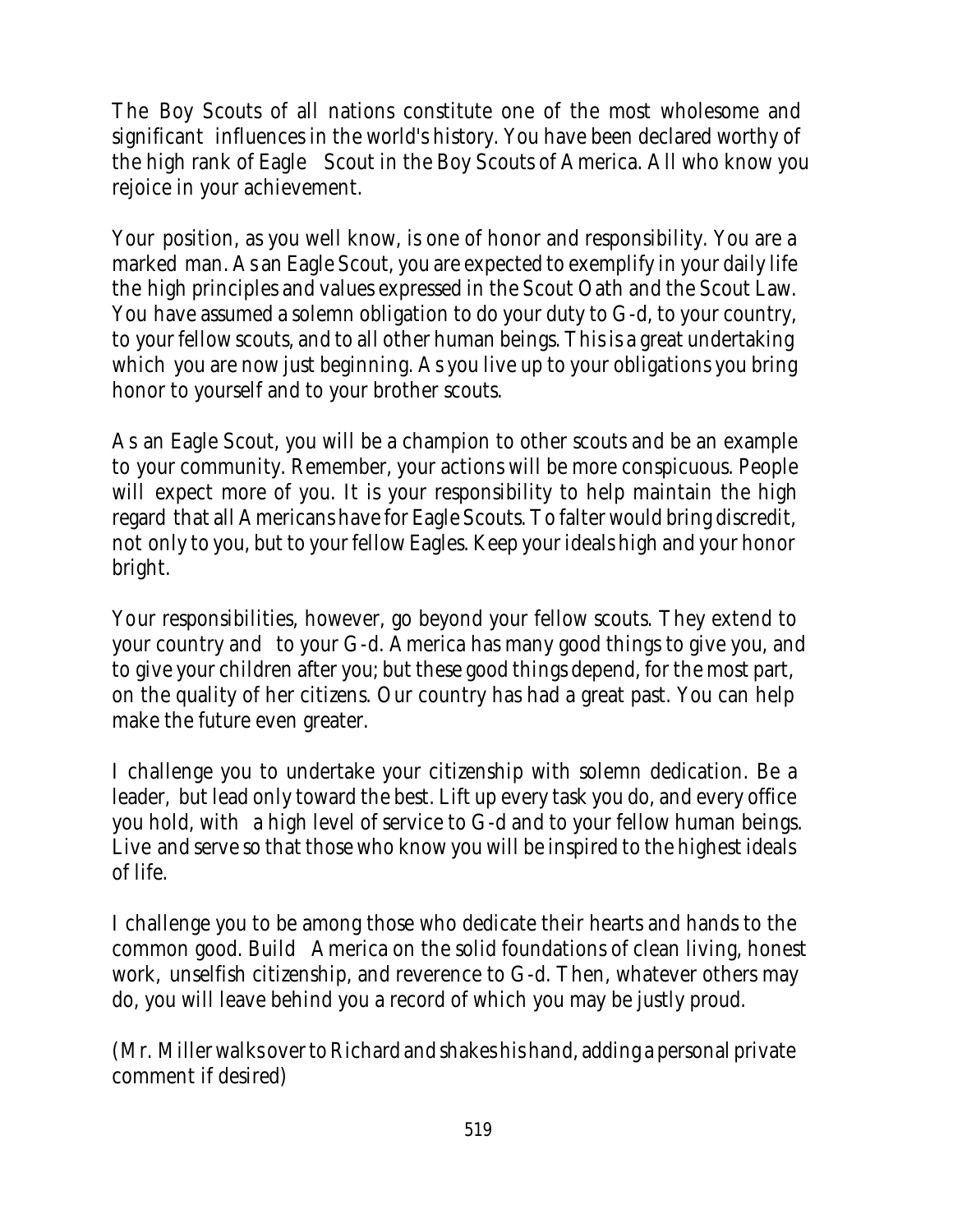The Boy Scouts of all nations constitute one of the most wholesome and significant influences in the world's history. You have been declared worthy of the high rank of Eagle Scout in the Boy Scouts of America. All who know you rejoice in your achievement.

Your position, as you well know, is one of honor and responsibility. You are a marked man. As an Eagle Scout, you are expected to exemplify in your daily life the high principles and values expressed in the Scout Oath and the Scout Law. You have assumed a solemn obligation to do your duty to G-d, to your country, to your fellow scouts, and to all other human beings. This is a great undertaking which you are now just beginning. As you live up to your obligations you bring honor to yourself and to your brother scouts.

As an Eagle Scout, you will be a champion to other scouts and be an example to your community. Remember, your actions will be more conspicuous. People will expect more of you. It is your responsibility to help maintain the high regard that all Americans have for Eagle Scouts. To falter would bring discredit, not only to you, but to your fellow Eagles. Keep your ideals high and your honor bright.

Your responsibilities, however, go beyond your fellow scouts. They extend to your country and to your G-d. America has many good things to give you, and to give your children after you; but these good things depend, for the most part, on the quality of her citizens. Our country has had a great past. You can help make the future even greater.

I challenge you to undertake your citizenship with solemn dedication. Be a leader, but lead only toward the best. Lift up every task you do, and every office you hold, with a high level of service to G-d and to your fellow human beings. Live and serve so that those who know you will be inspired to the highest ideals of life.

I challenge you to be among those who dedicate their hearts and hands to the common good. Build America on the solid foundations of clean living, honest work, unselfish citizenship, and reverence to G-d. Then, whatever others may do, you will leave behind you a record of which you may be justly proud.

(Mr. Miller walks over to Richard and shakes his hand, adding a personal private comment if desired)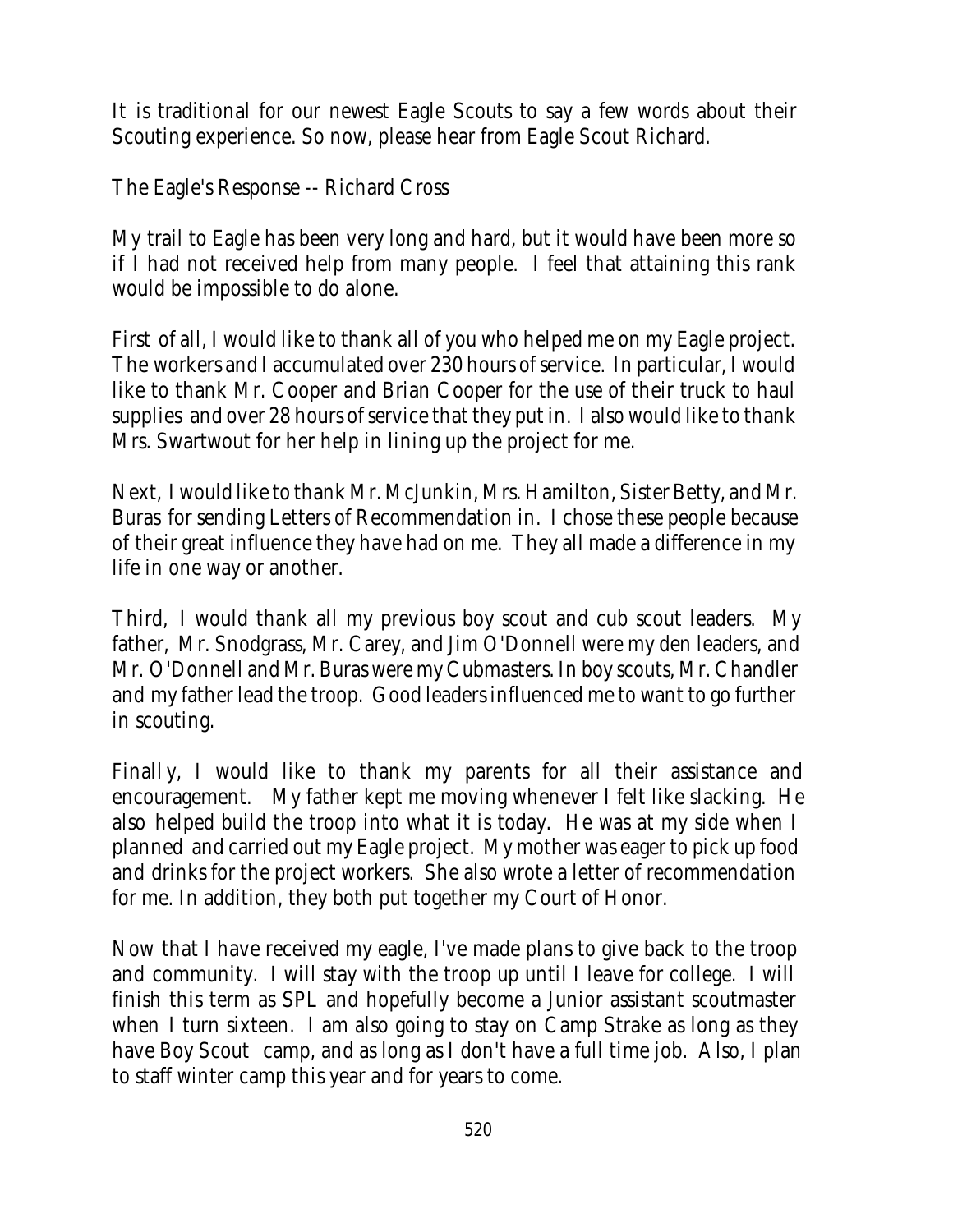It is traditional for our newest Eagle Scouts to say a few words about their Scouting experience. So now, please hear from Eagle Scout Richard.

The Eagle's Response -- Richard Cross

My trail to Eagle has been very long and hard, but it would have been more so if I had not received help from many people. I feel that attaining this rank would be impossible to do alone.

First of all, I would like to thank all of you who helped me on my Eagle project. The workers and I accumulated over 230 hours of service. In particular, I would like to thank Mr. Cooper and Brian Cooper for the use of their truck to haul supplies and over 28 hours of service that they put in. I also would like to thank Mrs. Swartwout for her help in lining up the project for me.

Next, I would like to thank Mr. McJunkin, Mrs. Hamilton, Sister Betty, and Mr. Buras for sending Letters of Recommendation in. I chose these people because of their great influence they have had on me. They all made a difference in my life in one way or another.

Third, I would thank all my previous boy scout and cub scout leaders. My father, Mr. Snodgrass, Mr. Carey, and Jim O'Donnell were my den leaders, and Mr. O'Donnell and Mr. Buras were my Cubmasters. In boy scouts, Mr. Chandler and my father lead the troop. Good leaders influenced me to want to go further in scouting.

Finall y, I would like to thank my parents for all their assistance and encouragement. My father kept me moving whenever I felt like slacking. He also helped build the troop into what it is today. He was at my side when I planned and carried out my Eagle project. My mother was eager to pick up food and drinks for the project workers. She also wrote a letter of recommendation for me. In addition, they both put together my Court of Honor.

Now that I have received my eagle, I've made plans to give back to the troop and community. I will stay with the troop up until I leave for college. I will finish this term as SPL and hopefully become a Junior assistant scoutmaster when I turn sixteen. I am also going to stay on Camp Strake as long as they have Boy Scout camp, and as long as I don't have a full time job. Also, I plan to staff winter camp this year and for years to come.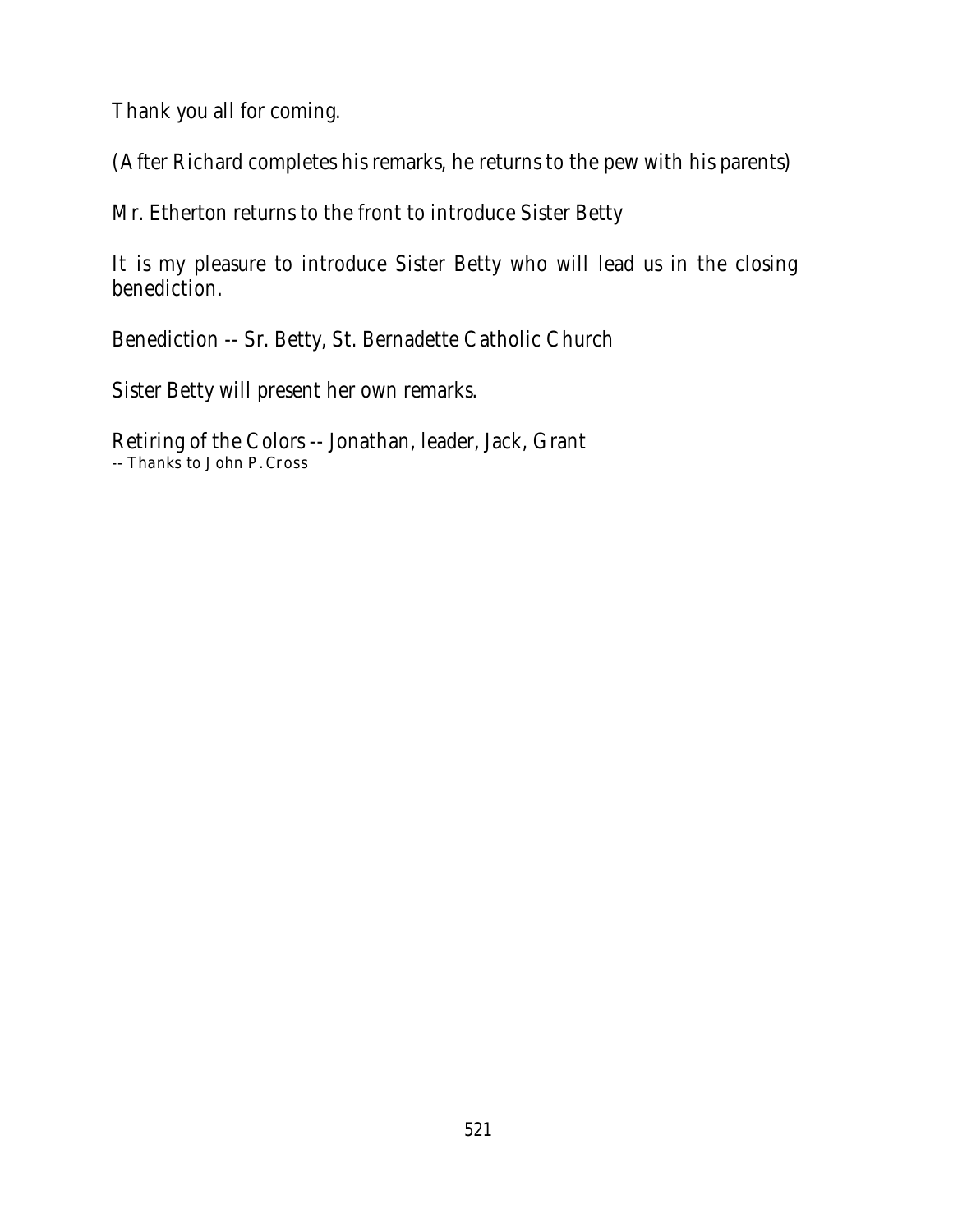Thank you all for coming.

(After Richard completes his remarks, he returns to the pew with his parents)

Mr. Etherton returns to the front to introduce Sister Betty

It is my pleasure to introduce Sister Betty who will lead us in the closing benediction.

Benediction -- Sr. Betty, St. Bernadette Catholic Church

Sister Betty will present her own remarks.

Retiring of the Colors -- Jonathan, leader, Jack, Grant -- Thanks to John P. Cross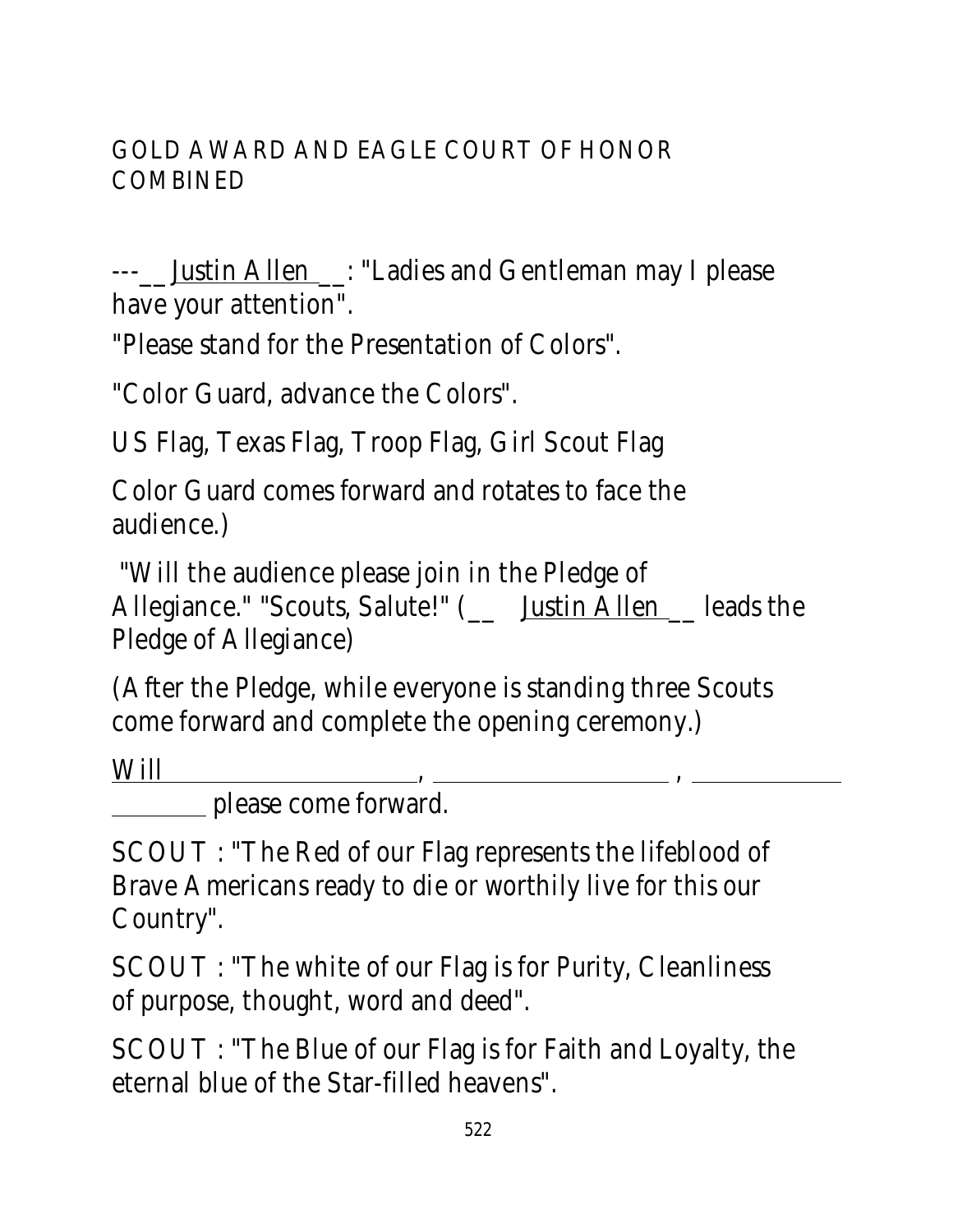# GOLD AWARD AND EAGLE COURT OF HONOR COMBINED

---<sub>--</sub> Justin Allen \_\_: "Ladies and Gentleman may I please have your attention".

"Please stand for the Presentation of Colors".

"Color Guard, advance the Colors".

US Flag, Texas Flag, Troop Flag, Girl Scout Flag

Color Guard comes forward and rotates to face the audience.)

 "Will the audience please join in the Pledge of Allegiance." "Scouts, Salute!" (\_\_ Justin Allen \_\_ leads the Pledge of Allegiance)

(After the Pledge, while everyone is standing three Scouts come forward and complete the opening ceremony.)

Will , ,

please come forward.

SCOUT : "The Red of our Flag represents the lifeblood of Brave Americans ready to die or worthily live for this our Country".

SCOUT : "The white of our Flag is for Purity, Cleanliness of purpose, thought, word and deed".

SCOUT : "The Blue of our Flag is for Faith and Loyalty, the eternal blue of the Star-filled heavens".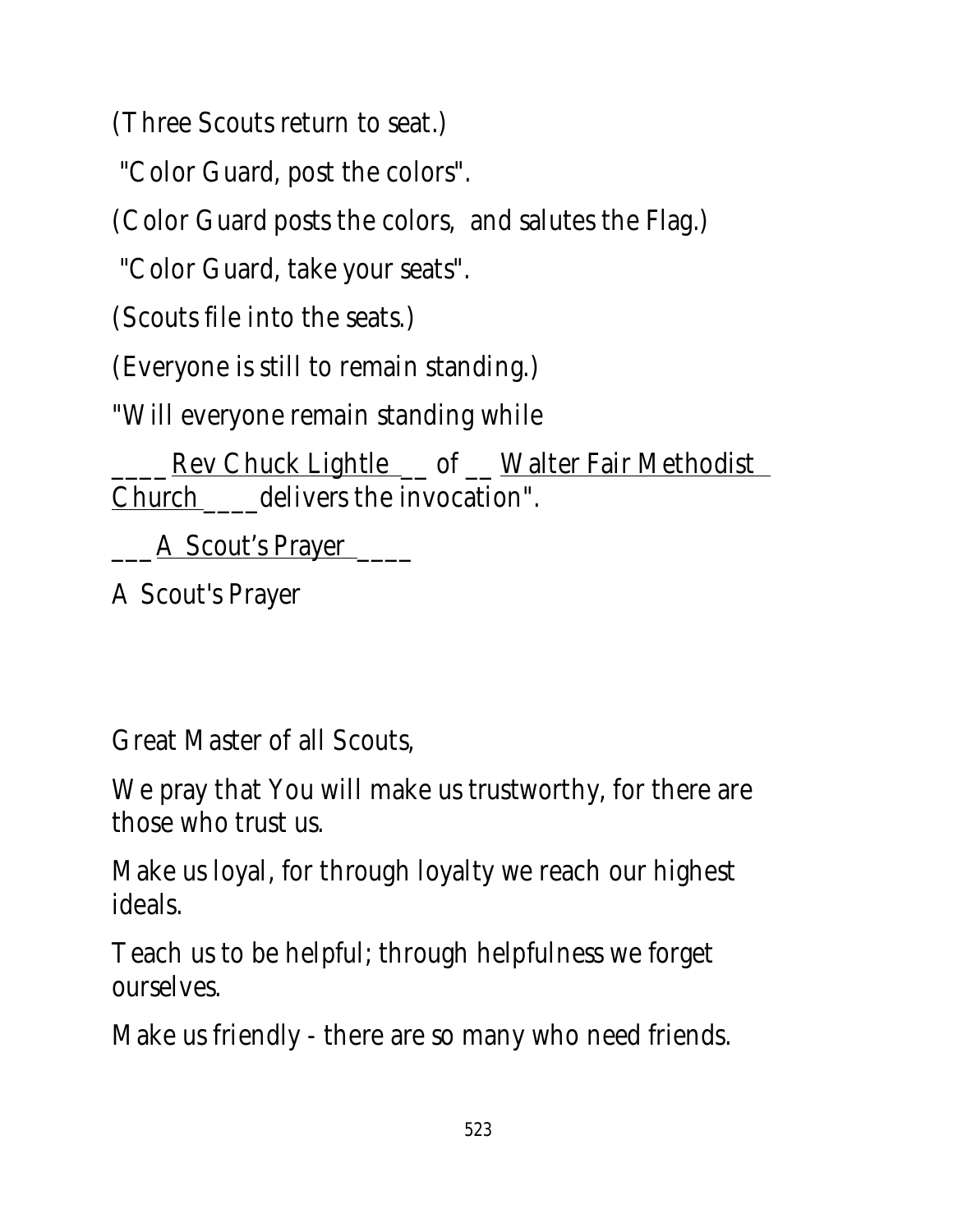(Three Scouts return to seat.)

"Color Guard, post the colors".

(Color Guard posts the colors, and salutes the Flag.)

"Color Guard, take your seats".

(Scouts file into the seats.)

(Everyone is still to remain standing.)

"Will everyone remain standing while

Rev Chuck Lightle \_\_ of \_\_ Walter Fair Methodist Church delivers the invocation".

<u>\_A Scout's Prayer \_\_\_\_</u>

A Scout's Prayer

Great Master of all Scouts,

We pray that You will make us trustworthy, for there are those who trust us.

Make us loyal, for through loyalty we reach our highest ideals.

Teach us to be helpful; through helpfulness we forget ourselves.

Make us friendly - there are so many who need friends.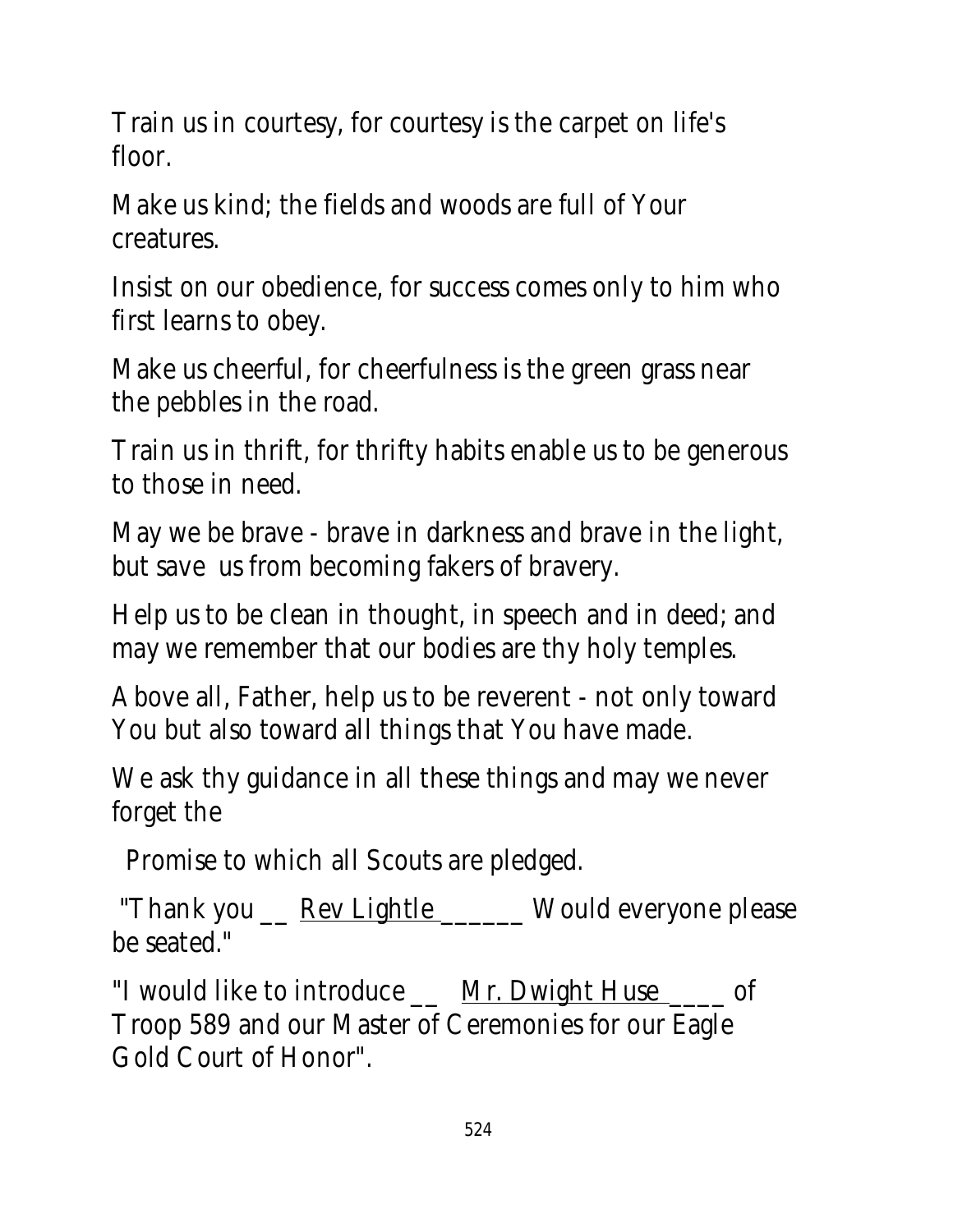Train us in courtesy, for courtesy is the carpet on life's floor.

Make us kind; the fields and woods are full of Your creatures.

Insist on our obedience, for success comes only to him who first learns to obey.

Make us cheerful, for cheerfulness is the green grass near the pebbles in the road.

Train us in thrift, for thrifty habits enable us to be generous to those in need.

May we be brave - brave in darkness and brave in the light, but save us from becoming fakers of bravery.

Help us to be clean in thought, in speech and in deed; and may we remember that our bodies are thy holy temples.

Above all, Father, help us to be reverent - not only toward You but also toward all things that You have made.

We ask thy guidance in all these things and may we never forget the

Promise to which all Scouts are pledged.

"Thank you \_\_ Rev Lightle \_\_\_\_\_\_ Would everyone please be seated."

"I would like to introduce <u>\_\_</u> Mr. Dwight Huse \_\_\_\_ of Troop 589 and our Master of Ceremonies for our Eagle Gold Court of Honor".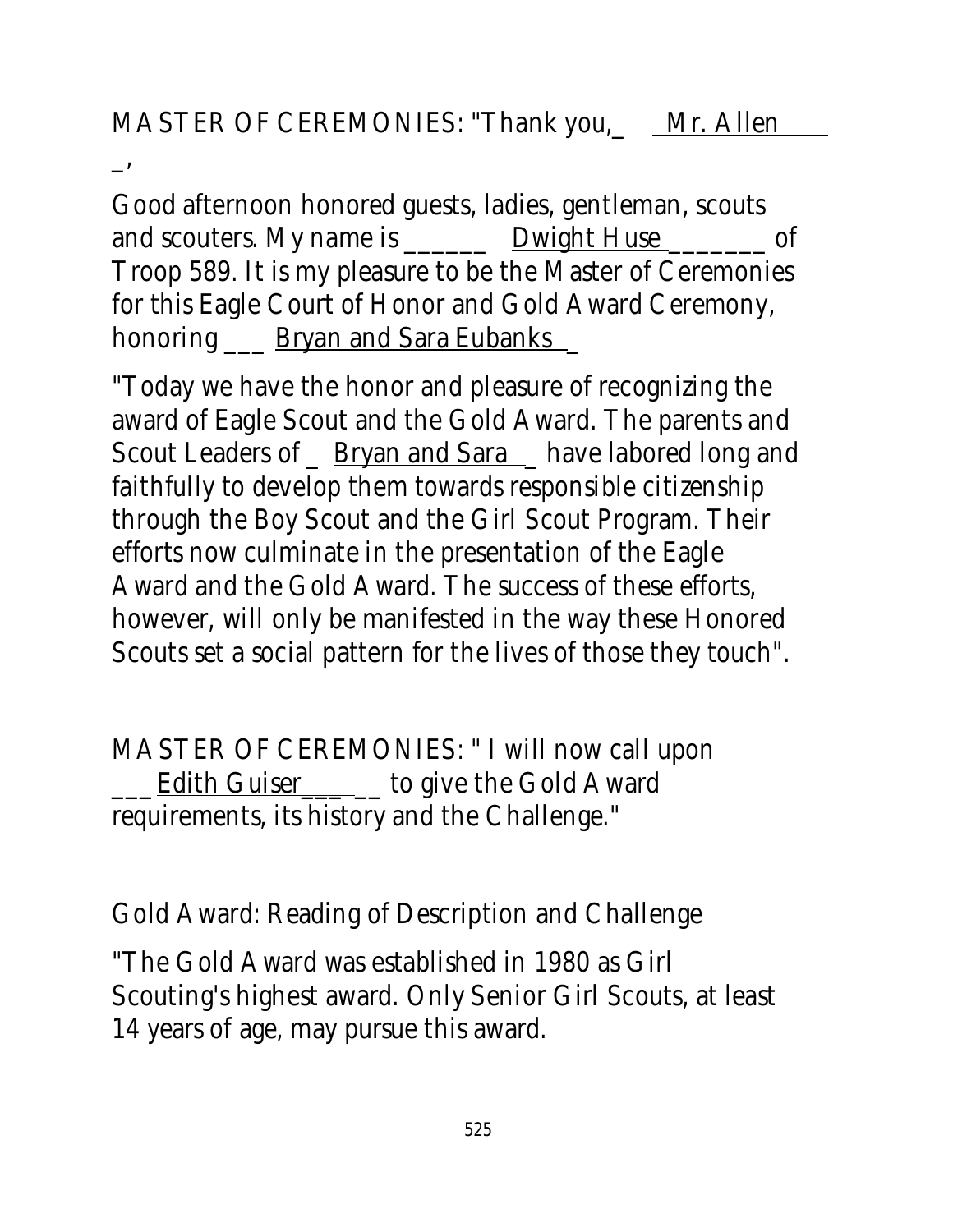MASTER OF CEREMONIES: "Thank you, Mr. Allen  $\overline{\phantom{a}}$ 

Good afternoon honored guests, ladies, gentleman, scouts and scouters. My name is \_\_\_\_\_\_\_\_\_ <u>Dwight Huse</u> \_\_\_\_\_\_\_ of Troop 589. It is my pleasure to be the Master of Ceremonies for this Eagle Court of Honor and Gold Award Ceremony, honoring <u>Dryan and Sara Eubanks</u>

"Today we have the honor and pleasure of recognizing the award of Eagle Scout and the Gold Award. The parents and Scout Leaders of \_ Bryan and Sara \_ have labored long and faithfully to develop them towards responsible citizenship through the Boy Scout and the Girl Scout Program. Their efforts now culminate in the presentation of the Eagle Award and the Gold Award. The success of these efforts, however, will only be manifested in the way these Honored Scouts set a social pattern for the lives of those they touch".

MASTER OF CEREMONIES: " I will now call upon Edith Guiser \_\_\_\_\_ to give the Gold Award requirements, its history and the Challenge."

Gold Award: Reading of Description and Challenge

"The Gold Award was established in 1980 as Girl Scouting's highest award. Only Senior Girl Scouts, at least 14 years of age, may pursue this award.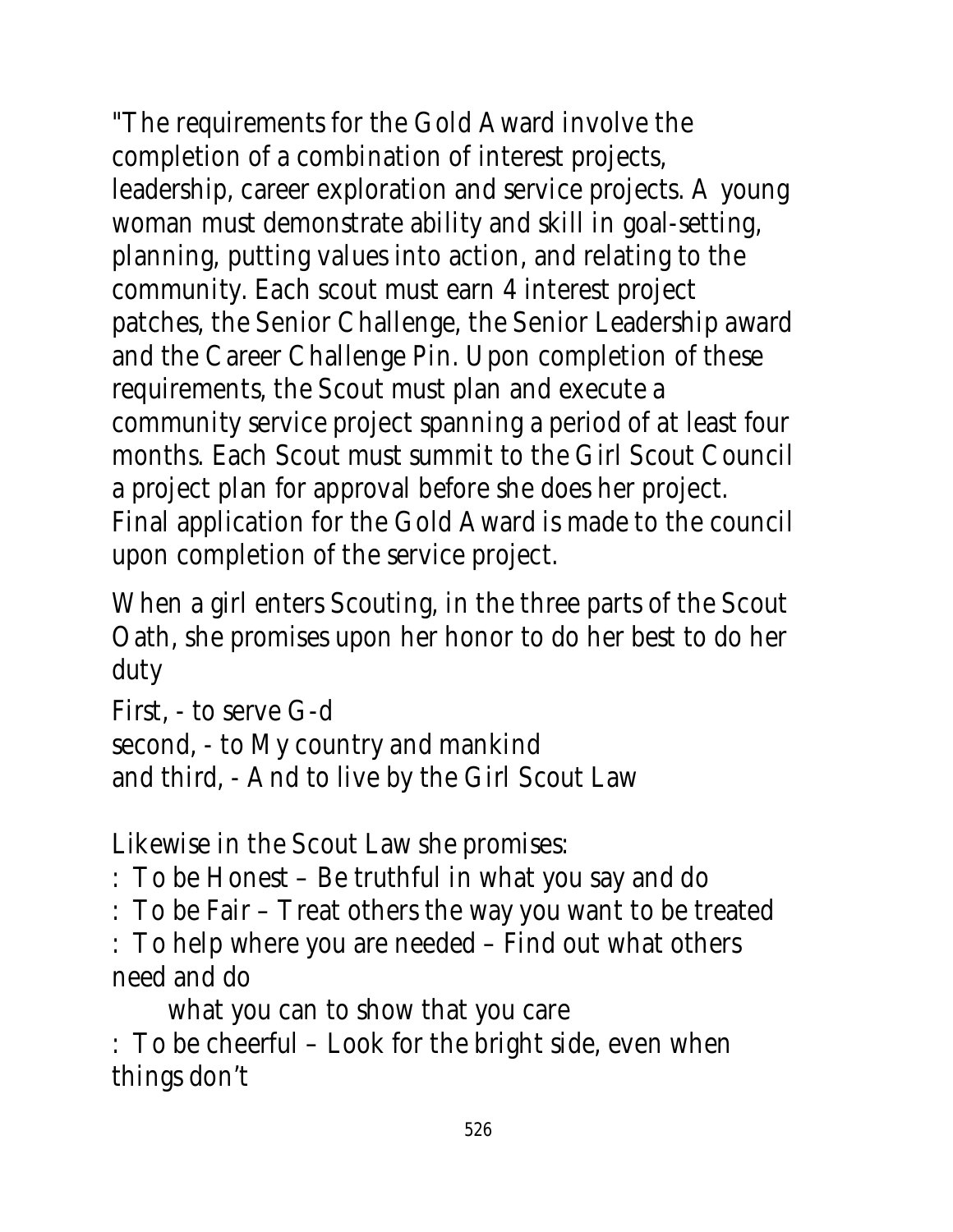"The requirements for the Gold Award involve the completion of a combination of interest projects, leadership, career exploration and service projects. A young woman must demonstrate ability and skill in goal-setting, planning, putting values into action, and relating to the community. Each scout must earn 4 interest project patches, the Senior Challenge, the Senior Leadership award and the Career Challenge Pin. Upon completion of these requirements, the Scout must plan and execute a community service project spanning a period of at least four months. Each Scout must summit to the Girl Scout Council a project plan for approval before she does her project. Final application for the Gold Award is made to the council upon completion of the service project.

When a girl enters Scouting, in the three parts of the Scout Oath, she promises upon her honor to do her best to do her duty

First, - to serve G-d second, - to My country and mankind and third, - And to live by the Girl Scout Law

Likewise in the Scout Law she promises:

- : To be Honest Be truthful in what you say and do
- : To be Fair Treat others the way you want to be treated

: To help where you are needed – Find out what others need and do

what you can to show that you care

: To be cheerful – Look for the bright side, even when things don't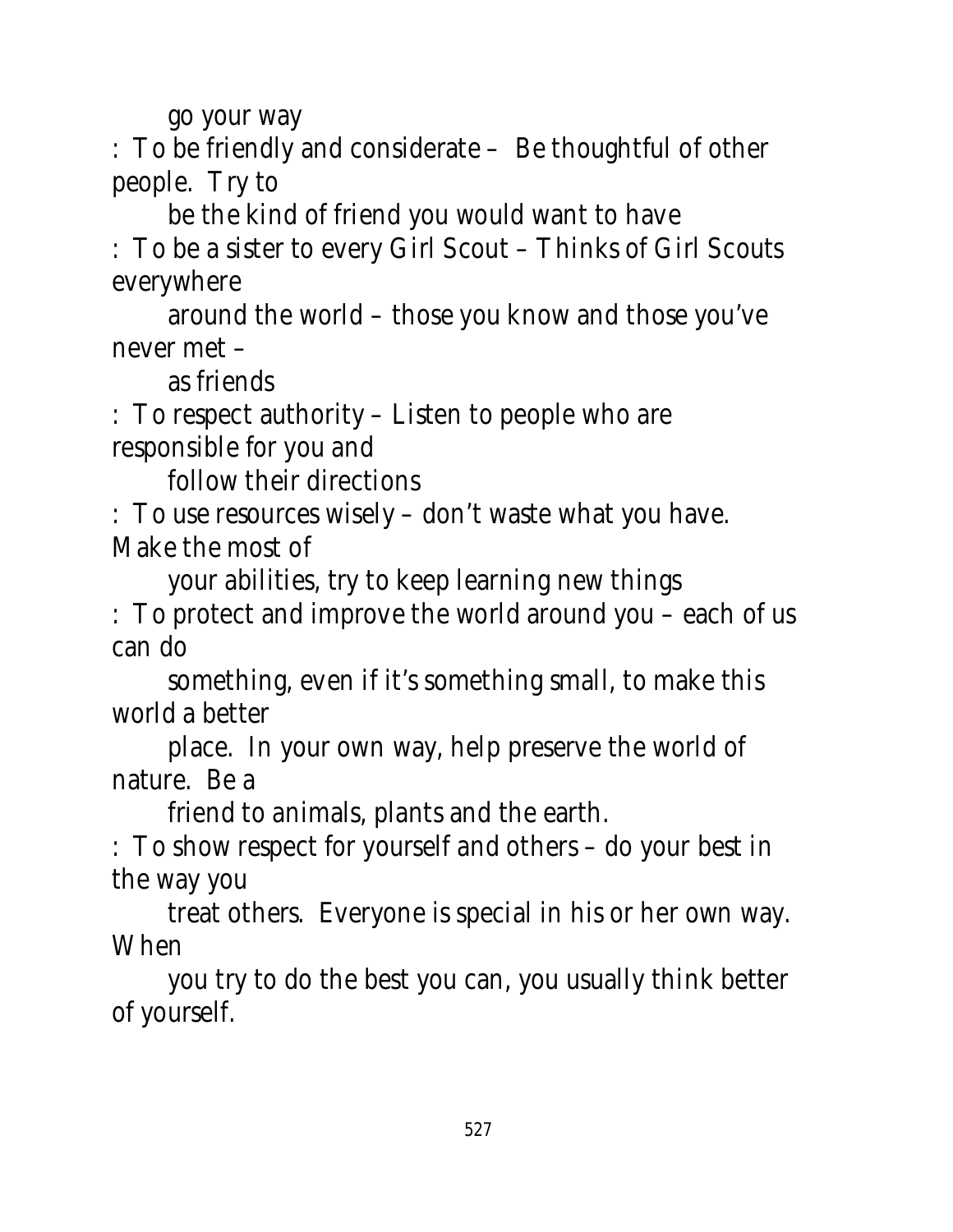go your way

: To be friendly and considerate – Be thoughtful of other people. Try to

be the kind of friend you would want to have

: To be a sister to every Girl Scout – Thinks of Girl Scouts everywhere

around the world – those you know and those you've never met –

as friends

: To respect authority – Listen to people who are responsible for you and

follow their directions

: To use resources wisely – don't waste what you have. Make the most of

your abilities, try to keep learning new things

: To protect and improve the world around you – each of us can do

something, even if it's something small, to make this world a better

place. In your own way, help preserve the world of nature. Be a

friend to animals, plants and the earth.

: To show respect for yourself and others – do your best in the way you

treat others. Everyone is special in his or her own way. When

you try to do the best you can, you usually think better of yourself.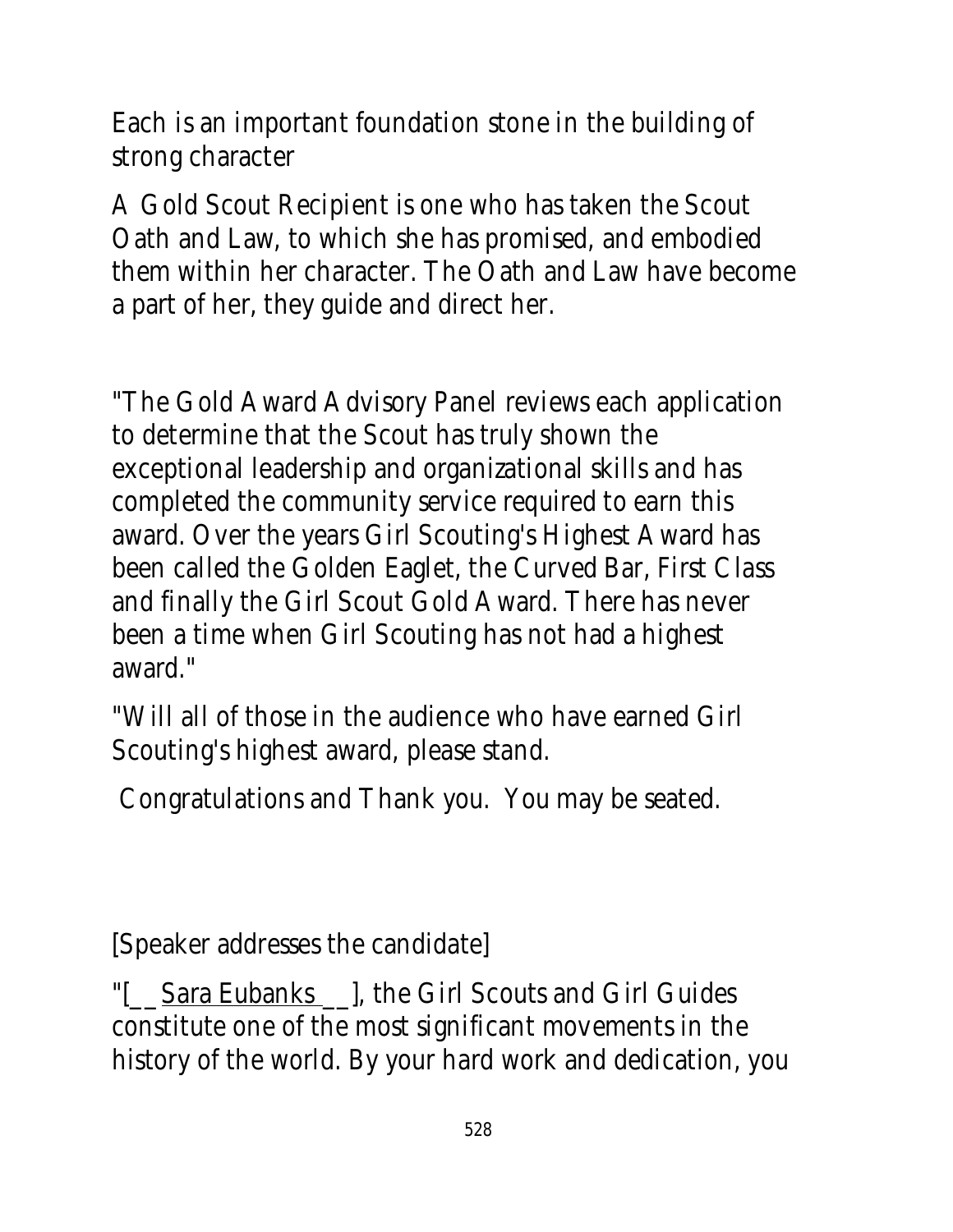Each is an important foundation stone in the building of strong character

A Gold Scout Recipient is one who has taken the Scout Oath and Law, to which she has promised, and embodied them within her character. The Oath and Law have become a part of her, they guide and direct her.

"The Gold Award Advisory Panel reviews each application to determine that the Scout has truly shown the exceptional leadership and organizational skills and has completed the community service required to earn this award. Over the years Girl Scouting's Highest Award has been called the Golden Eaglet, the Curved Bar, First Class and finally the Girl Scout Gold Award. There has never been a time when Girl Scouting has not had a highest award."

"Will all of those in the audience who have earned Girl Scouting's highest award, please stand.

Congratulations and Thank you. You may be seated.

[Speaker addresses the candidate]

"[\_\_Sara Eubanks \_\_], the Girl Scouts and Girl Guides constitute one of the most significant movements in the history of the world. By your hard work and dedication, you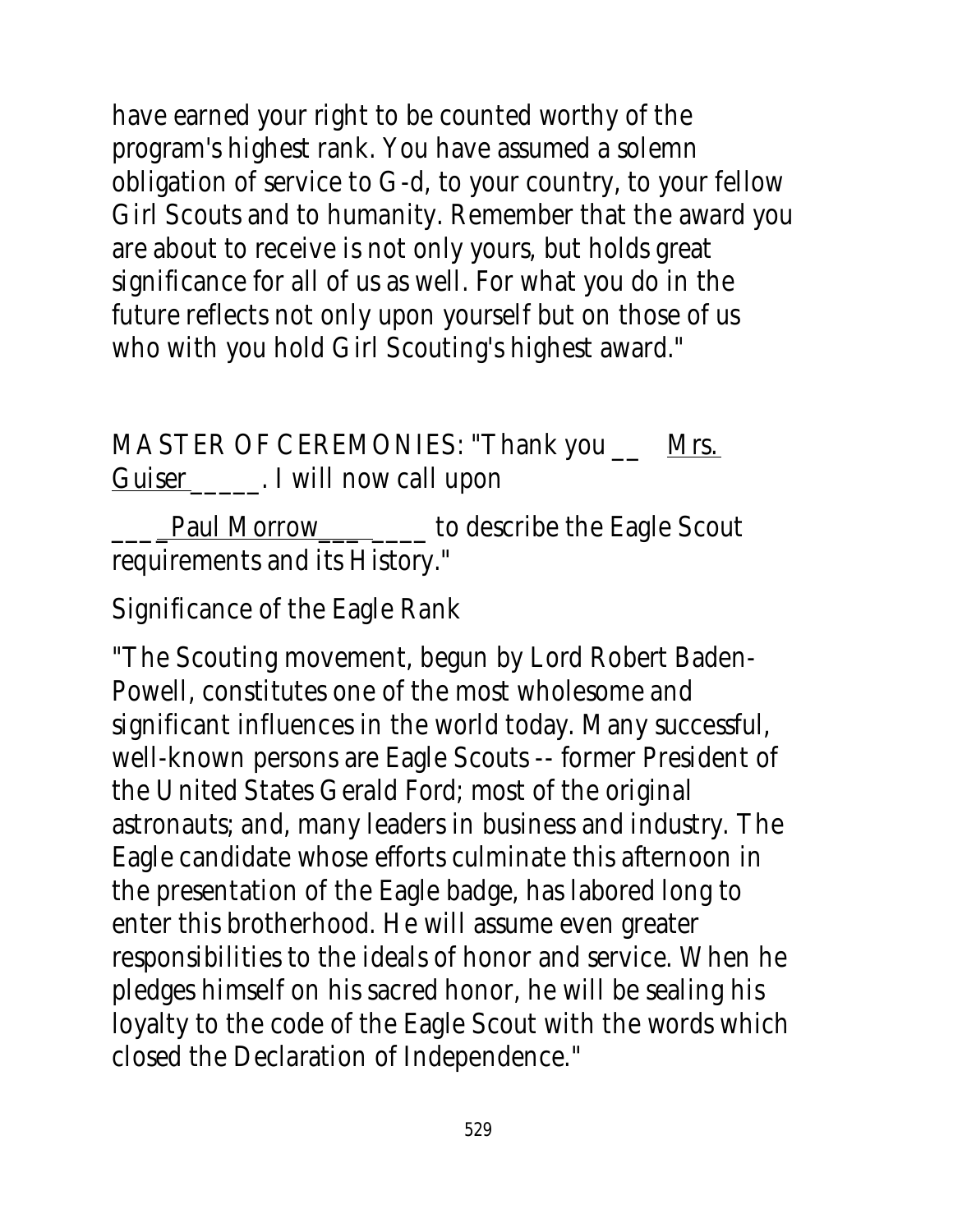have earned your right to be counted worthy of the program's highest rank. You have assumed a solemn obligation of service to G-d, to your country, to your fellow Girl Scouts and to humanity. Remember that the award you are about to receive is not only yours, but holds great significance for all of us as well. For what you do in the future reflects not only upon yourself but on those of us who with you hold Girl Scouting's highest award."

MASTER OF CEREMONIES: "Thank you \_\_ Mrs. Guiser \_\_\_\_\_\_. I will now call upon

Paul Morrow to describe the Eagle Scout requirements and its History."

Significance of the Eagle Rank

"The Scouting movement, begun by Lord Robert Baden-Powell, constitutes one of the most wholesome and significant influences in the world today. Many successful, well-known persons are Eagle Scouts -- former President of the United States Gerald Ford; most of the original astronauts; and, many leaders in business and industry. The Eagle candidate whose efforts culminate this afternoon in the presentation of the Eagle badge, has labored long to enter this brotherhood. He will assume even greater responsibilities to the ideals of honor and service. When he pledges himself on his sacred honor, he will be sealing his loyalty to the code of the Eagle Scout with the words which closed the Declaration of Independence."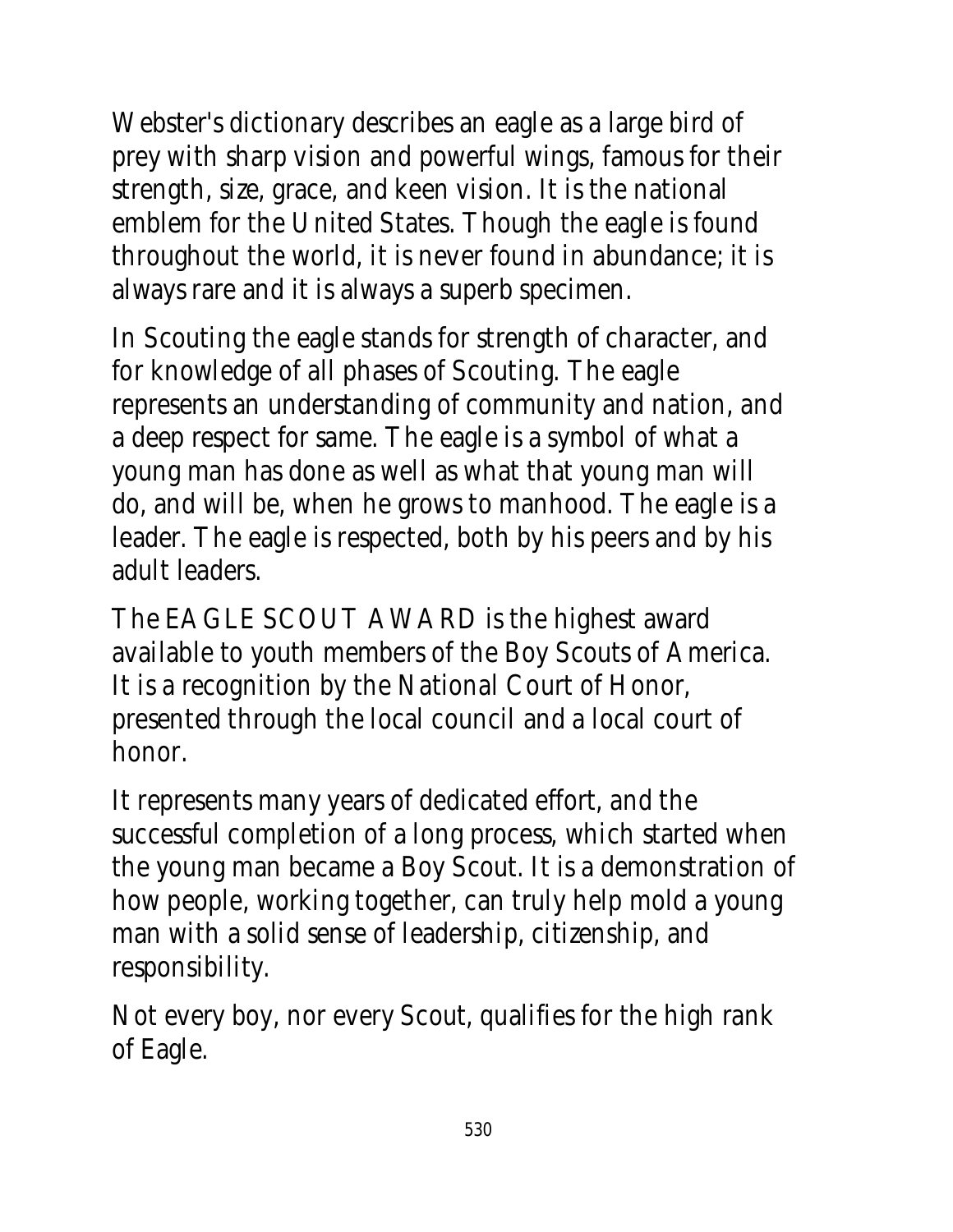Webster's dictionary describes an eagle as a large bird of prey with sharp vision and powerful wings, famous for their strength, size, grace, and keen vision. It is the national emblem for the United States. Though the eagle is found throughout the world, it is never found in abundance; it is always rare and it is always a superb specimen.

In Scouting the eagle stands for strength of character, and for knowledge of all phases of Scouting. The eagle represents an understanding of community and nation, and a deep respect for same. The eagle is a symbol of what a young man has done as well as what that young man will do, and will be, when he grows to manhood. The eagle is a leader. The eagle is respected, both by his peers and by his adult leaders.

The EAGLE SCOUT AWARD is the highest award available to youth members of the Boy Scouts of America. It is a recognition by the National Court of Honor, presented through the local council and a local court of honor.

It represents many years of dedicated effort, and the successful completion of a long process, which started when the young man became a Boy Scout. It is a demonstration of how people, working together, can truly help mold a young man with a solid sense of leadership, citizenship, and responsibility.

Not every boy, nor every Scout, qualifies for the high rank of Eagle.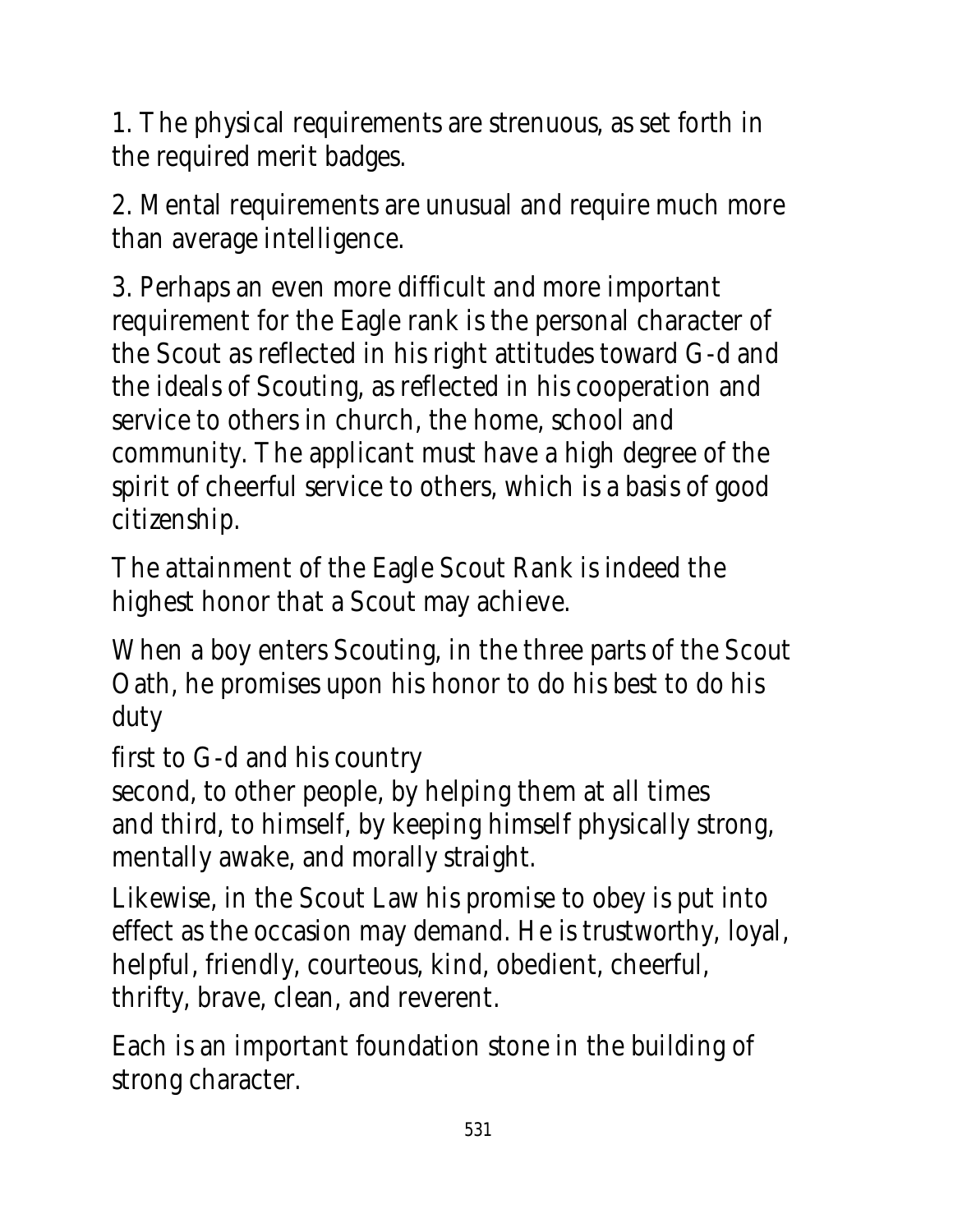1. The physical requirements are strenuous, as set forth in the required merit badges.

2. Mental requirements are unusual and require much more than average intelligence.

3. Perhaps an even more difficult and more important requirement for the Eagle rank is the personal character of the Scout as reflected in his right attitudes toward G-d and the ideals of Scouting, as reflected in his cooperation and service to others in church, the home, school and community. The applicant must have a high degree of the spirit of cheerful service to others, which is a basis of good citizenship.

The attainment of the Eagle Scout Rank is indeed the highest honor that a Scout may achieve.

When a boy enters Scouting, in the three parts of the Scout Oath, he promises upon his honor to do his best to do his duty

first to G-d and his country

second, to other people, by helping them at all times and third, to himself, by keeping himself physically strong, mentally awake, and morally straight.

Likewise, in the Scout Law his promise to obey is put into effect as the occasion may demand. He is trustworthy, loyal, helpful, friendly, courteous, kind, obedient, cheerful, thrifty, brave, clean, and reverent.

Each is an important foundation stone in the building of strong character.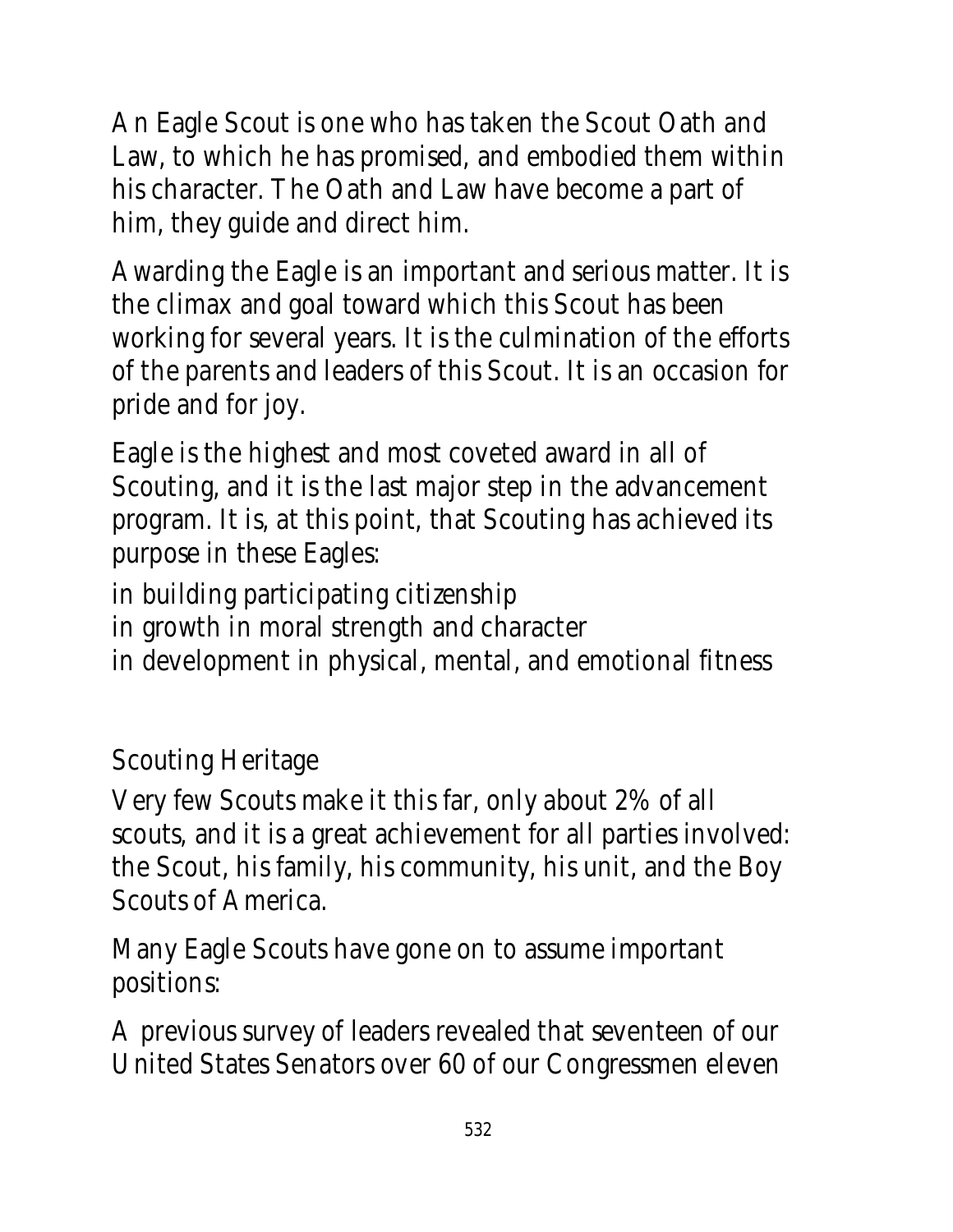An Eagle Scout is one who has taken the Scout Oath and Law, to which he has promised, and embodied them within his character. The Oath and Law have become a part of him, they guide and direct him.

Awarding the Eagle is an important and serious matter. It is the climax and goal toward which this Scout has been working for several years. It is the culmination of the efforts of the parents and leaders of this Scout. It is an occasion for pride and for joy.

Eagle is the highest and most coveted award in all of Scouting, and it is the last major step in the advancement program. It is, at this point, that Scouting has achieved its purpose in these Eagles:

in building participating citizenship in growth in moral strength and character in development in physical, mental, and emotional fitness

# Scouting Heritage

Very few Scouts make it this far, only about 2% of all scouts, and it is a great achievement for all parties involved: the Scout, his family, his community, his unit, and the Boy Scouts of America.

Many Eagle Scouts have gone on to assume important positions:

A previous survey of leaders revealed that seventeen of our United States Senators over 60 of our Congressmen eleven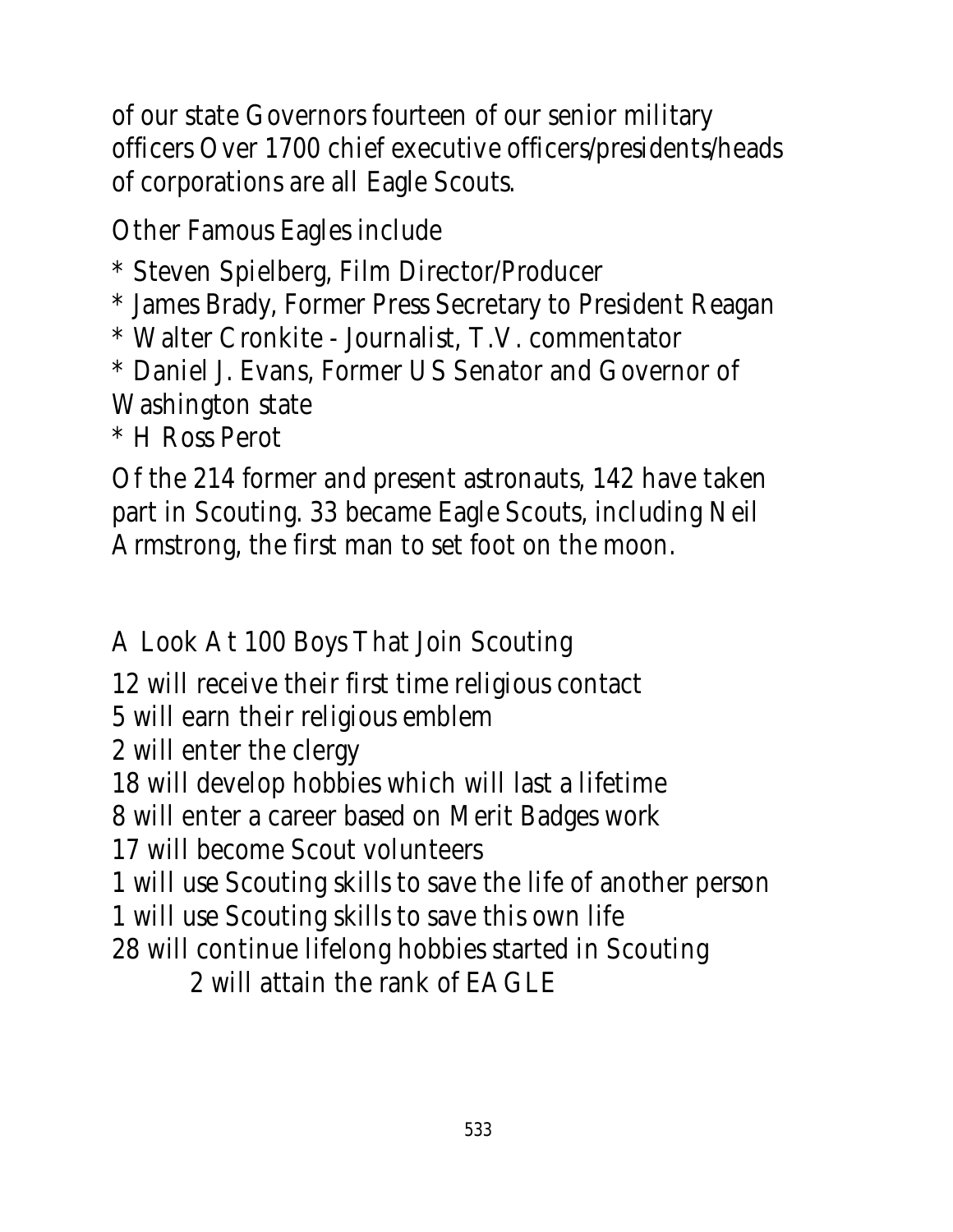of our state Governors fourteen of our senior military officers Over 1700 chief executive officers/presidents/heads of corporations are all Eagle Scouts.

Other Famous Eagles include

\* Steven Spielberg, Film Director/Producer

\* James Brady, Former Press Secretary to President Reagan

\* Walter Cronkite - Journalist, T.V. commentator

\* Daniel J. Evans, Former US Senator and Governor of Washington state

\* H Ross Perot

Of the 214 former and present astronauts, 142 have taken part in Scouting. 33 became Eagle Scouts, including Neil Armstrong, the first man to set foot on the moon.

A Look At 100 Boys That Join Scouting

12 will receive their first time religious contact

5 will earn their religious emblem

2 will enter the clergy

18 will develop hobbies which will last a lifetime

8 will enter a career based on Merit Badges work

17 will become Scout volunteers

1 will use Scouting skills to save the life of another person 1 will use Scouting skills to save this own life

28 will continue lifelong hobbies started in Scouting

2 will attain the rank of EAGLE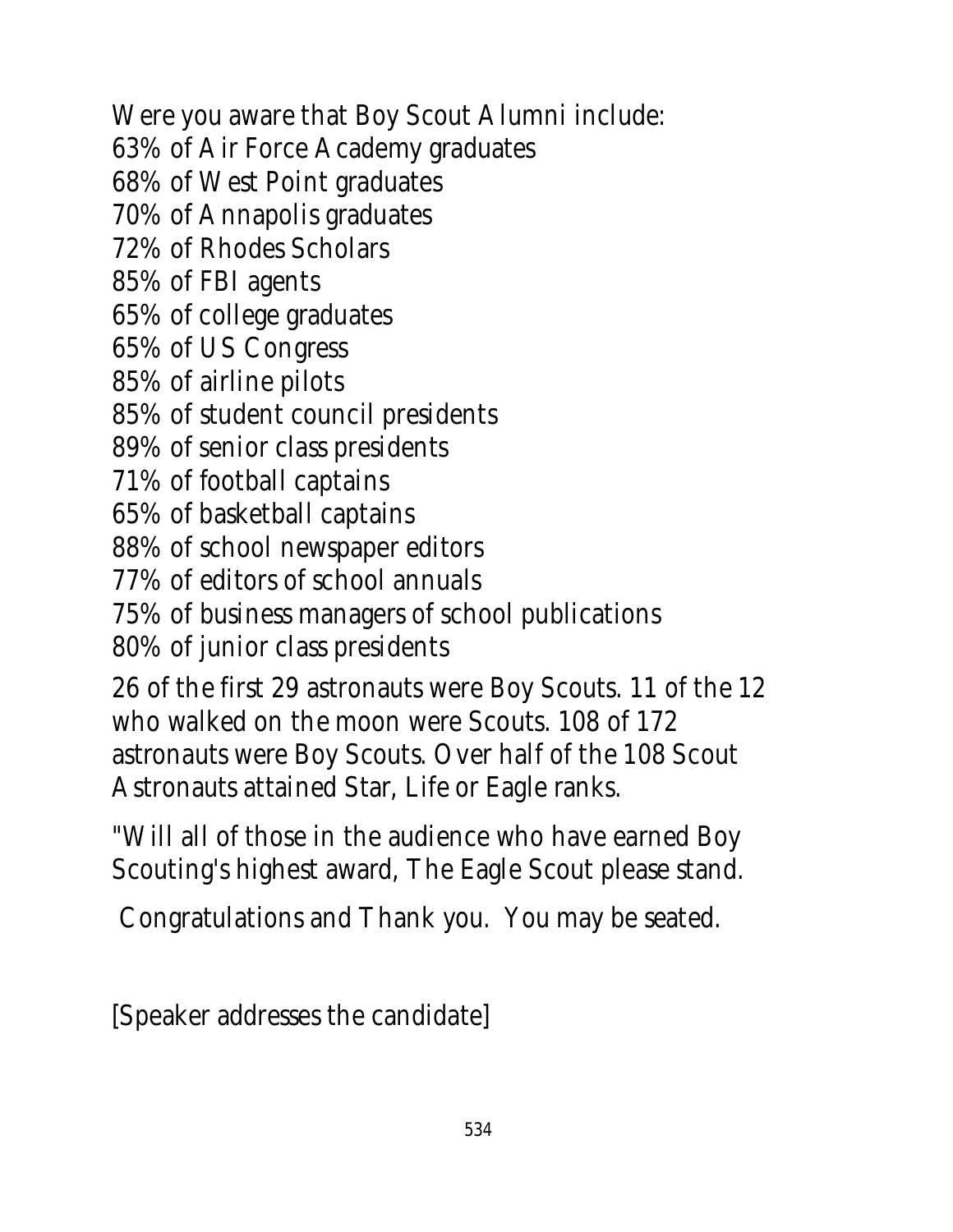Were you aware that Boy Scout Alumni include: 63% of Air Force Academy graduates 68% of West Point graduates 70% of Annapolis graduates 72% of Rhodes Scholars 85% of FBI agents 65% of college graduates 65% of US Congress 85% of airline pilots 85% of student council presidents 89% of senior class presidents 71% of football captains 65% of basketball captains 88% of school newspaper editors 77% of editors of school annuals 75% of business managers of school publications 80% of junior class presidents 26 of the first 29 astronauts were Boy Scouts. 11 of the 12 who walked on the moon were Scouts. 108 of 172 astronauts were Boy Scouts. Over half of the 108 Scout Astronauts attained Star, Life or Eagle ranks.

"Will all of those in the audience who have earned Boy Scouting's highest award, The Eagle Scout please stand.

Congratulations and Thank you. You may be seated.

[Speaker addresses the candidate]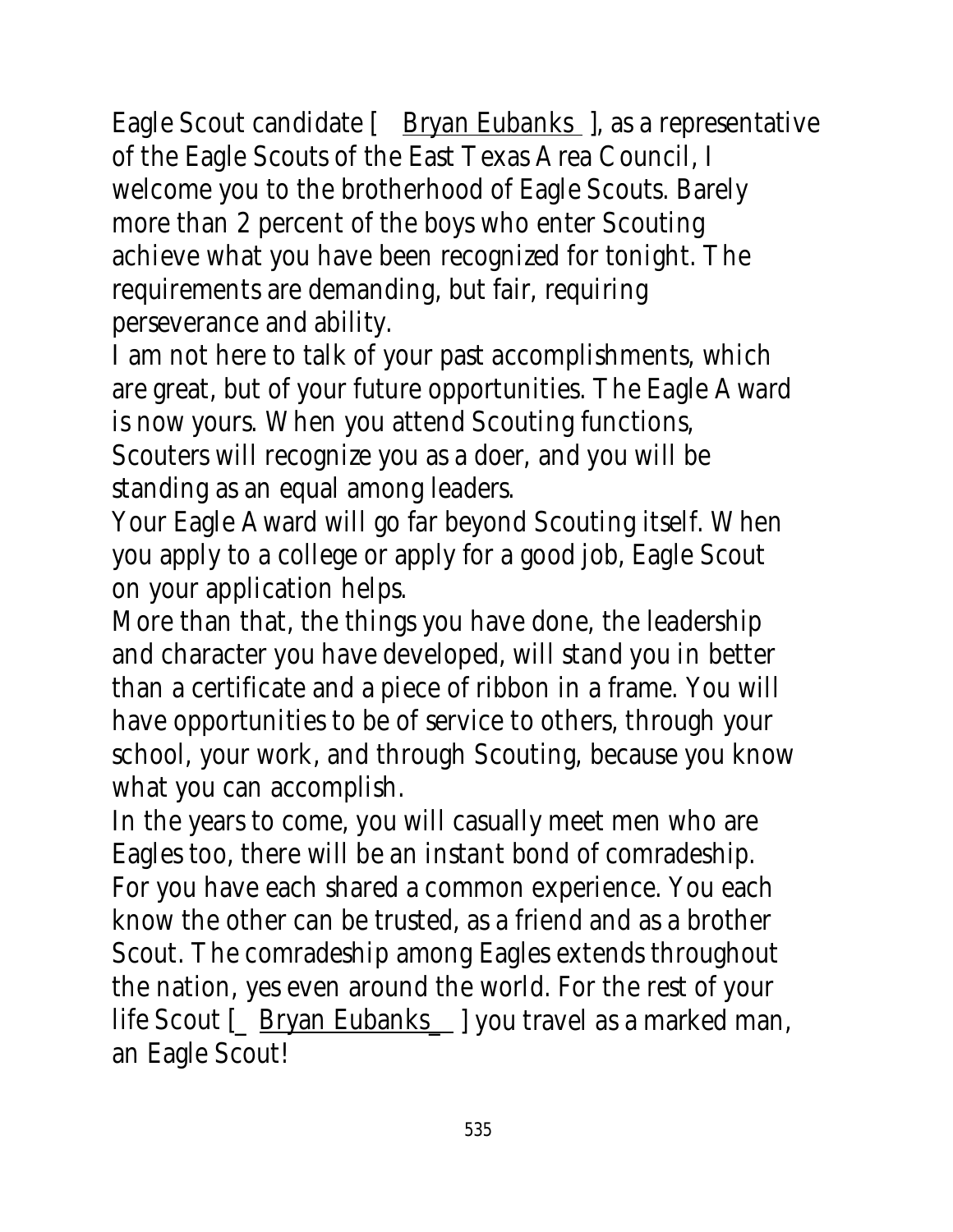Eagle Scout candidate [ Bryan Eubanks ], as a representative of the Eagle Scouts of the East Texas Area Council, I welcome you to the brotherhood of Eagle Scouts. Barely more than 2 percent of the boys who enter Scouting achieve what you have been recognized for tonight. The requirements are demanding, but fair, requiring perseverance and ability.

I am not here to talk of your past accomplishments, which are great, but of your future opportunities. The Eagle Award is now yours. When you attend Scouting functions, Scouters will recognize you as a doer, and you will be standing as an equal among leaders.

Your Eagle Award will go far beyond Scouting itself. When you apply to a college or apply for a good job, Eagle Scout on your application helps.

More than that, the things you have done, the leadership and character you have developed, will stand you in better than a certificate and a piece of ribbon in a frame. You will have opportunities to be of service to others, through your school, your work, and through Scouting, because you know what you can accomplish.

In the years to come, you will casually meet men who are Eagles too, there will be an instant bond of comradeship. For you have each shared a common experience. You each know the other can be trusted, as a friend and as a brother Scout. The comradeship among Eagles extends throughout the nation, yes even around the world. For the rest of your life Scout [\_ Bryan Eubanks \_ ] you travel as a marked man, an Eagle Scout!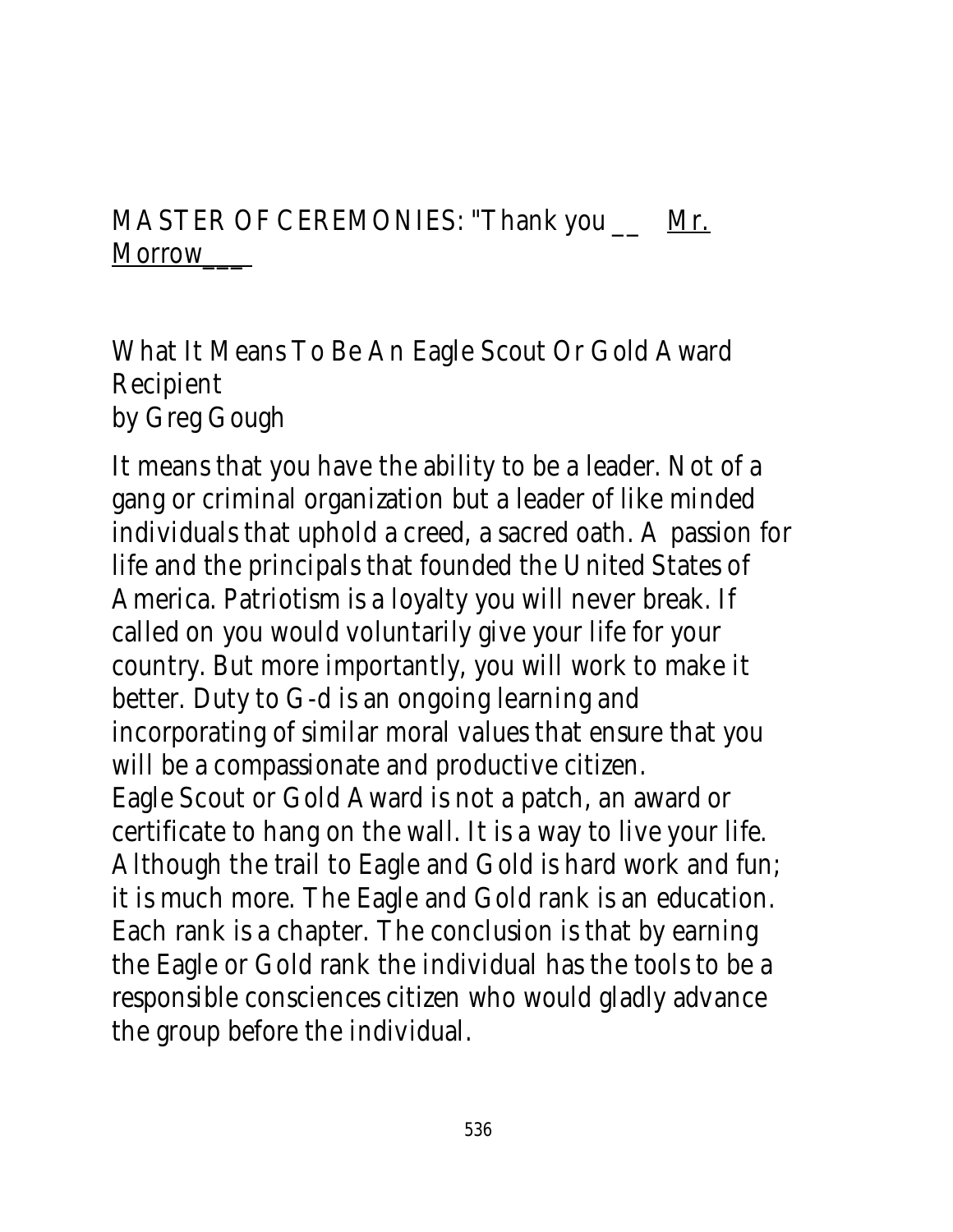# MASTER OF CEREMONIES: "Thank you \_\_ Mr. Morrow\_\_\_

What It Means To Be An Eagle Scout Or Gold Award Recipient by Greg Gough

It means that you have the ability to be a leader. Not of a gang or criminal organization but a leader of like minded individuals that uphold a creed, a sacred oath. A passion for life and the principals that founded the United States of America. Patriotism is a loyalty you will never break. If called on you would voluntarily give your life for your country. But more importantly, you will work to make it better. Duty to G-d is an ongoing learning and incorporating of similar moral values that ensure that you will be a compassionate and productive citizen. Eagle Scout or Gold Award is not a patch, an award or certificate to hang on the wall. It is a way to live your life. Although the trail to Eagle and Gold is hard work and fun; it is much more. The Eagle and Gold rank is an education. Each rank is a chapter. The conclusion is that by earning the Eagle or Gold rank the individual has the tools to be a responsible consciences citizen who would gladly advance the group before the individual.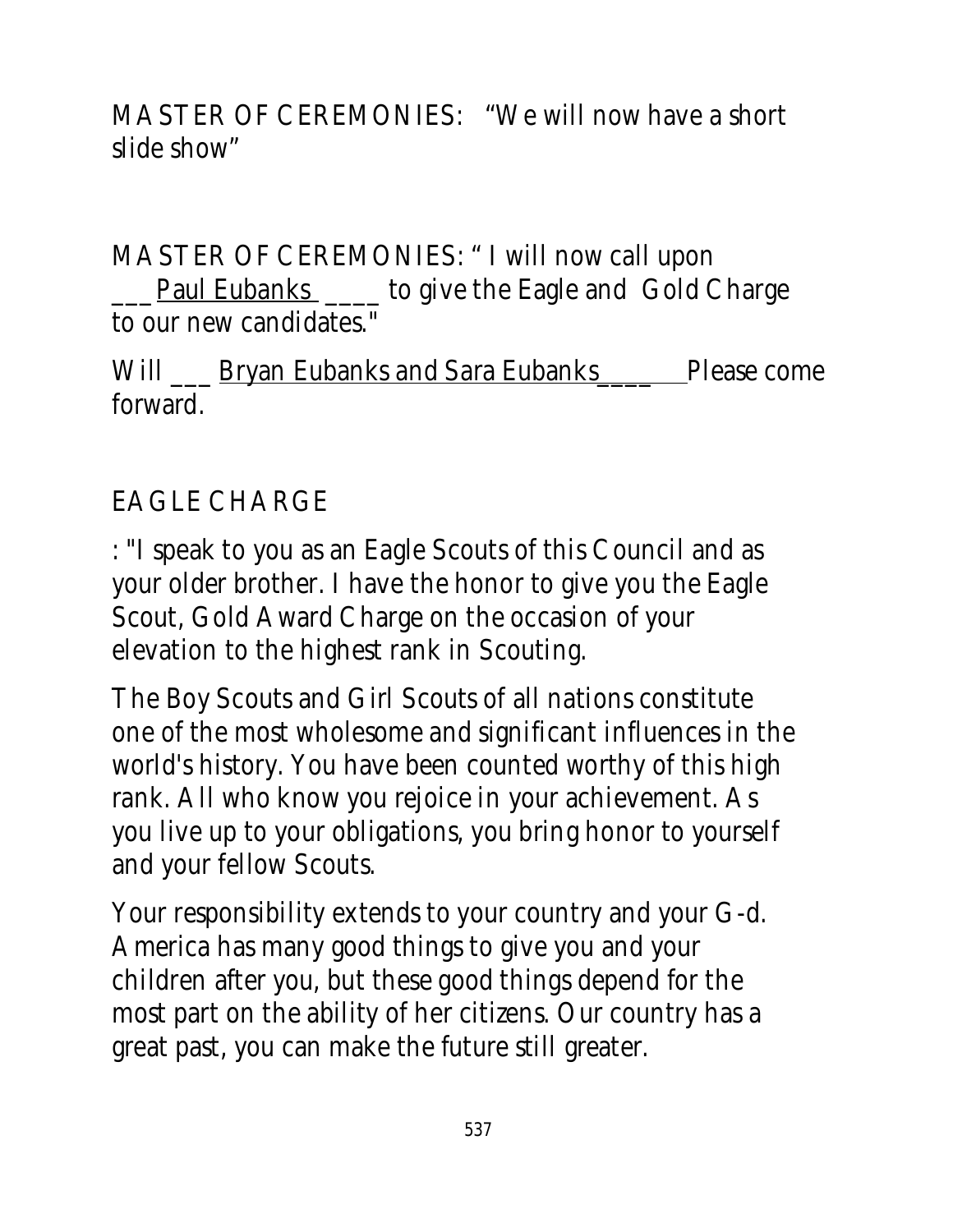### MASTER OF CEREMONIES: "We will now have a short slide show"

MASTER OF CEREMONIES: " I will now call upon Paul Eubanks \_\_\_\_ to give the Eagle and Gold Charge to our new candidates."

Will \_\_\_ Bryan Eubanks and Sara Eubanks \_\_\_\_\_ Please come forward.

# EAGLE CHARGE

: "I speak to you as an Eagle Scouts of this Council and as your older brother. I have the honor to give you the Eagle Scout, Gold Award Charge on the occasion of your elevation to the highest rank in Scouting.

The Boy Scouts and Girl Scouts of all nations constitute one of the most wholesome and significant influences in the world's history. You have been counted worthy of this high rank. All who know you rejoice in your achievement. As you live up to your obligations, you bring honor to yourself and your fellow Scouts.

Your responsibility extends to your country and your G-d. America has many good things to give you and your children after you, but these good things depend for the most part on the ability of her citizens. Our country has a great past, you can make the future still greater.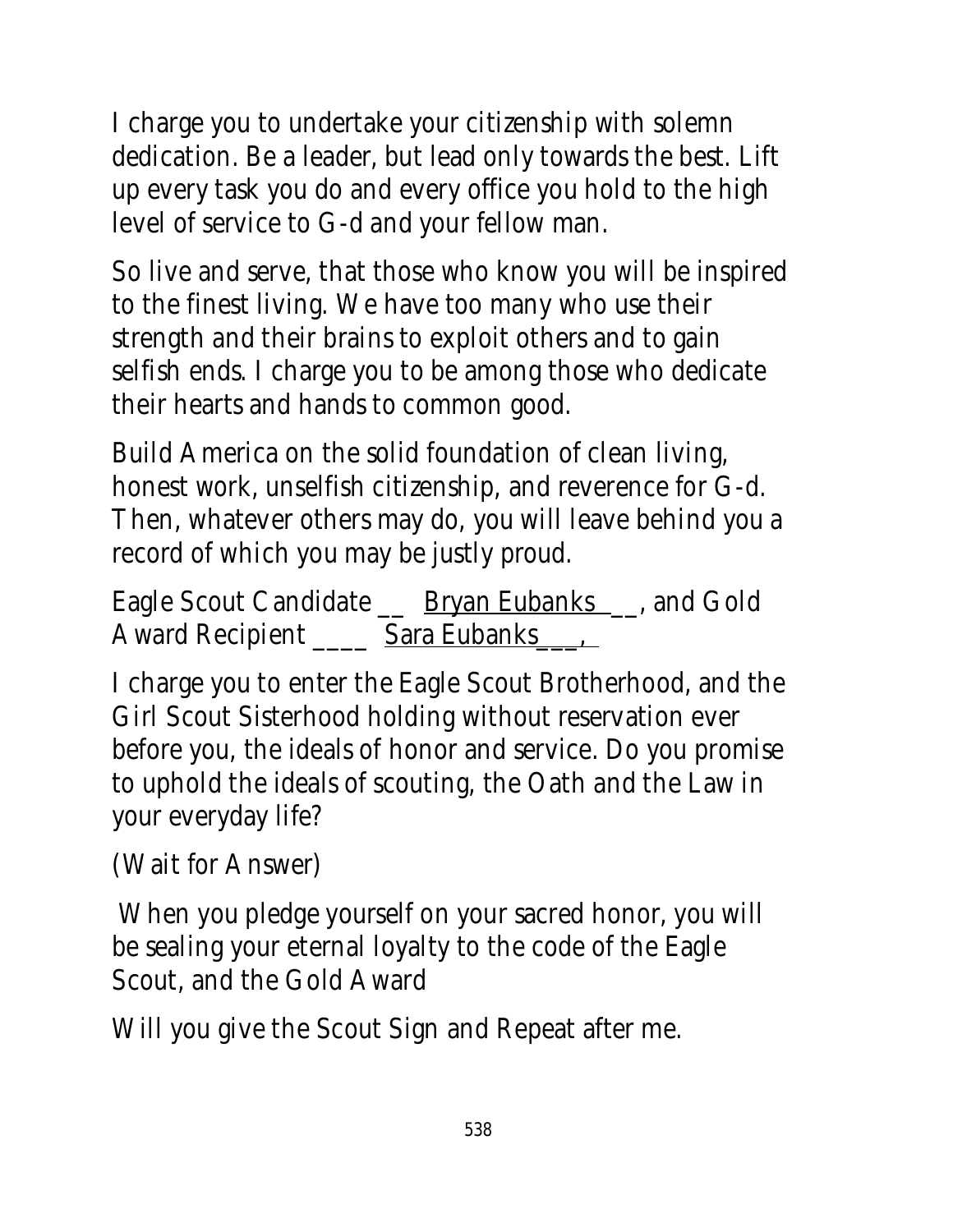I charge you to undertake your citizenship with solemn dedication. Be a leader, but lead only towards the best. Lift up every task you do and every office you hold to the high level of service to G-d and your fellow man.

So live and serve, that those who know you will be inspired to the finest living. We have too many who use their strength and their brains to exploit others and to gain selfish ends. I charge you to be among those who dedicate their hearts and hands to common good.

Build America on the solid foundation of clean living, honest work, unselfish citizenship, and reverence for G-d. Then, whatever others may do, you will leave behind you a record of which you may be justly proud.

Eagle Scout Candidate \_\_ Bryan Eubanks \_\_, and Gold Award Recipient \_\_\_\_\_\_ Sara Eubanks

I charge you to enter the Eagle Scout Brotherhood, and the Girl Scout Sisterhood holding without reservation ever before you, the ideals of honor and service. Do you promise to uphold the ideals of scouting, the Oath and the Law in your everyday life?

(Wait for Answer)

 When you pledge yourself on your sacred honor, you will be sealing your eternal loyalty to the code of the Eagle Scout, and the Gold Award

Will you give the Scout Sign and Repeat after me.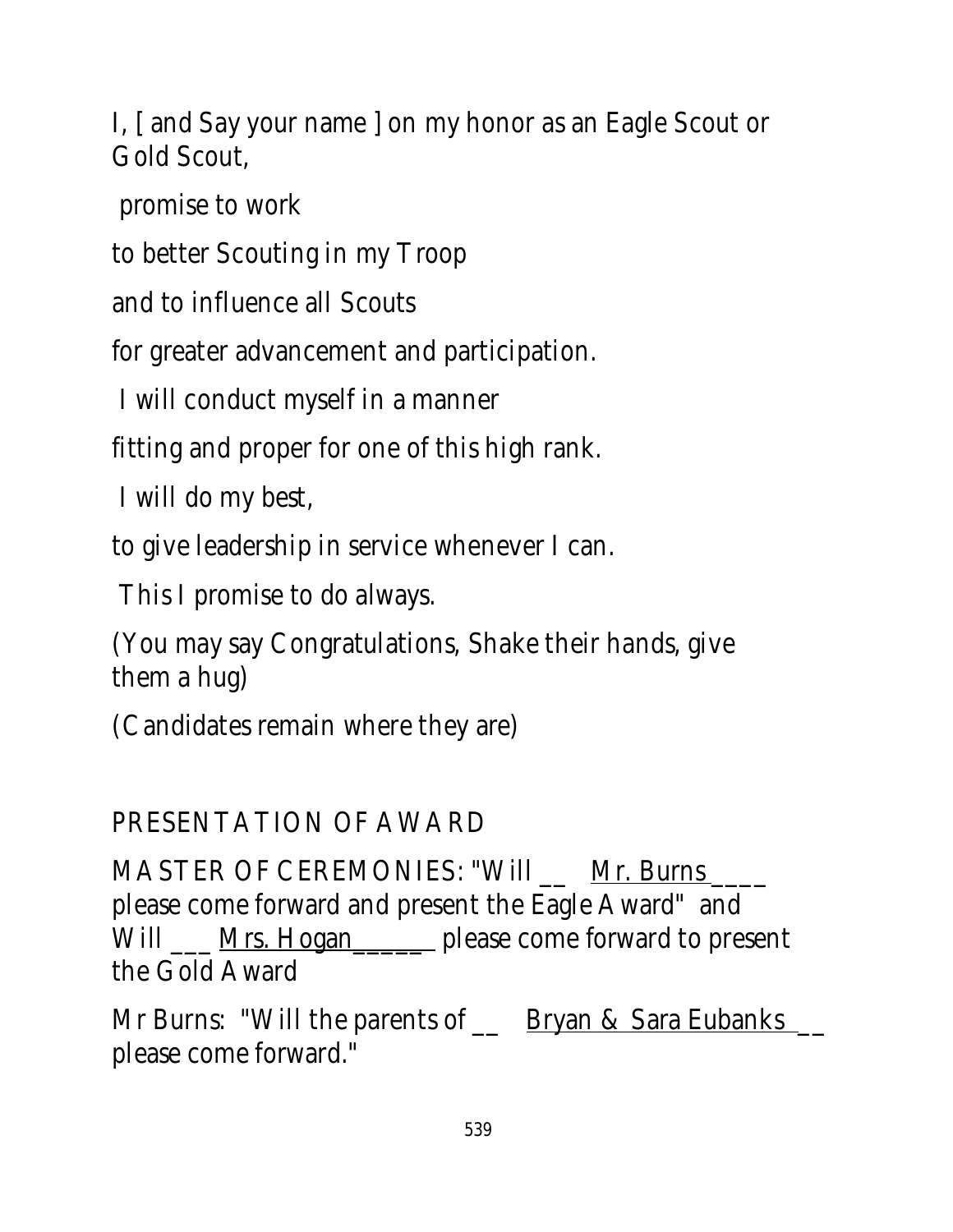I, [ and Say your name ] on my honor as an Eagle Scout or Gold Scout,

promise to work

to better Scouting in my Troop

and to influence all Scouts

for greater advancement and participation.

I will conduct myself in a manner

fitting and proper for one of this high rank.

I will do my best,

to give leadership in service whenever I can.

This I promise to do always.

(You may say Congratulations, Shake their hands, give them a hug)

(Candidates remain where they are)

#### PRESENTATION OF AWARD

MASTER OF CEREMONIES: "Will Mr. Burns please come forward and present the Eagle Award" and Will <u>Mrs. Hogan</u> please come forward to present the Gold Award

Mr Burns: "Will the parents of \_\_ Bryan & Sara Eubanks please come forward."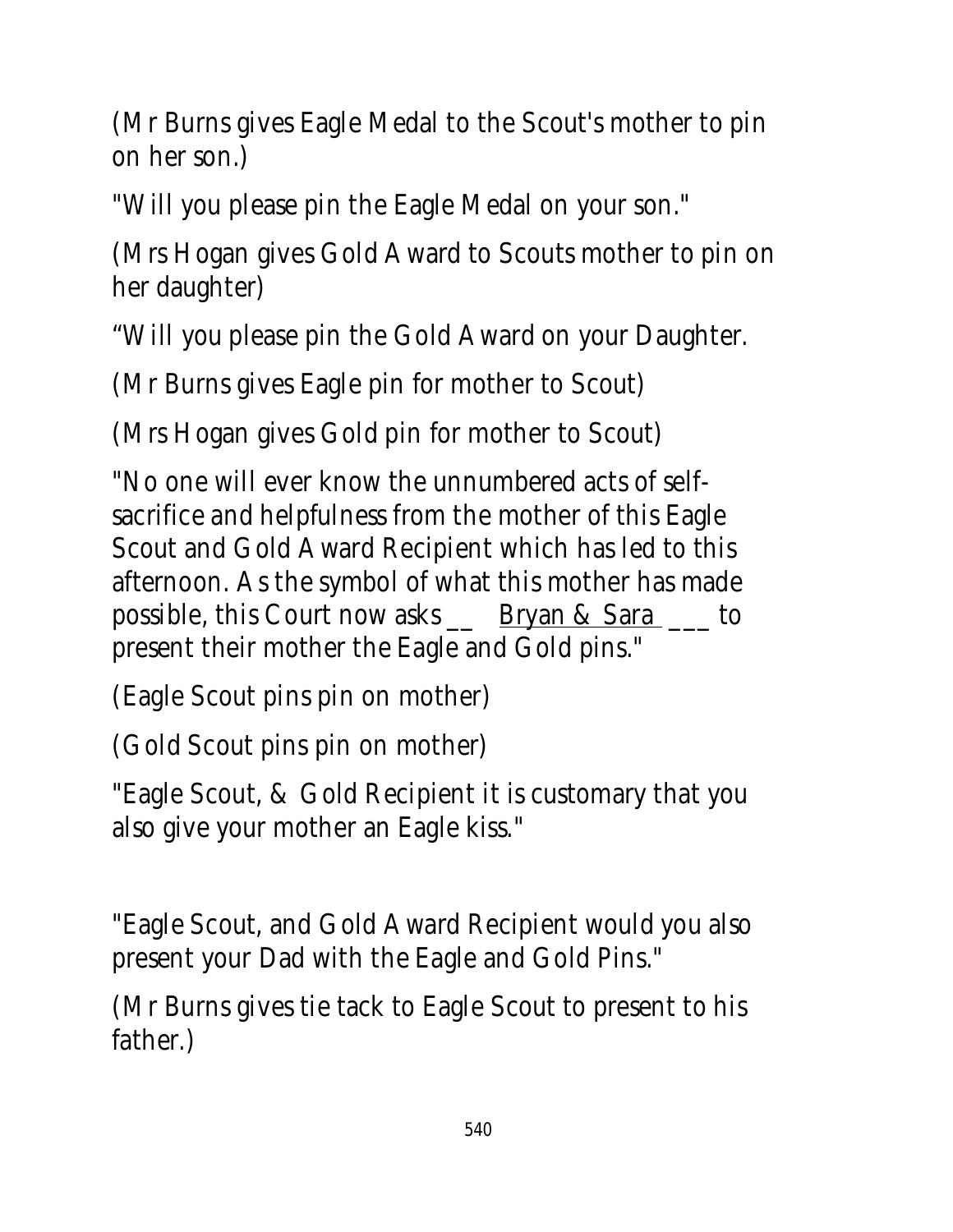(Mr Burns gives Eagle Medal to the Scout's mother to pin on her son.)

"Will you please pin the Eagle Medal on your son."

(Mrs Hogan gives Gold Award to Scouts mother to pin on her daughter)

"Will you please pin the Gold Award on your Daughter.

(Mr Burns gives Eagle pin for mother to Scout)

(Mrs Hogan gives Gold pin for mother to Scout)

"No one will ever know the unnumbered acts of selfsacrifice and helpfulness from the mother of this Eagle Scout and Gold Award Recipient which has led to this afternoon. As the symbol of what this mother has made possible, this Court now asks \_\_ Bryan & Sara \_\_\_ to present their mother the Eagle and Gold pins."

(Eagle Scout pins pin on mother)

(Gold Scout pins pin on mother)

"Eagle Scout, & Gold Recipient it is customary that you also give your mother an Eagle kiss."

"Eagle Scout, and Gold Award Recipient would you also present your Dad with the Eagle and Gold Pins."

(Mr Burns gives tie tack to Eagle Scout to present to his father.)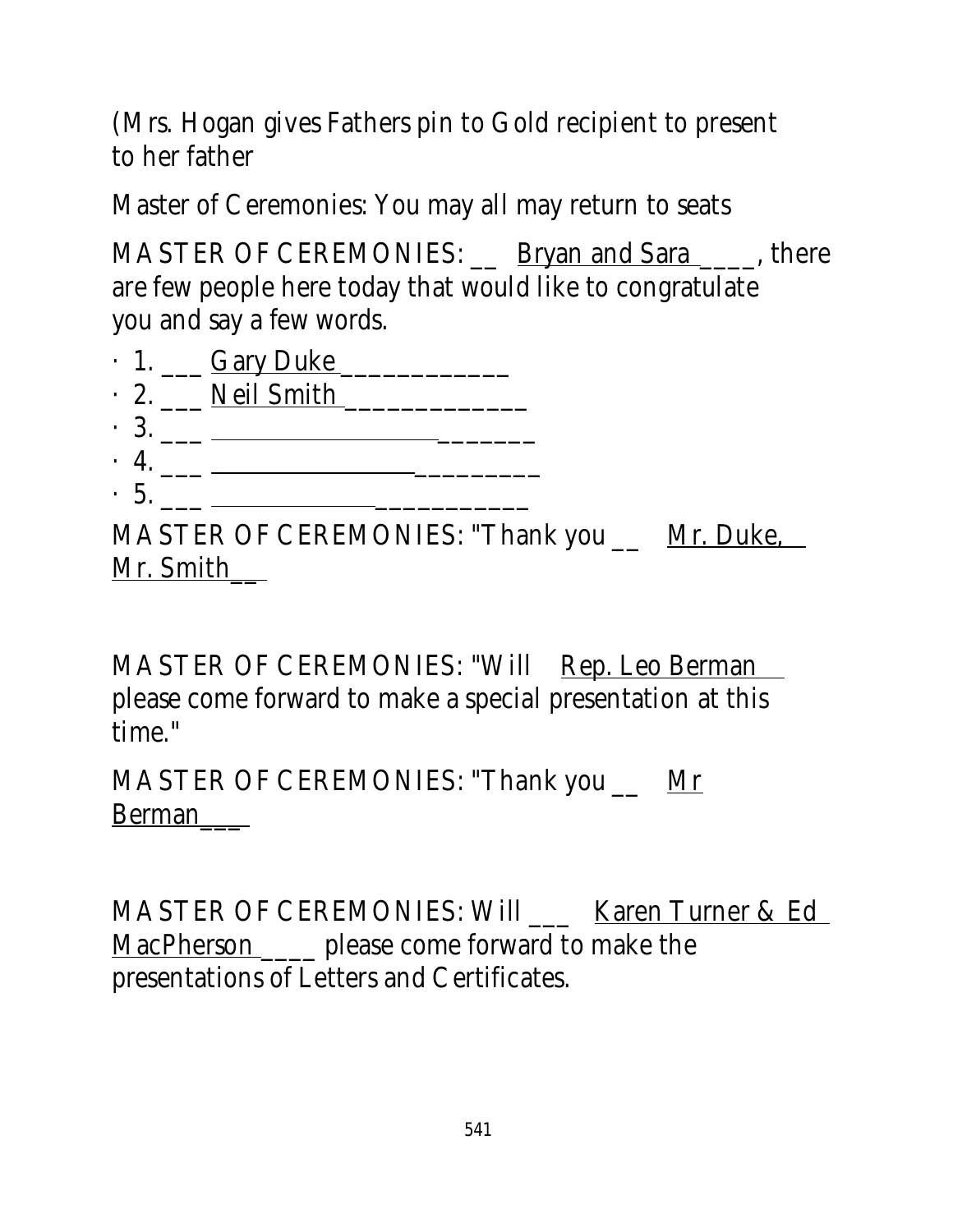(Mrs. Hogan gives Fathers pin to Gold recipient to present to her father

Master of Ceremonies: You may all may return to seats

MASTER OF CEREMONIES: Supersional Sara Sara MASTER OF CEREMONIES: Supersional Sara are few people here today that would like to congratulate you and say a few words.

|            | $\cdot$ 1. ___ Gary Duke     |
|------------|------------------------------|
|            | . 2. Neil Smith              |
| $\cdot$ 3. |                              |
|            |                              |
| $\cdot$ 5. |                              |
|            | MASTER OF CEREMONIES. "Thank |

MASTER OF CEREMONIES: "Thank you \_\_ Mr. Duke,

Mr. Smith\_\_

MASTER OF CEREMONIES: "Will Rep. Leo Berman please come forward to make a special presentation at this time."

MASTER OF CEREMONIES: "Thank you \_\_ Mr Berman\_\_\_

MASTER OF CEREMONIES: Will Karen Turner & Ed MacPherson \_\_\_\_\_ please come forward to make the presentations of Letters and Certificates.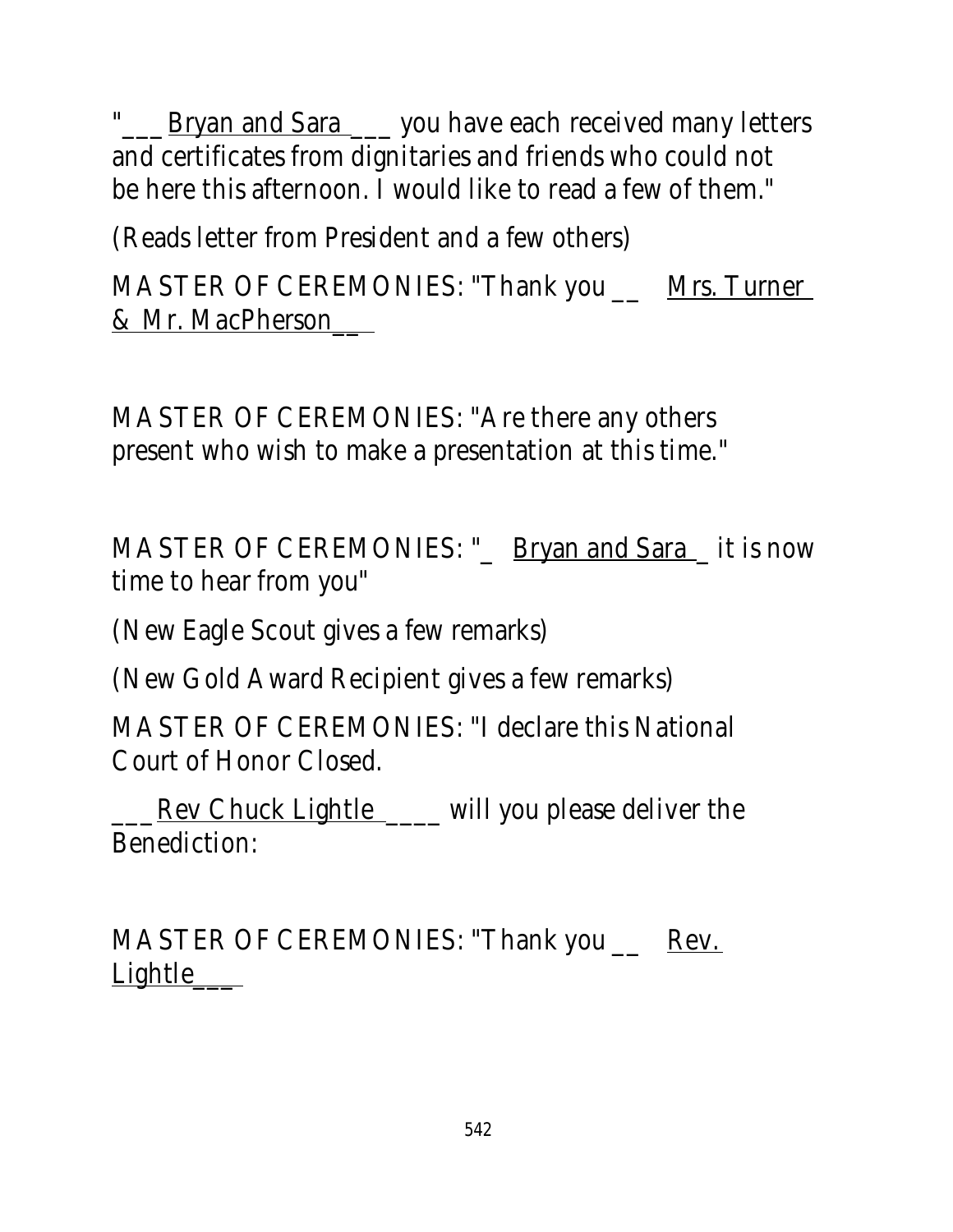"\_\_\_\_Bryan and Sara \_\_\_\_\_ you have each received many letters and certificates from dignitaries and friends who could not be here this afternoon. I would like to read a few of them."

(Reads letter from President and a few others)

MASTER OF CEREMONIES: "Thank you \_\_ Mrs. Turner & Mr. MacPherson\_\_

MASTER OF CEREMONIES: "Are there any others present who wish to make a presentation at this time."

MASTER OF CEREMONIES: "\_ Bryan and Sara \_ it is now time to hear from you"

(New Eagle Scout gives a few remarks)

(New Gold Award Recipient gives a few remarks)

MASTER OF CEREMONIES: "I declare this National Court of Honor Closed.

Rev Chuck Lightle \_\_\_\_ will you please deliver the Benediction:

MASTER OF CEREMONIES: "Thank you \_\_ Rev. Lightle